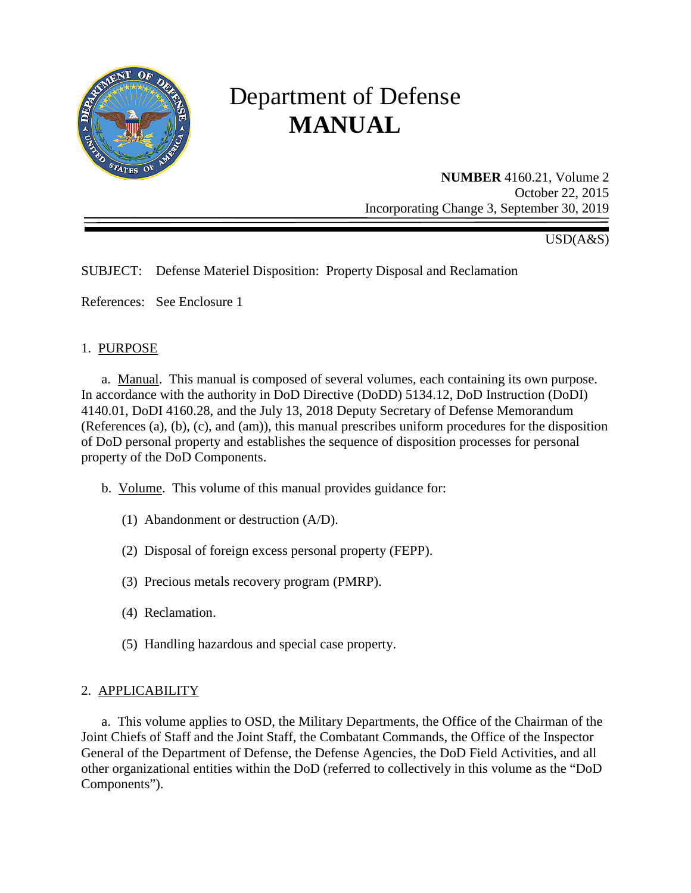

# Department of Defense **MANUAL**

**NUMBER** 4160.21, Volume 2 October 22, 2015 Incorporating Change 3, September 30, 2019

USD(A&S)

# SUBJECT: Defense Materiel Disposition: Property Disposal and Reclamation

References: See Enclosure 1

#### 1. PURPOSE

a. Manual. This manual is composed of several volumes, each containing its own purpose. In accordance with the authority in DoD Directive (DoDD) 5134.12, DoD Instruction (DoDI) 4140.01, DoDI 4160.28, and the July 13, 2018 Deputy Secretary of Defense Memorandum (References (a), (b), (c), and (am)), this manual prescribes uniform procedures for the disposition of DoD personal property and establishes the sequence of disposition processes for personal property of the DoD Components.

b. Volume. This volume of this manual provides guidance for:

- (1) Abandonment or destruction (A/D).
- (2) Disposal of foreign excess personal property (FEPP).
- (3) Precious metals recovery program (PMRP).
- (4) Reclamation.
- (5) Handling hazardous and special case property.

#### 2. APPLICABILITY

a. This volume applies to OSD, the Military Departments, the Office of the Chairman of the Joint Chiefs of Staff and the Joint Staff, the Combatant Commands, the Office of the Inspector General of the Department of Defense, the Defense Agencies, the DoD Field Activities, and all other organizational entities within the DoD (referred to collectively in this volume as the "DoD Components").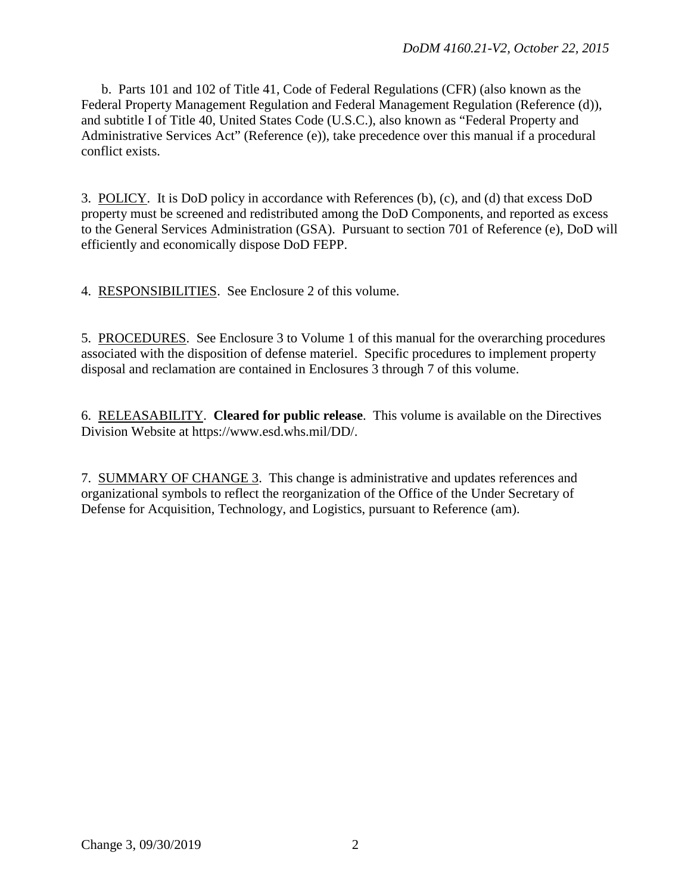b. Parts 101 and 102 of Title 41, Code of Federal Regulations (CFR) (also known as the Federal Property Management Regulation and Federal Management Regulation (Reference (d)), and subtitle I of Title 40, United States Code (U.S.C.), also known as "Federal Property and Administrative Services Act" (Reference (e)), take precedence over this manual if a procedural conflict exists.

3. POLICY. It is DoD policy in accordance with References (b), (c), and (d) that excess DoD property must be screened and redistributed among the DoD Components, and reported as excess to the General Services Administration (GSA). Pursuant to section 701 of Reference (e), DoD will efficiently and economically dispose DoD FEPP.

4. RESPONSIBILITIES. See Enclosure 2 of this volume.

5. PROCEDURES. See Enclosure 3 to Volume 1 of this manual for the overarching procedures associated with the disposition of defense materiel. Specific procedures to implement property disposal and reclamation are contained in Enclosures 3 through 7 of this volume.

6. RELEASABILITY. **Cleared for public release**. This volume is available on the Directives Division Website at https://www.esd.whs.mil/DD/.

7. SUMMARY OF CHANGE 3. This change is administrative and updates references and organizational symbols to reflect the reorganization of the Office of the Under Secretary of Defense for Acquisition, Technology, and Logistics, pursuant to Reference (am).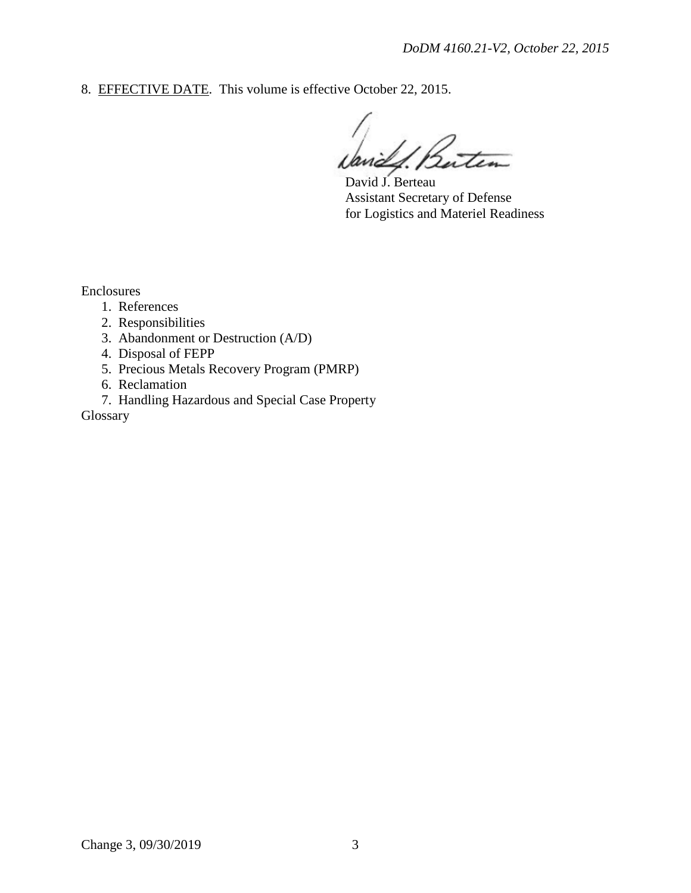8. EFFECTIVE DATE. This volume is effective October 22, 2015.

Buten

David J. Berteau Assistant Secretary of Defense for Logistics and Materiel Readiness

Enclosures

- 1. References
- 2. Responsibilities
- 3. Abandonment or Destruction (A/D)
- 4. Disposal of FEPP
- 5. Precious Metals Recovery Program (PMRP)
- 6. Reclamation
- 7. Handling Hazardous and Special Case Property

Glossary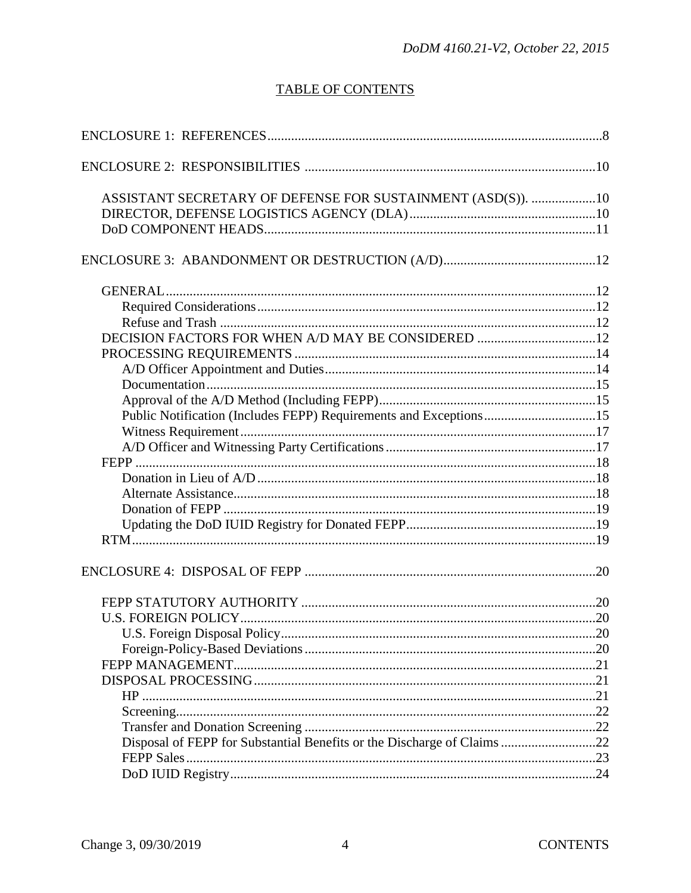# **TABLE OF CONTENTS**

| ASSISTANT SECRETARY OF DEFENSE FOR SUSTAINMENT (ASD(S)). 10             |  |
|-------------------------------------------------------------------------|--|
|                                                                         |  |
|                                                                         |  |
|                                                                         |  |
|                                                                         |  |
|                                                                         |  |
| DECISION FACTORS FOR WHEN A/D MAY BE CONSIDERED 12                      |  |
|                                                                         |  |
|                                                                         |  |
|                                                                         |  |
|                                                                         |  |
| Public Notification (Includes FEPP) Requirements and Exceptions15       |  |
|                                                                         |  |
|                                                                         |  |
|                                                                         |  |
|                                                                         |  |
|                                                                         |  |
|                                                                         |  |
|                                                                         |  |
|                                                                         |  |
|                                                                         |  |
|                                                                         |  |
|                                                                         |  |
|                                                                         |  |
|                                                                         |  |
|                                                                         |  |
|                                                                         |  |
|                                                                         |  |
|                                                                         |  |
|                                                                         |  |
| Disposal of FEPP for Substantial Benefits or the Discharge of Claims 22 |  |
|                                                                         |  |
|                                                                         |  |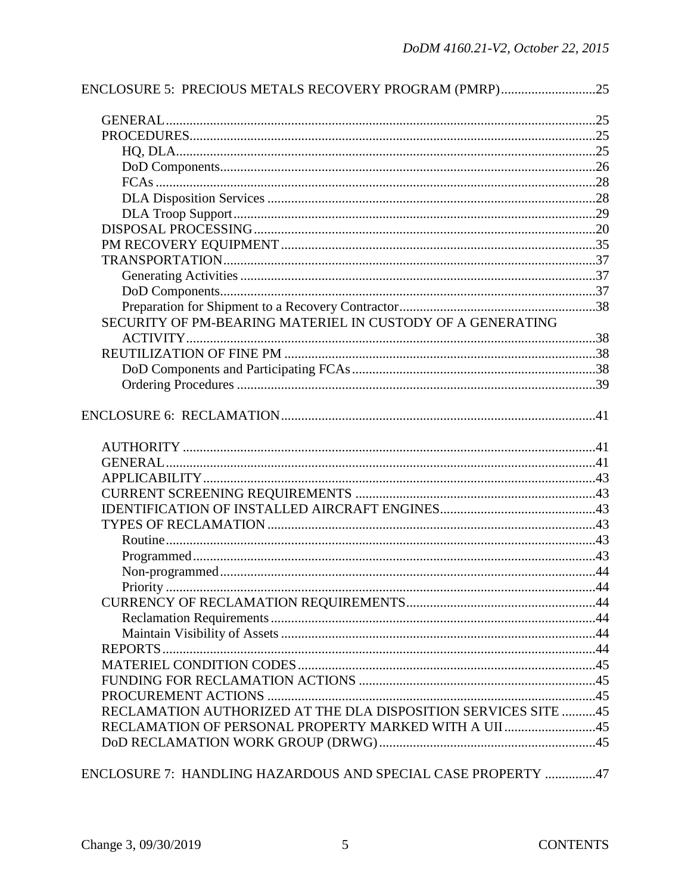| ENCLOSURE 5: PRECIOUS METALS RECOVERY PROGRAM (PMRP)25         |  |
|----------------------------------------------------------------|--|
|                                                                |  |
|                                                                |  |
|                                                                |  |
|                                                                |  |
|                                                                |  |
|                                                                |  |
|                                                                |  |
|                                                                |  |
|                                                                |  |
|                                                                |  |
|                                                                |  |
|                                                                |  |
|                                                                |  |
| SECURITY OF PM-BEARING MATERIEL IN CUSTODY OF A GENERATING     |  |
|                                                                |  |
|                                                                |  |
|                                                                |  |
|                                                                |  |
|                                                                |  |
|                                                                |  |
|                                                                |  |
|                                                                |  |
|                                                                |  |
|                                                                |  |
|                                                                |  |
|                                                                |  |
|                                                                |  |
|                                                                |  |
|                                                                |  |
|                                                                |  |
|                                                                |  |
|                                                                |  |
|                                                                |  |
|                                                                |  |
|                                                                |  |
|                                                                |  |
| RECLAMATION AUTHORIZED AT THE DLA DISPOSITION SERVICES SITE 45 |  |
| RECLAMATION OF PERSONAL PROPERTY MARKED WITH A UII 45          |  |
|                                                                |  |
|                                                                |  |

ENCLOSURE 7: HANDLING HAZARDOUS AND SPECIAL CASE PROPERTY ...............47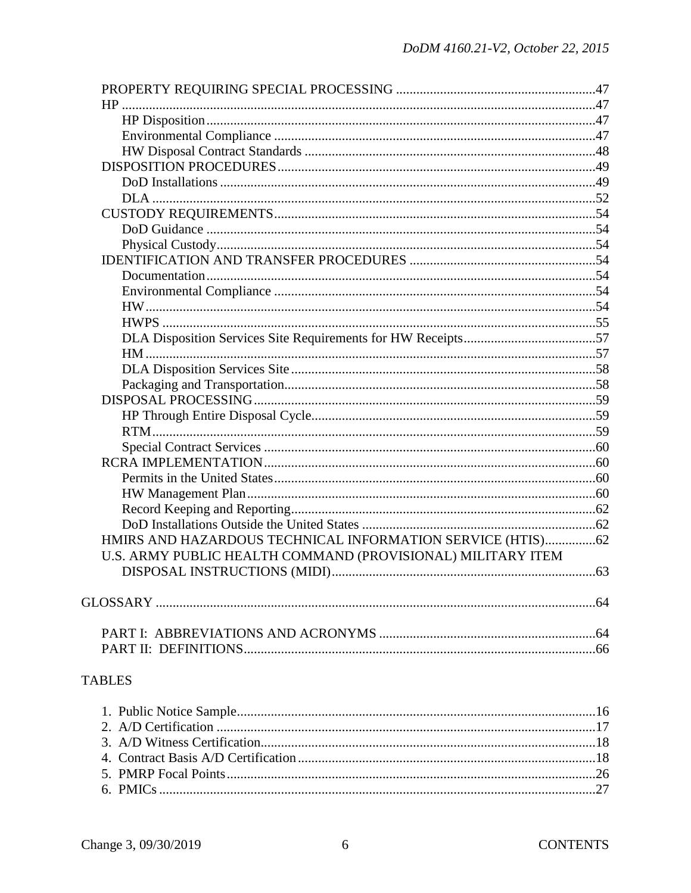| HMIRS AND HAZARDOUS TECHNICAL INFORMATION SERVICE (HTIS)62  |  |
|-------------------------------------------------------------|--|
| U.S. ARMY PUBLIC HEALTH COMMAND (PROVISIONAL) MILITARY ITEM |  |
|                                                             |  |
|                                                             |  |
|                                                             |  |
|                                                             |  |
|                                                             |  |

# **TABLES**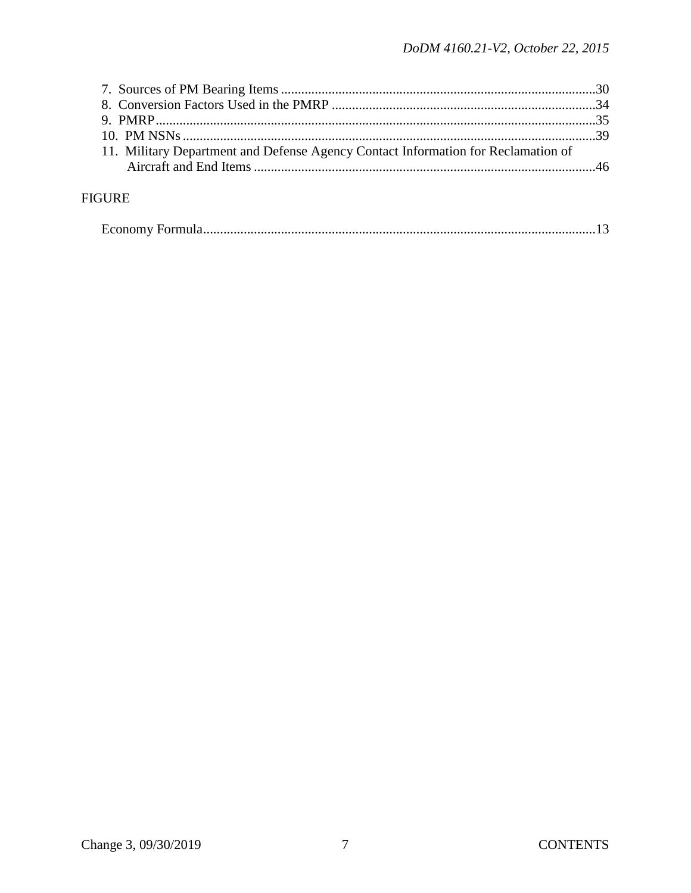| 11. Military Department and Defense Agency Contact Information for Reclamation of |  |
|-----------------------------------------------------------------------------------|--|
|                                                                                   |  |

# **FIGURE**

|--|--|--|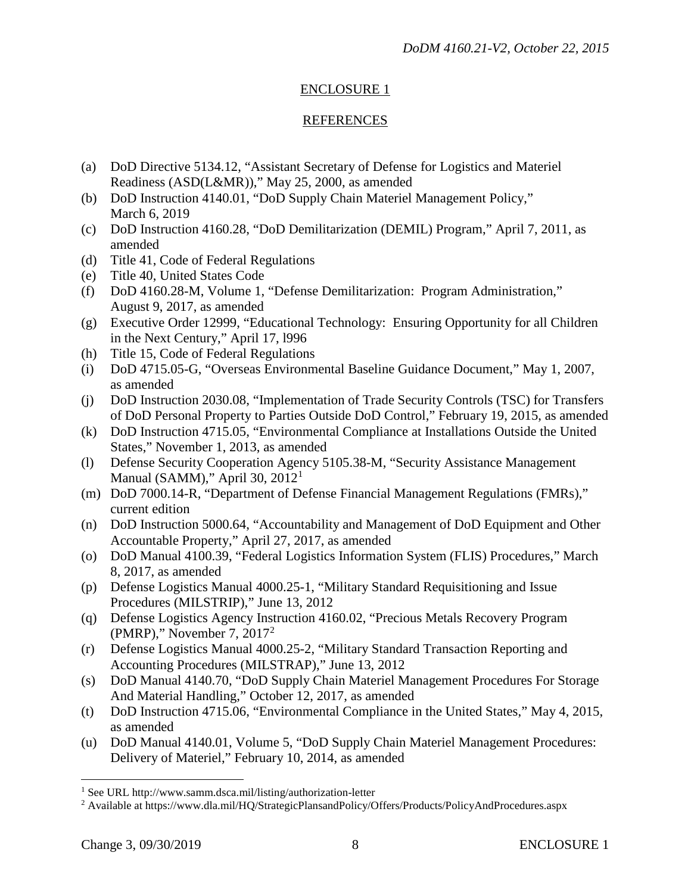# ENCLOSURE 1

#### REFERENCES

- (a) DoD Directive 5134.12, "Assistant Secretary of Defense for Logistics and Materiel Readiness (ASD(L&MR))," May 25, 2000, as amended
- (b) DoD Instruction 4140.01, "DoD Supply Chain Materiel Management Policy," March 6, 2019
- (c) DoD Instruction 4160.28, "DoD Demilitarization (DEMIL) Program," April 7, 2011, as amended
- (d) Title 41, Code of Federal Regulations
- (e) Title 40, United States Code
- (f) DoD 4160.28-M, Volume 1, "Defense Demilitarization: Program Administration," August 9, 2017, as amended
- (g) Executive Order 12999, "Educational Technology: Ensuring Opportunity for all Children in the Next Century," April 17, l996
- (h) Title 15, Code of Federal Regulations
- (i) DoD 4715.05-G, "Overseas Environmental Baseline Guidance Document," May 1, 2007, as amended
- (j) DoD Instruction 2030.08, "Implementation of Trade Security Controls (TSC) for Transfers of DoD Personal Property to Parties Outside DoD Control," February 19, 2015, as amended
- (k) DoD Instruction 4715.05, "Environmental Compliance at Installations Outside the United States," November 1, 2013, as amended
- (l) Defense Security Cooperation Agency 5105.38-M, "Security Assistance Management Manual (SAMM)," April 30,  $2012<sup>1</sup>$  $2012<sup>1</sup>$  $2012<sup>1</sup>$
- (m) DoD 7000.14-R, "Department of Defense Financial Management Regulations (FMRs)," current edition
- (n) DoD Instruction 5000.64, "Accountability and Management of DoD Equipment and Other Accountable Property," April 27, 2017, as amended
- (o) DoD Manual 4100.39, "Federal Logistics Information System (FLIS) Procedures," March 8, 2017, as amended
- (p) Defense Logistics Manual 4000.25-1, "Military Standard Requisitioning and Issue Procedures (MILSTRIP)," June 13, 2012
- (q) Defense Logistics Agency Instruction 4160.02, "Precious Metals Recovery Program (PMRP)," November 7, 2017[2](#page-7-1)
- (r) Defense Logistics Manual 4000.25-2, "Military Standard Transaction Reporting and Accounting Procedures (MILSTRAP)," June 13, 2012
- (s) DoD Manual 4140.70, "DoD Supply Chain Materiel Management Procedures For Storage And Material Handling," October 12, 2017, as amended
- (t) DoD Instruction 4715.06, "Environmental Compliance in the United States," May 4, 2015, as amended
- (u) DoD Manual 4140.01, Volume 5, "DoD Supply Chain Materiel Management Procedures: Delivery of Materiel," February 10, 2014, as amended

 $\overline{a}$ 

<span id="page-7-0"></span><sup>&</sup>lt;sup>1</sup> See URL http://www.samm.dsca.mil/listing/authorization-letter

<span id="page-7-1"></span><sup>2</sup> Available at https://www.dla.mil/HQ/StrategicPlansandPolicy/Offers/Products/PolicyAndProcedures.aspx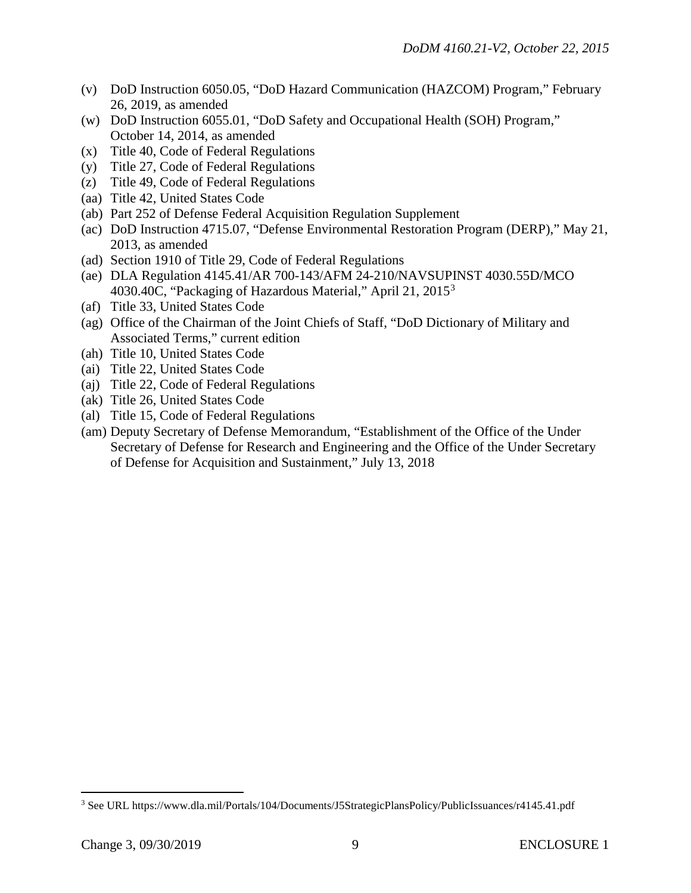- (v) DoD Instruction 6050.05, "DoD Hazard Communication (HAZCOM) Program," February 26, 2019, as amended
- (w) DoD Instruction 6055.01, "DoD Safety and Occupational Health (SOH) Program," October 14, 2014, as amended
- (x) Title 40, Code of Federal Regulations
- (y) Title 27, Code of Federal Regulations
- (z) Title 49, Code of Federal Regulations
- (aa) Title 42, United States Code
- (ab) Part 252 of Defense Federal Acquisition Regulation Supplement
- (ac) DoD Instruction 4715.07, "Defense Environmental Restoration Program (DERP)," May 21, 2013, as amended
- (ad) Section 1910 of Title 29, Code of Federal Regulations
- (ae) DLA Regulation 4145.41/AR 700-143/AFM 24-210/NAVSUPINST 4030.55D/MCO 40[3](#page-8-0)0.40C, "Packaging of Hazardous Material," April 21,  $2015^3$
- (af) Title 33, United States Code
- (ag) Office of the Chairman of the Joint Chiefs of Staff, "DoD Dictionary of Military and Associated Terms," current edition
- (ah) Title 10, United States Code
- (ai) Title 22, United States Code
- (aj) Title 22, Code of Federal Regulations
- (ak) Title 26, United States Code
- (al) Title 15, Code of Federal Regulations
- (am) Deputy Secretary of Defense Memorandum, "Establishment of the Office of the Under Secretary of Defense for Research and Engineering and the Office of the Under Secretary of Defense for Acquisition and Sustainment," July 13, 2018

 $\overline{a}$ 

<span id="page-8-0"></span><sup>3</sup> See URL https://www.dla.mil/Portals/104/Documents/J5StrategicPlansPolicy/PublicIssuances/r4145.41.pdf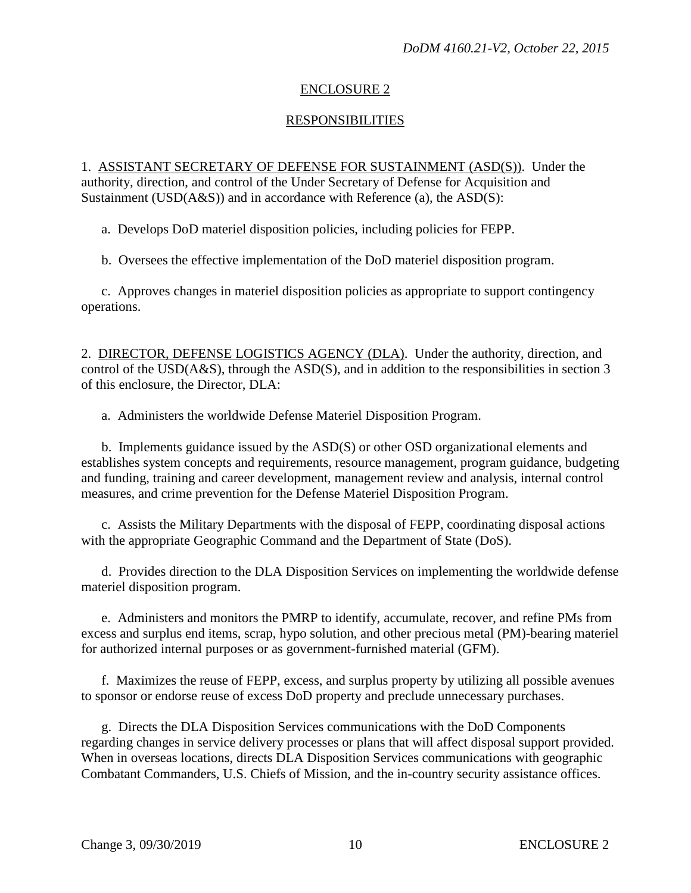# ENCLOSURE 2

# RESPONSIBILITIES

1. ASSISTANT SECRETARY OF DEFENSE FOR SUSTAINMENT (ASD(S)). Under the authority, direction, and control of the Under Secretary of Defense for Acquisition and Sustainment (USD(A&S)) and in accordance with Reference (a), the ASD(S):

a. Develops DoD materiel disposition policies, including policies for FEPP.

b. Oversees the effective implementation of the DoD materiel disposition program.

c. Approves changes in materiel disposition policies as appropriate to support contingency operations.

2. DIRECTOR, DEFENSE LOGISTICS AGENCY (DLA). Under the authority, direction, and control of the USD(A&S), through the ASD(S), and in addition to the responsibilities in section 3 of this enclosure, the Director, DLA:

a. Administers the worldwide Defense Materiel Disposition Program.

 b. Implements guidance issued by the ASD(S) or other OSD organizational elements and establishes system concepts and requirements, resource management, program guidance, budgeting and funding, training and career development, management review and analysis, internal control measures, and crime prevention for the Defense Materiel Disposition Program.

c. Assists the Military Departments with the disposal of FEPP, coordinating disposal actions with the appropriate Geographic Command and the Department of State (DoS).

 d. Provides direction to the DLA Disposition Services on implementing the worldwide defense materiel disposition program.

 e. Administers and monitors the PMRP to identify, accumulate, recover, and refine PMs from excess and surplus end items, scrap, hypo solution, and other precious metal (PM)-bearing materiel for authorized internal purposes or as government-furnished material (GFM).

f. Maximizes the reuse of FEPP, excess, and surplus property by utilizing all possible avenues to sponsor or endorse reuse of excess DoD property and preclude unnecessary purchases.

 g. Directs the DLA Disposition Services communications with the DoD Components regarding changes in service delivery processes or plans that will affect disposal support provided. When in overseas locations, directs DLA Disposition Services communications with geographic Combatant Commanders, U.S. Chiefs of Mission, and the in-country security assistance offices.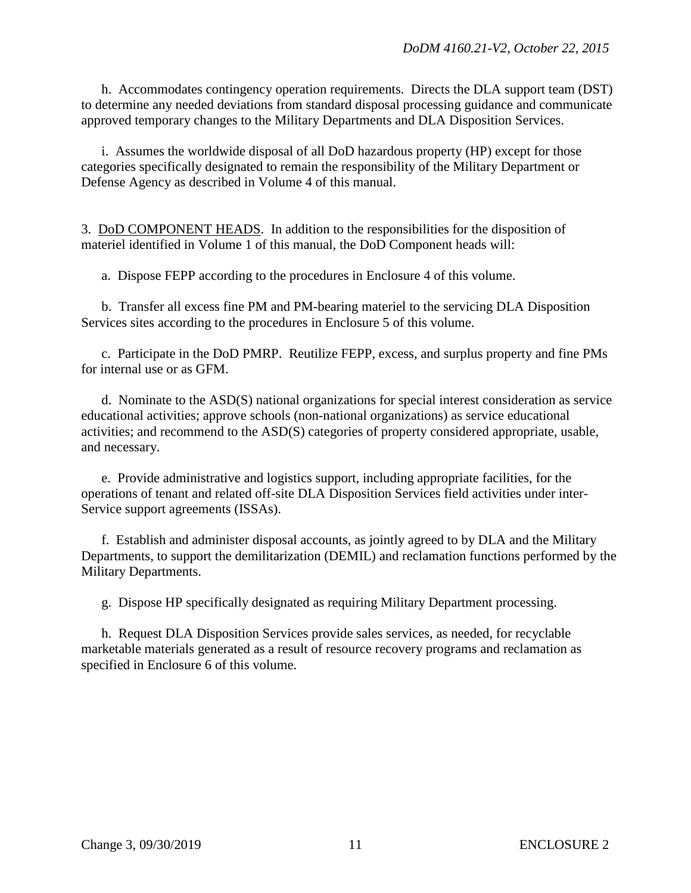h. Accommodates contingency operation requirements. Directs the DLA support team (DST) to determine any needed deviations from standard disposal processing guidance and communicate approved temporary changes to the Military Departments and DLA Disposition Services.

 i. Assumes the worldwide disposal of all DoD hazardous property (HP) except for those categories specifically designated to remain the responsibility of the Military Department or Defense Agency as described in Volume 4 of this manual.

3. DoD COMPONENT HEADS. In addition to the responsibilities for the disposition of materiel identified in Volume 1 of this manual, the DoD Component heads will:

a. Dispose FEPP according to the procedures in Enclosure 4 of this volume.

 b. Transfer all excess fine PM and PM-bearing materiel to the servicing DLA Disposition Services sites according to the procedures in Enclosure 5 of this volume.

 c. Participate in the DoD PMRP. Reutilize FEPP, excess, and surplus property and fine PMs for internal use or as GFM.

 d. Nominate to the ASD(S) national organizations for special interest consideration as service educational activities; approve schools (non-national organizations) as service educational activities; and recommend to the ASD(S) categories of property considered appropriate, usable, and necessary.

 e. Provide administrative and logistics support, including appropriate facilities, for the operations of tenant and related off-site DLA Disposition Services field activities under inter-Service support agreements (ISSAs).

 f. Establish and administer disposal accounts, as jointly agreed to by DLA and the Military Departments, to support the demilitarization (DEMIL) and reclamation functions performed by the Military Departments.

g. Dispose HP specifically designated as requiring Military Department processing.

 h. Request DLA Disposition Services provide sales services, as needed, for recyclable marketable materials generated as a result of resource recovery programs and reclamation as specified in Enclosure 6 of this volume.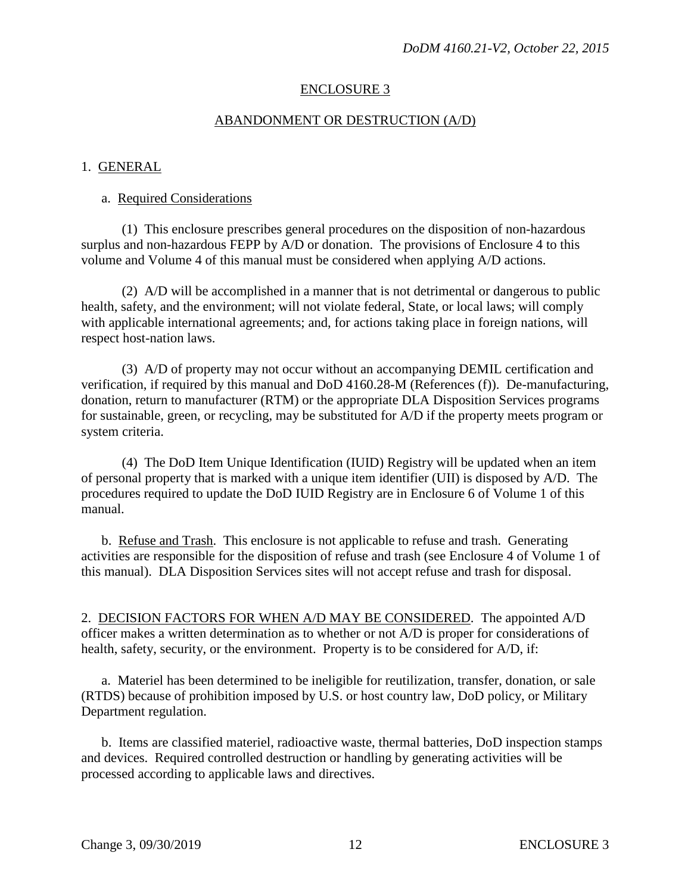### ENCLOSURE 3

#### ABANDONMENT OR DESTRUCTION (A/D)

#### 1. GENERAL

#### a. Required Considerations

 (1) This enclosure prescribes general procedures on the disposition of non-hazardous surplus and non-hazardous FEPP by A/D or donation. The provisions of Enclosure 4 to this volume and Volume 4 of this manual must be considered when applying A/D actions.

 (2) A/D will be accomplished in a manner that is not detrimental or dangerous to public health, safety, and the environment; will not violate federal, State, or local laws; will comply with applicable international agreements; and, for actions taking place in foreign nations, will respect host-nation laws.

 (3) A/D of property may not occur without an accompanying DEMIL certification and verification, if required by this manual and DoD 4160.28-M (References (f)). De-manufacturing, donation, return to manufacturer (RTM) or the appropriate DLA Disposition Services programs for sustainable, green, or recycling, may be substituted for A/D if the property meets program or system criteria.

 (4) The DoD Item Unique Identification (IUID) Registry will be updated when an item of personal property that is marked with a unique item identifier (UII) is disposed by A/D. The procedures required to update the DoD IUID Registry are in Enclosure 6 of Volume 1 of this manual.

 b. Refuse and Trash. This enclosure is not applicable to refuse and trash. Generating activities are responsible for the disposition of refuse and trash (see Enclosure 4 of Volume 1 of this manual). DLA Disposition Services sites will not accept refuse and trash for disposal.

2. DECISION FACTORS FOR WHEN A/D MAY BE CONSIDERED. The appointed A/D officer makes a written determination as to whether or not A/D is proper for considerations of health, safety, security, or the environment. Property is to be considered for A/D, if:

 a. Materiel has been determined to be ineligible for reutilization, transfer, donation, or sale (RTDS) because of prohibition imposed by U.S. or host country law, DoD policy, or Military Department regulation.

 b. Items are classified materiel, radioactive waste, thermal batteries, DoD inspection stamps and devices. Required controlled destruction or handling by generating activities will be processed according to applicable laws and directives.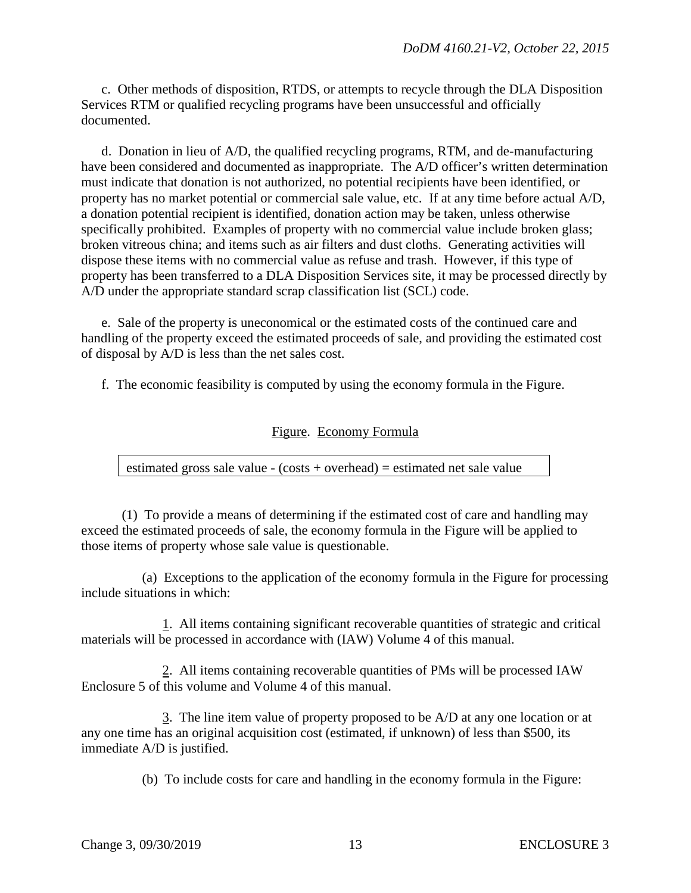c. Other methods of disposition, RTDS, or attempts to recycle through the DLA Disposition Services RTM or qualified recycling programs have been unsuccessful and officially documented.

 d. Donation in lieu of A/D, the qualified recycling programs, RTM, and de-manufacturing have been considered and documented as inappropriate. The A/D officer's written determination must indicate that donation is not authorized, no potential recipients have been identified, or property has no market potential or commercial sale value, etc. If at any time before actual A/D, a donation potential recipient is identified, donation action may be taken, unless otherwise specifically prohibited. Examples of property with no commercial value include broken glass; broken vitreous china; and items such as air filters and dust cloths. Generating activities will dispose these items with no commercial value as refuse and trash. However, if this type of property has been transferred to a DLA Disposition Services site, it may be processed directly by A/D under the appropriate standard scrap classification list (SCL) code.

 e. Sale of the property is uneconomical or the estimated costs of the continued care and handling of the property exceed the estimated proceeds of sale, and providing the estimated cost of disposal by A/D is less than the net sales cost.

f. The economic feasibility is computed by using the economy formula in the Figure.

# Figure. Economy Formula

estimated gross sale value - (costs + overhead) = estimated net sale value

 (1) To provide a means of determining if the estimated cost of care and handling may exceed the estimated proceeds of sale, the economy formula in the Figure will be applied to those items of property whose sale value is questionable.

 (a) Exceptions to the application of the economy formula in the Figure for processing include situations in which:

 1. All items containing significant recoverable quantities of strategic and critical materials will be processed in accordance with (IAW) Volume 4 of this manual.

 2. All items containing recoverable quantities of PMs will be processed IAW Enclosure 5 of this volume and Volume 4 of this manual.

 3. The line item value of property proposed to be A/D at any one location or at any one time has an original acquisition cost (estimated, if unknown) of less than \$500, its immediate A/D is justified.

(b) To include costs for care and handling in the economy formula in the Figure: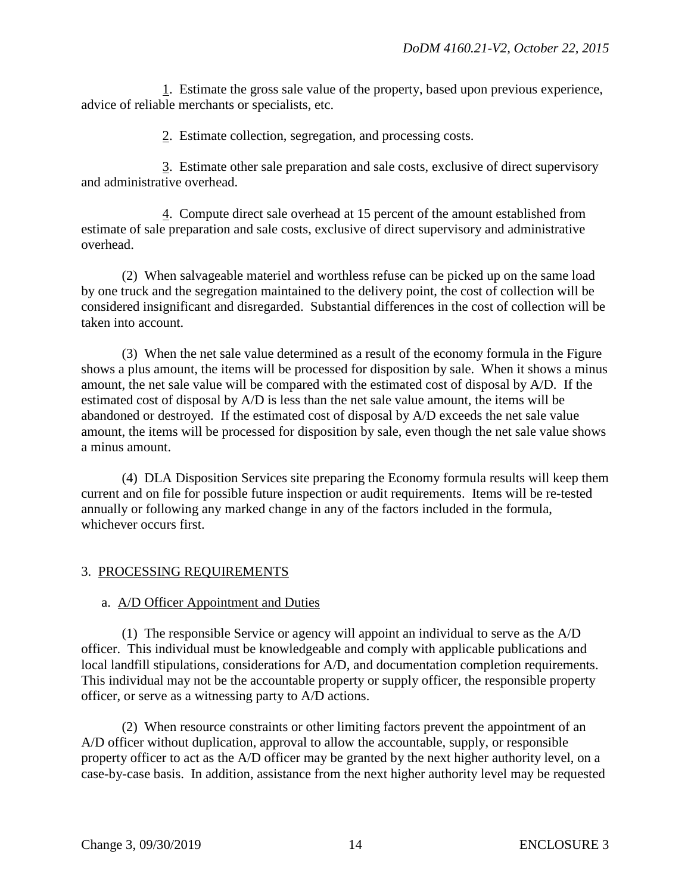1. Estimate the gross sale value of the property, based upon previous experience, advice of reliable merchants or specialists, etc.

2. Estimate collection, segregation, and processing costs.

 3. Estimate other sale preparation and sale costs, exclusive of direct supervisory and administrative overhead.

 4. Compute direct sale overhead at 15 percent of the amount established from estimate of sale preparation and sale costs, exclusive of direct supervisory and administrative overhead.

 (2) When salvageable materiel and worthless refuse can be picked up on the same load by one truck and the segregation maintained to the delivery point, the cost of collection will be considered insignificant and disregarded. Substantial differences in the cost of collection will be taken into account.

 (3) When the net sale value determined as a result of the economy formula in the Figure shows a plus amount, the items will be processed for disposition by sale. When it shows a minus amount, the net sale value will be compared with the estimated cost of disposal by A/D. If the estimated cost of disposal by A/D is less than the net sale value amount, the items will be abandoned or destroyed. If the estimated cost of disposal by A/D exceeds the net sale value amount, the items will be processed for disposition by sale, even though the net sale value shows a minus amount.

 (4) DLA Disposition Services site preparing the Economy formula results will keep them current and on file for possible future inspection or audit requirements. Items will be re-tested annually or following any marked change in any of the factors included in the formula, whichever occurs first.

#### 3. PROCESSING REQUIREMENTS

#### a. A/D Officer Appointment and Duties

 (1) The responsible Service or agency will appoint an individual to serve as the A/D officer. This individual must be knowledgeable and comply with applicable publications and local landfill stipulations, considerations for A/D, and documentation completion requirements. This individual may not be the accountable property or supply officer, the responsible property officer, or serve as a witnessing party to A/D actions.

 (2) When resource constraints or other limiting factors prevent the appointment of an A/D officer without duplication, approval to allow the accountable, supply, or responsible property officer to act as the A/D officer may be granted by the next higher authority level, on a case-by-case basis. In addition, assistance from the next higher authority level may be requested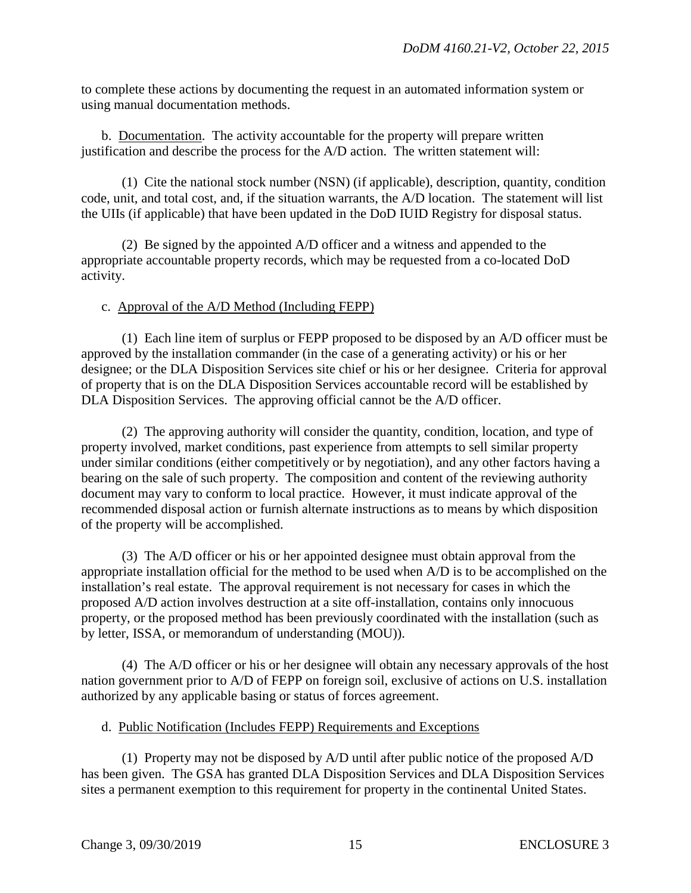to complete these actions by documenting the request in an automated information system or using manual documentation methods.

 b. Documentation. The activity accountable for the property will prepare written justification and describe the process for the A/D action. The written statement will:

 (1) Cite the national stock number (NSN) (if applicable), description, quantity, condition code, unit, and total cost, and, if the situation warrants, the A/D location. The statement will list the UIIs (if applicable) that have been updated in the DoD IUID Registry for disposal status.

 (2) Be signed by the appointed A/D officer and a witness and appended to the appropriate accountable property records, which may be requested from a co-located DoD activity.

#### c. Approval of the A/D Method (Including FEPP)

 (1) Each line item of surplus or FEPP proposed to be disposed by an A/D officer must be approved by the installation commander (in the case of a generating activity) or his or her designee; or the DLA Disposition Services site chief or his or her designee. Criteria for approval of property that is on the DLA Disposition Services accountable record will be established by DLA Disposition Services. The approving official cannot be the A/D officer.

 (2) The approving authority will consider the quantity, condition, location, and type of property involved, market conditions, past experience from attempts to sell similar property under similar conditions (either competitively or by negotiation), and any other factors having a bearing on the sale of such property. The composition and content of the reviewing authority document may vary to conform to local practice. However, it must indicate approval of the recommended disposal action or furnish alternate instructions as to means by which disposition of the property will be accomplished.

 (3) The A/D officer or his or her appointed designee must obtain approval from the appropriate installation official for the method to be used when A/D is to be accomplished on the installation's real estate. The approval requirement is not necessary for cases in which the proposed A/D action involves destruction at a site off-installation, contains only innocuous property, or the proposed method has been previously coordinated with the installation (such as by letter, ISSA, or memorandum of understanding (MOU)).

 (4) The A/D officer or his or her designee will obtain any necessary approvals of the host nation government prior to A/D of FEPP on foreign soil, exclusive of actions on U.S. installation authorized by any applicable basing or status of forces agreement.

#### d. Public Notification (Includes FEPP) Requirements and Exceptions

 (1) Property may not be disposed by A/D until after public notice of the proposed A/D has been given. The GSA has granted DLA Disposition Services and DLA Disposition Services sites a permanent exemption to this requirement for property in the continental United States.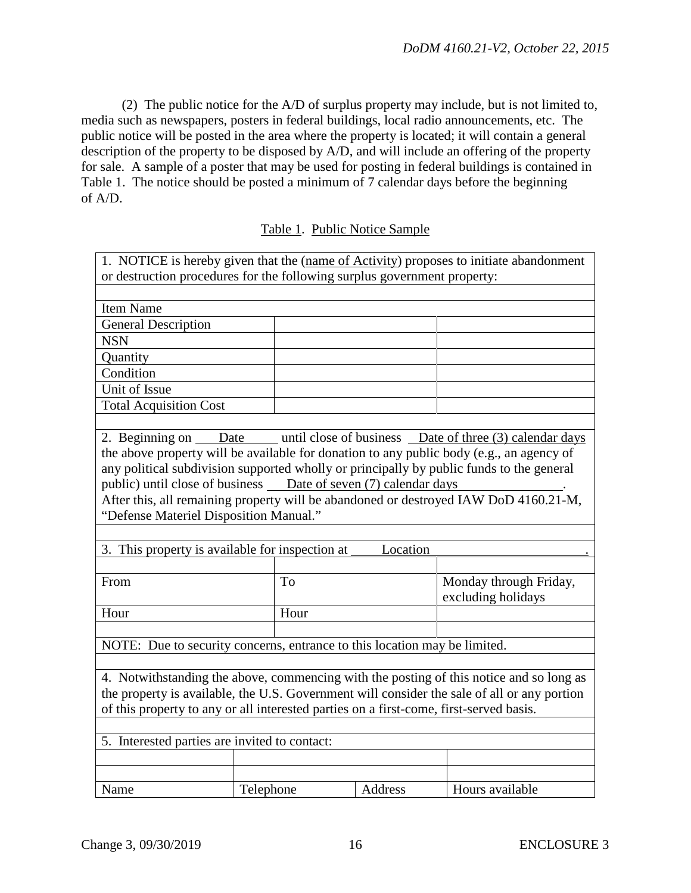(2) The public notice for the A/D of surplus property may include, but is not limited to, media such as newspapers, posters in federal buildings, local radio announcements, etc. The public notice will be posted in the area where the property is located; it will contain a general description of the property to be disposed by A/D, and will include an offering of the property for sale. A sample of a poster that may be used for posting in federal buildings is contained in Table 1. The notice should be posted a minimum of 7 calendar days before the beginning of A/D.

Table 1. Public Notice Sample

| 1. NOTICE is hereby given that the (name of Activity) proposes to initiate abandonment      |  |      |  |                                                                                          |
|---------------------------------------------------------------------------------------------|--|------|--|------------------------------------------------------------------------------------------|
| or destruction procedures for the following surplus government property:                    |  |      |  |                                                                                          |
|                                                                                             |  |      |  |                                                                                          |
| Item Name                                                                                   |  |      |  |                                                                                          |
| <b>General Description</b>                                                                  |  |      |  |                                                                                          |
| <b>NSN</b>                                                                                  |  |      |  |                                                                                          |
| Quantity                                                                                    |  |      |  |                                                                                          |
| Condition                                                                                   |  |      |  |                                                                                          |
| Unit of Issue                                                                               |  |      |  |                                                                                          |
| <b>Total Acquisition Cost</b>                                                               |  |      |  |                                                                                          |
|                                                                                             |  |      |  |                                                                                          |
|                                                                                             |  |      |  | 2. Beginning on Date until close of business Date of three (3) calendar days             |
|                                                                                             |  |      |  | the above property will be available for donation to any public body (e.g., an agency of |
|                                                                                             |  |      |  | any political subdivision supported wholly or principally by public funds to the general |
| public) until close of business ___ Date of seven (7) calendar days                         |  |      |  |                                                                                          |
|                                                                                             |  |      |  | After this, all remaining property will be abandoned or destroyed IAW DoD 4160.21-M,     |
| "Defense Materiel Disposition Manual."                                                      |  |      |  |                                                                                          |
|                                                                                             |  |      |  |                                                                                          |
| 3. This property is available for inspection at<br>Location                                 |  |      |  |                                                                                          |
|                                                                                             |  |      |  |                                                                                          |
| From                                                                                        |  | To   |  | Monday through Friday,                                                                   |
|                                                                                             |  |      |  | excluding holidays                                                                       |
| Hour                                                                                        |  | Hour |  |                                                                                          |
|                                                                                             |  |      |  |                                                                                          |
| NOTE: Due to security concerns, entrance to this location may be limited.                   |  |      |  |                                                                                          |
|                                                                                             |  |      |  |                                                                                          |
| 4. Notwithstanding the above, commencing with the posting of this notice and so long as     |  |      |  |                                                                                          |
| the property is available, the U.S. Government will consider the sale of all or any portion |  |      |  |                                                                                          |
| of this property to any or all interested parties on a first-come, first-served basis.      |  |      |  |                                                                                          |
|                                                                                             |  |      |  |                                                                                          |
|                                                                                             |  |      |  |                                                                                          |
| 5. Interested parties are invited to contact:                                               |  |      |  |                                                                                          |
|                                                                                             |  |      |  |                                                                                          |
|                                                                                             |  |      |  | Hours available                                                                          |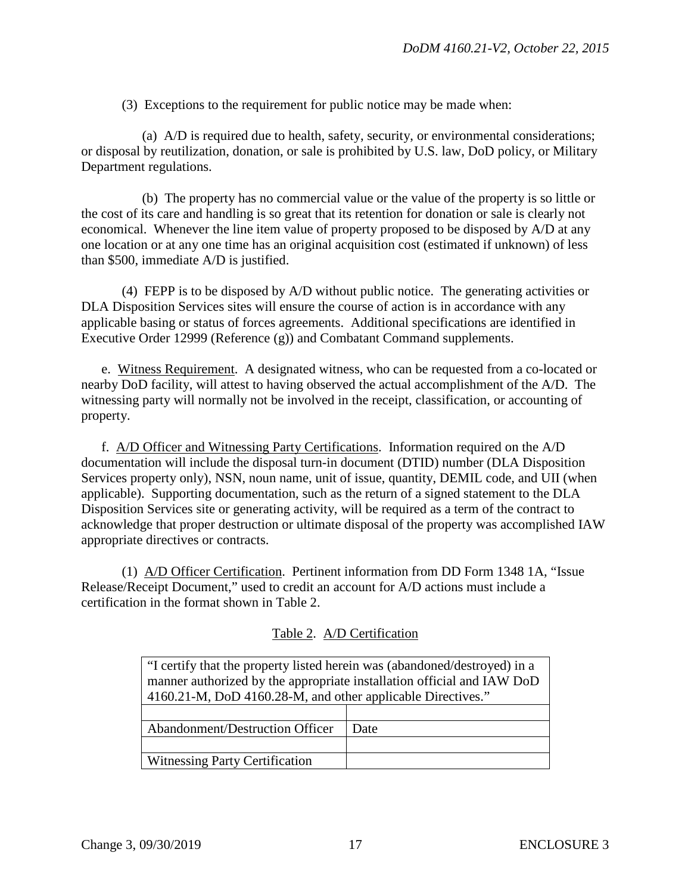(3) Exceptions to the requirement for public notice may be made when:

 (a) A/D is required due to health, safety, security, or environmental considerations; or disposal by reutilization, donation, or sale is prohibited by U.S. law, DoD policy, or Military Department regulations.

 (b) The property has no commercial value or the value of the property is so little or the cost of its care and handling is so great that its retention for donation or sale is clearly not economical. Whenever the line item value of property proposed to be disposed by A/D at any one location or at any one time has an original acquisition cost (estimated if unknown) of less than \$500, immediate A/D is justified.

 (4) FEPP is to be disposed by A/D without public notice. The generating activities or DLA Disposition Services sites will ensure the course of action is in accordance with any applicable basing or status of forces agreements. Additional specifications are identified in Executive Order 12999 (Reference (g)) and Combatant Command supplements.

e. Witness Requirement. A designated witness, who can be requested from a co-located or nearby DoD facility, will attest to having observed the actual accomplishment of the A/D. The witnessing party will normally not be involved in the receipt, classification, or accounting of property.

f. A/D Officer and Witnessing Party Certifications. Information required on the A/D documentation will include the disposal turn-in document (DTID) number (DLA Disposition Services property only), NSN, noun name, unit of issue, quantity, DEMIL code, and UII (when applicable). Supporting documentation, such as the return of a signed statement to the DLA Disposition Services site or generating activity, will be required as a term of the contract to acknowledge that proper destruction or ultimate disposal of the property was accomplished IAW appropriate directives or contracts.

 (1) A/D Officer Certification. Pertinent information from DD Form 1348 1A, "Issue Release/Receipt Document," used to credit an account for A/D actions must include a certification in the format shown in Table 2.

| "I certify that the property listed herein was (abandoned/destroyed) in a |      |  |
|---------------------------------------------------------------------------|------|--|
| manner authorized by the appropriate installation official and IAW DoD    |      |  |
| 4160.21-M, DoD 4160.28-M, and other applicable Directives."               |      |  |
|                                                                           |      |  |
| <b>Abandonment/Destruction Officer</b>                                    | Date |  |
|                                                                           |      |  |
| <b>Witnessing Party Certification</b>                                     |      |  |

#### Table 2. A/D Certification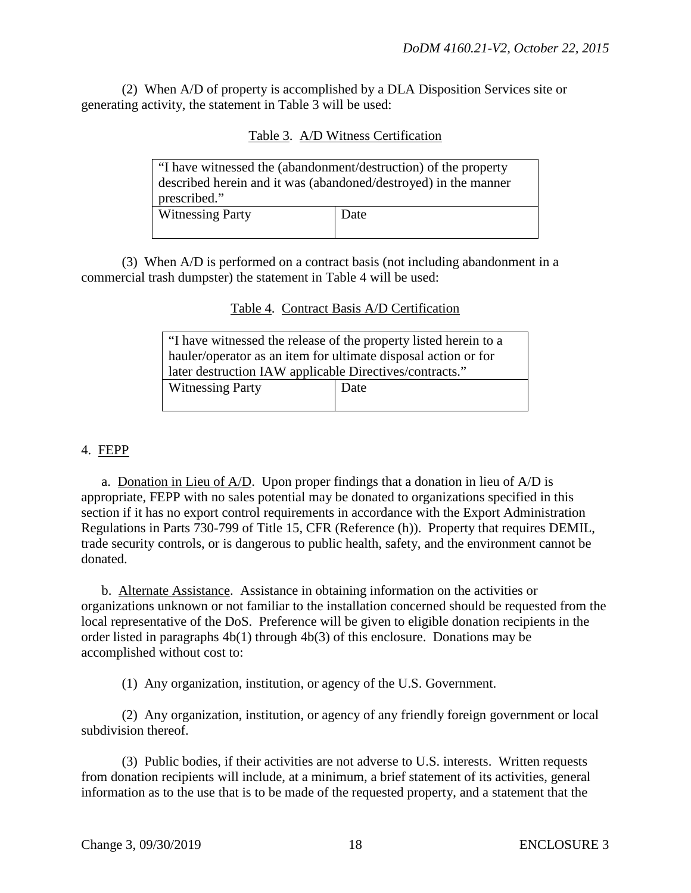(2) When A/D of property is accomplished by a DLA Disposition Services site or generating activity, the statement in Table 3 will be used:

| Table 3. A/D Witness Certification |
|------------------------------------|
|------------------------------------|

| "I have witnessed the (abandonment/destruction) of the property<br>described herein and it was (abandoned/destroyed) in the manner<br>prescribed." |      |
|----------------------------------------------------------------------------------------------------------------------------------------------------|------|
| <b>Witnessing Party</b>                                                                                                                            | Date |

 (3) When A/D is performed on a contract basis (not including abandonment in a commercial trash dumpster) the statement in Table 4 will be used:

#### Table 4. Contract Basis A/D Certification

| If the virtuessed the release of the property listed herein to a |      |  |
|------------------------------------------------------------------|------|--|
| hauler/operator as an item for ultimate disposal action or for   |      |  |
| later destruction IAW applicable Directives/contracts."          |      |  |
| <b>Witnessing Party</b>                                          | Date |  |
|                                                                  |      |  |

#### 4. FEPP

a. Donation in Lieu of A/D. Upon proper findings that a donation in lieu of A/D is appropriate, FEPP with no sales potential may be donated to organizations specified in this section if it has no export control requirements in accordance with the Export Administration Regulations in Parts 730-799 of Title 15, CFR (Reference (h)). Property that requires DEMIL, trade security controls, or is dangerous to public health, safety, and the environment cannot be donated.

 b. Alternate Assistance. Assistance in obtaining information on the activities or organizations unknown or not familiar to the installation concerned should be requested from the local representative of the DoS. Preference will be given to eligible donation recipients in the order listed in paragraphs 4b(1) through 4b(3) of this enclosure. Donations may be accomplished without cost to:

(1) Any organization, institution, or agency of the U.S. Government.

 (2) Any organization, institution, or agency of any friendly foreign government or local subdivision thereof.

 (3) Public bodies, if their activities are not adverse to U.S. interests. Written requests from donation recipients will include, at a minimum, a brief statement of its activities, general information as to the use that is to be made of the requested property, and a statement that the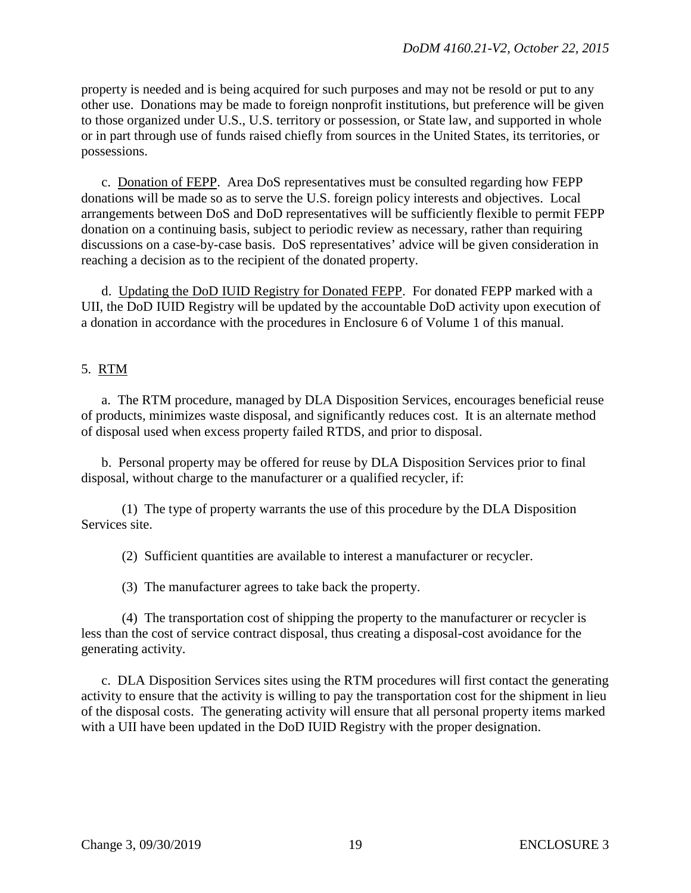property is needed and is being acquired for such purposes and may not be resold or put to any other use. Donations may be made to foreign nonprofit institutions, but preference will be given to those organized under U.S., U.S. territory or possession, or State law, and supported in whole or in part through use of funds raised chiefly from sources in the United States, its territories, or possessions.

c. Donation of FEPP. Area DoS representatives must be consulted regarding how FEPP donations will be made so as to serve the U.S. foreign policy interests and objectives. Local arrangements between DoS and DoD representatives will be sufficiently flexible to permit FEPP donation on a continuing basis, subject to periodic review as necessary, rather than requiring discussions on a case-by-case basis. DoS representatives' advice will be given consideration in reaching a decision as to the recipient of the donated property.

 d. Updating the DoD IUID Registry for Donated FEPP. For donated FEPP marked with a UII, the DoD IUID Registry will be updated by the accountable DoD activity upon execution of a donation in accordance with the procedures in Enclosure 6 of Volume 1 of this manual.

# 5. RTM

a. The RTM procedure, managed by DLA Disposition Services, encourages beneficial reuse of products, minimizes waste disposal, and significantly reduces cost. It is an alternate method of disposal used when excess property failed RTDS, and prior to disposal.

 b. Personal property may be offered for reuse by DLA Disposition Services prior to final disposal, without charge to the manufacturer or a qualified recycler, if:

 (1) The type of property warrants the use of this procedure by the DLA Disposition Services site.

(2) Sufficient quantities are available to interest a manufacturer or recycler.

(3) The manufacturer agrees to take back the property.

 (4) The transportation cost of shipping the property to the manufacturer or recycler is less than the cost of service contract disposal, thus creating a disposal-cost avoidance for the generating activity.

c. DLA Disposition Services sites using the RTM procedures will first contact the generating activity to ensure that the activity is willing to pay the transportation cost for the shipment in lieu of the disposal costs. The generating activity will ensure that all personal property items marked with a UII have been updated in the DoD IUID Registry with the proper designation.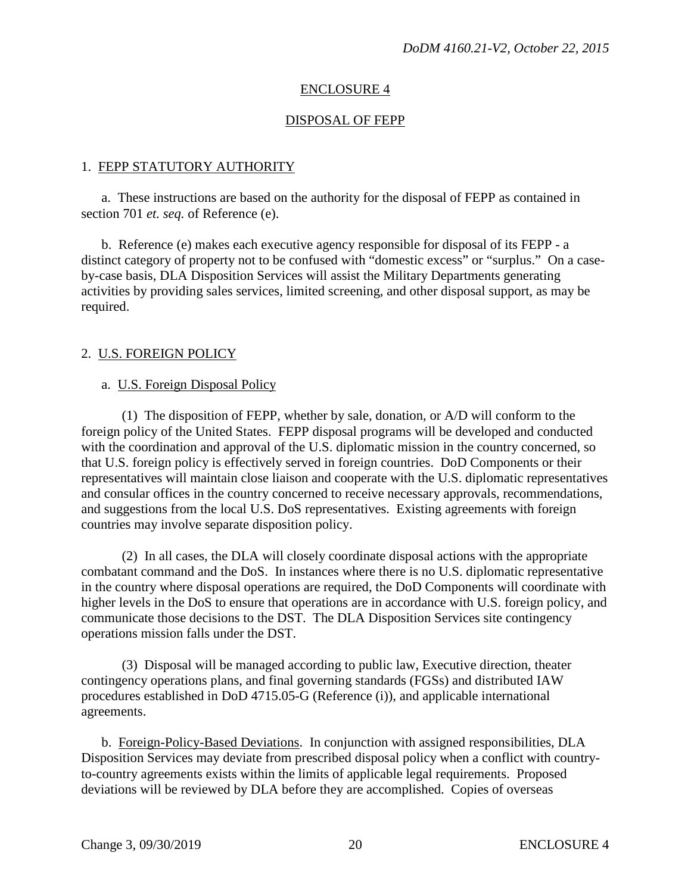# ENCLOSURE 4

# DISPOSAL OF FEPP

#### 1. FEPP STATUTORY AUTHORITY

a. These instructions are based on the authority for the disposal of FEPP as contained in section 701 *et. seq.* of Reference (e).

 b. Reference (e) makes each executive agency responsible for disposal of its FEPP - a distinct category of property not to be confused with "domestic excess" or "surplus." On a caseby-case basis, DLA Disposition Services will assist the Military Departments generating activities by providing sales services, limited screening, and other disposal support, as may be required.

#### 2. U.S. FOREIGN POLICY

#### a. U.S. Foreign Disposal Policy

 (1) The disposition of FEPP, whether by sale, donation, or A/D will conform to the foreign policy of the United States. FEPP disposal programs will be developed and conducted with the coordination and approval of the U.S. diplomatic mission in the country concerned, so that U.S. foreign policy is effectively served in foreign countries. DoD Components or their representatives will maintain close liaison and cooperate with the U.S. diplomatic representatives and consular offices in the country concerned to receive necessary approvals, recommendations, and suggestions from the local U.S. DoS representatives. Existing agreements with foreign countries may involve separate disposition policy.

 (2) In all cases, the DLA will closely coordinate disposal actions with the appropriate combatant command and the DoS. In instances where there is no U.S. diplomatic representative in the country where disposal operations are required, the DoD Components will coordinate with higher levels in the DoS to ensure that operations are in accordance with U.S. foreign policy, and communicate those decisions to the DST. The DLA Disposition Services site contingency operations mission falls under the DST.

 (3) Disposal will be managed according to public law, Executive direction, theater contingency operations plans, and final governing standards (FGSs) and distributed IAW procedures established in DoD 4715.05-G (Reference (i)), and applicable international agreements.

 b. Foreign-Policy-Based Deviations. In conjunction with assigned responsibilities, DLA Disposition Services may deviate from prescribed disposal policy when a conflict with countryto-country agreements exists within the limits of applicable legal requirements. Proposed deviations will be reviewed by DLA before they are accomplished. Copies of overseas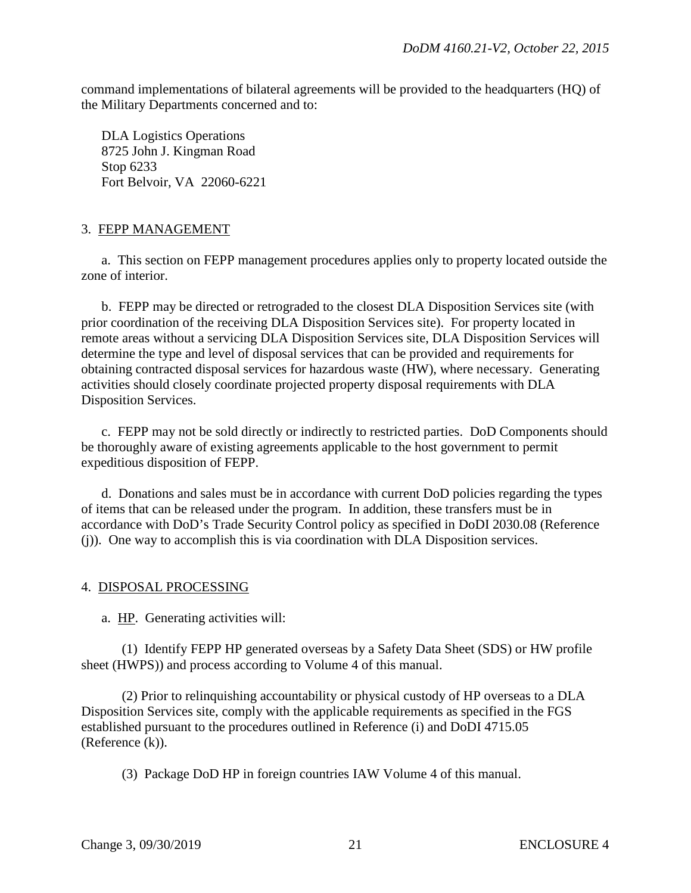command implementations of bilateral agreements will be provided to the headquarters (HQ) of the Military Departments concerned and to:

DLA Logistics Operations 8725 John J. Kingman Road Stop 6233 Fort Belvoir, VA 22060-6221

# 3. FEPP MANAGEMENT

a. This section on FEPP management procedures applies only to property located outside the zone of interior.

 b. FEPP may be directed or retrograded to the closest DLA Disposition Services site (with prior coordination of the receiving DLA Disposition Services site). For property located in remote areas without a servicing DLA Disposition Services site, DLA Disposition Services will determine the type and level of disposal services that can be provided and requirements for obtaining contracted disposal services for hazardous waste (HW), where necessary. Generating activities should closely coordinate projected property disposal requirements with DLA Disposition Services.

c. FEPP may not be sold directly or indirectly to restricted parties. DoD Components should be thoroughly aware of existing agreements applicable to the host government to permit expeditious disposition of FEPP.

 d. Donations and sales must be in accordance with current DoD policies regarding the types of items that can be released under the program. In addition, these transfers must be in accordance with DoD's Trade Security Control policy as specified in DoDI 2030.08 (Reference (j)). One way to accomplish this is via coordination with DLA Disposition services.

#### 4. DISPOSAL PROCESSING

a. HP. Generating activities will:

 (1) Identify FEPP HP generated overseas by a Safety Data Sheet (SDS) or HW profile sheet (HWPS)) and process according to Volume 4 of this manual.

 (2) Prior to relinquishing accountability or physical custody of HP overseas to a DLA Disposition Services site, comply with the applicable requirements as specified in the FGS established pursuant to the procedures outlined in Reference (i) and DoDI 4715.05 (Reference (k)).

(3) Package DoD HP in foreign countries IAW Volume 4 of this manual.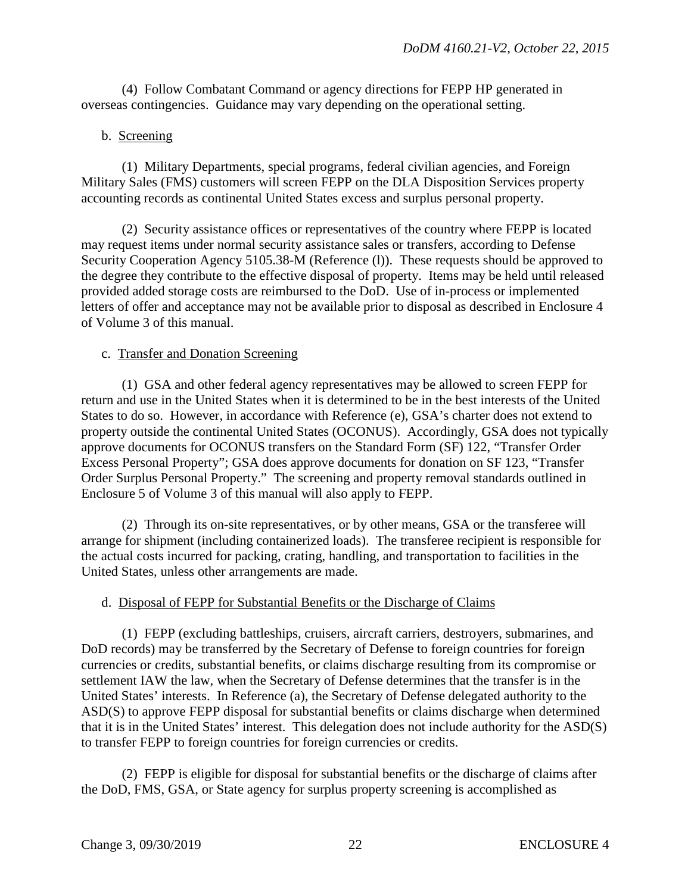(4) Follow Combatant Command or agency directions for FEPP HP generated in overseas contingencies. Guidance may vary depending on the operational setting.

# b. Screening

 (1) Military Departments, special programs, federal civilian agencies, and Foreign Military Sales (FMS) customers will screen FEPP on the DLA Disposition Services property accounting records as continental United States excess and surplus personal property.

 (2) Security assistance offices or representatives of the country where FEPP is located may request items under normal security assistance sales or transfers, according to Defense Security Cooperation Agency 5105.38-M (Reference (1)). These requests should be approved to the degree they contribute to the effective disposal of property. Items may be held until released provided added storage costs are reimbursed to the DoD. Use of in-process or implemented letters of offer and acceptance may not be available prior to disposal as described in Enclosure 4 of Volume 3 of this manual.

# c. Transfer and Donation Screening

 (1) GSA and other federal agency representatives may be allowed to screen FEPP for return and use in the United States when it is determined to be in the best interests of the United States to do so. However, in accordance with Reference (e), GSA's charter does not extend to property outside the continental United States (OCONUS). Accordingly, GSA does not typically approve documents for OCONUS transfers on the Standard Form (SF) 122, "Transfer Order Excess Personal Property"; GSA does approve documents for donation on SF 123, "Transfer Order Surplus Personal Property." The screening and property removal standards outlined in Enclosure 5 of Volume 3 of this manual will also apply to FEPP.

 (2) Through its on-site representatives, or by other means, GSA or the transferee will arrange for shipment (including containerized loads). The transferee recipient is responsible for the actual costs incurred for packing, crating, handling, and transportation to facilities in the United States, unless other arrangements are made.

# d. Disposal of FEPP for Substantial Benefits or the Discharge of Claims

 (1) FEPP (excluding battleships, cruisers, aircraft carriers, destroyers, submarines, and DoD records) may be transferred by the Secretary of Defense to foreign countries for foreign currencies or credits, substantial benefits, or claims discharge resulting from its compromise or settlement IAW the law, when the Secretary of Defense determines that the transfer is in the United States' interests. In Reference (a), the Secretary of Defense delegated authority to the ASD(S) to approve FEPP disposal for substantial benefits or claims discharge when determined that it is in the United States' interest. This delegation does not include authority for the ASD(S) to transfer FEPP to foreign countries for foreign currencies or credits.

 (2) FEPP is eligible for disposal for substantial benefits or the discharge of claims after the DoD, FMS, GSA, or State agency for surplus property screening is accomplished as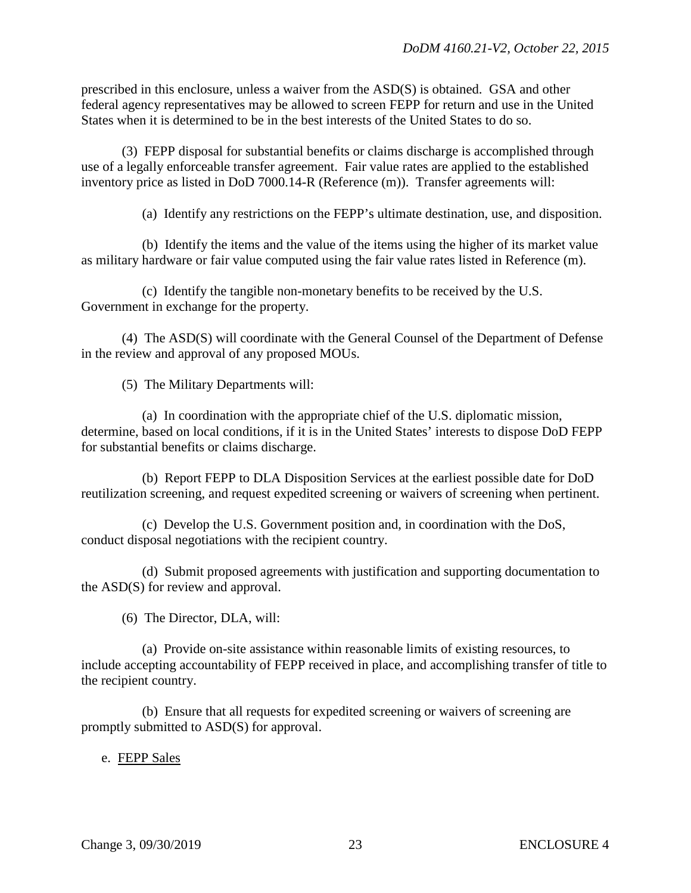prescribed in this enclosure, unless a waiver from the ASD(S) is obtained. GSA and other federal agency representatives may be allowed to screen FEPP for return and use in the United States when it is determined to be in the best interests of the United States to do so.

(3) FEPP disposal for substantial benefits or claims discharge is accomplished through use of a legally enforceable transfer agreement. Fair value rates are applied to the established inventory price as listed in DoD 7000.14-R (Reference (m)). Transfer agreements will:

(a) Identify any restrictions on the FEPP's ultimate destination, use, and disposition.

(b) Identify the items and the value of the items using the higher of its market value as military hardware or fair value computed using the fair value rates listed in Reference (m).

(c) Identify the tangible non-monetary benefits to be received by the U.S. Government in exchange for the property.

 (4) The ASD(S) will coordinate with the General Counsel of the Department of Defense in the review and approval of any proposed MOUs.

(5) The Military Departments will:

 (a) In coordination with the appropriate chief of the U.S. diplomatic mission, determine, based on local conditions, if it is in the United States' interests to dispose DoD FEPP for substantial benefits or claims discharge.

 (b) Report FEPP to DLA Disposition Services at the earliest possible date for DoD reutilization screening, and request expedited screening or waivers of screening when pertinent.

 (c) Develop the U.S. Government position and, in coordination with the DoS, conduct disposal negotiations with the recipient country.

 (d) Submit proposed agreements with justification and supporting documentation to the ASD(S) for review and approval.

(6) The Director, DLA, will:

 (a) Provide on-site assistance within reasonable limits of existing resources, to include accepting accountability of FEPP received in place, and accomplishing transfer of title to the recipient country.

 (b) Ensure that all requests for expedited screening or waivers of screening are promptly submitted to ASD(S) for approval.

#### e. FEPP Sales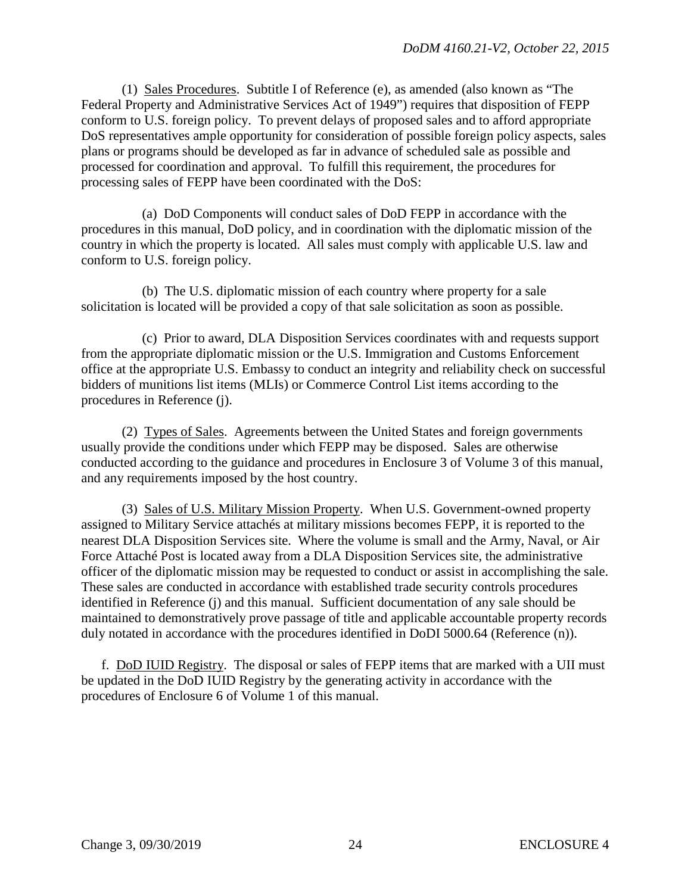(1) Sales Procedures. Subtitle I of Reference (e), as amended (also known as "The Federal Property and Administrative Services Act of 1949") requires that disposition of FEPP conform to U.S. foreign policy. To prevent delays of proposed sales and to afford appropriate DoS representatives ample opportunity for consideration of possible foreign policy aspects, sales plans or programs should be developed as far in advance of scheduled sale as possible and processed for coordination and approval. To fulfill this requirement, the procedures for processing sales of FEPP have been coordinated with the DoS:

 (a) DoD Components will conduct sales of DoD FEPP in accordance with the procedures in this manual, DoD policy, and in coordination with the diplomatic mission of the country in which the property is located. All sales must comply with applicable U.S. law and conform to U.S. foreign policy.

 (b) The U.S. diplomatic mission of each country where property for a sale solicitation is located will be provided a copy of that sale solicitation as soon as possible.

 (c) Prior to award, DLA Disposition Services coordinates with and requests support from the appropriate diplomatic mission or the U.S. Immigration and Customs Enforcement office at the appropriate U.S. Embassy to conduct an integrity and reliability check on successful bidders of munitions list items (MLIs) or Commerce Control List items according to the procedures in Reference (j).

 (2) Types of Sales. Agreements between the United States and foreign governments usually provide the conditions under which FEPP may be disposed. Sales are otherwise conducted according to the guidance and procedures in Enclosure 3 of Volume 3 of this manual, and any requirements imposed by the host country.

 (3) Sales of U.S. Military Mission Property. When U.S. Government-owned property assigned to Military Service attachés at military missions becomes FEPP, it is reported to the nearest DLA Disposition Services site. Where the volume is small and the Army, Naval, or Air Force Attaché Post is located away from a DLA Disposition Services site, the administrative officer of the diplomatic mission may be requested to conduct or assist in accomplishing the sale. These sales are conducted in accordance with established trade security controls procedures identified in Reference (j) and this manual. Sufficient documentation of any sale should be maintained to demonstratively prove passage of title and applicable accountable property records duly notated in accordance with the procedures identified in DoDI 5000.64 (Reference (n)).

 f. DoD IUID Registry. The disposal or sales of FEPP items that are marked with a UII must be updated in the DoD IUID Registry by the generating activity in accordance with the procedures of Enclosure 6 of Volume 1 of this manual.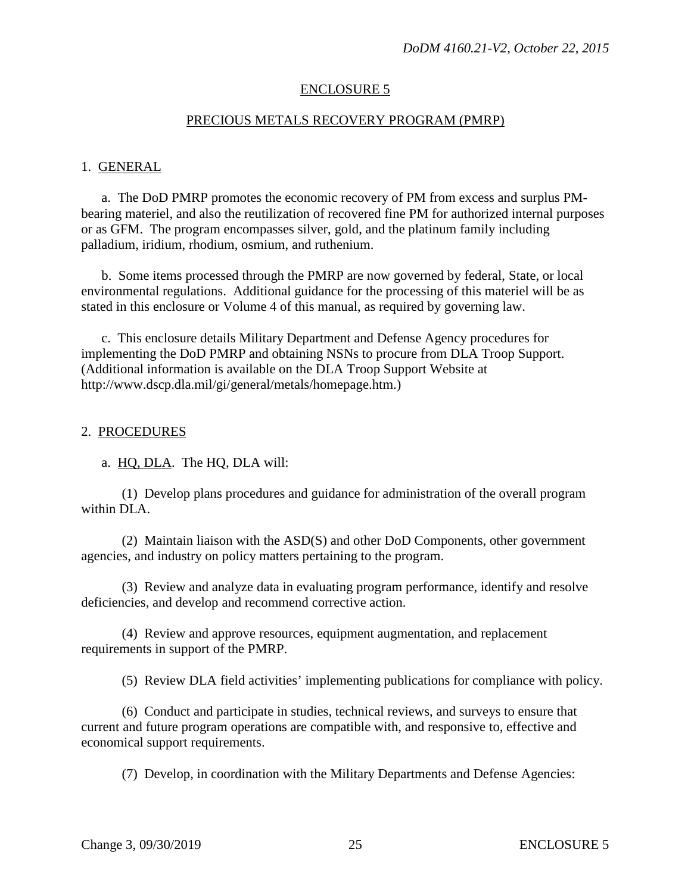#### ENCLOSURE 5

#### PRECIOUS METALS RECOVERY PROGRAM (PMRP)

#### 1. GENERAL

a. The DoD PMRP promotes the economic recovery of PM from excess and surplus PMbearing materiel, and also the reutilization of recovered fine PM for authorized internal purposes or as GFM. The program encompasses silver, gold, and the platinum family including palladium, iridium, rhodium, osmium, and ruthenium.

 b. Some items processed through the PMRP are now governed by federal, State, or local environmental regulations. Additional guidance for the processing of this materiel will be as stated in this enclosure or Volume 4 of this manual, as required by governing law.

 c. This enclosure details Military Department and Defense Agency procedures for implementing the DoD PMRP and obtaining NSNs to procure from DLA Troop Support. (Additional information is available on the DLA Troop Support Website at http://www.dscp.dla.mil/gi/general/metals/homepage.htm.)

#### 2. PROCEDURES

a. HQ, DLA. The HQ, DLA will:

 (1) Develop plans procedures and guidance for administration of the overall program within DLA.

 (2) Maintain liaison with the ASD(S) and other DoD Components, other government agencies, and industry on policy matters pertaining to the program.

 (3) Review and analyze data in evaluating program performance, identify and resolve deficiencies, and develop and recommend corrective action.

 (4) Review and approve resources, equipment augmentation, and replacement requirements in support of the PMRP.

(5) Review DLA field activities' implementing publications for compliance with policy.

 (6) Conduct and participate in studies, technical reviews, and surveys to ensure that current and future program operations are compatible with, and responsive to, effective and economical support requirements.

(7) Develop, in coordination with the Military Departments and Defense Agencies: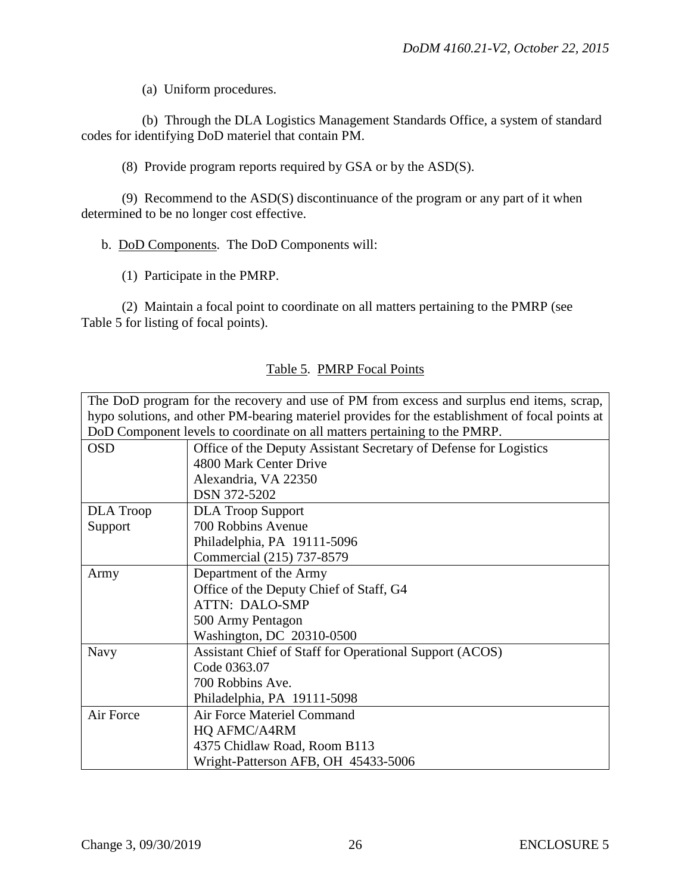(a) Uniform procedures.

 (b) Through the DLA Logistics Management Standards Office, a system of standard codes for identifying DoD materiel that contain PM.

(8) Provide program reports required by GSA or by the ASD(S).

 (9) Recommend to the ASD(S) discontinuance of the program or any part of it when determined to be no longer cost effective.

b. DoD Components. The DoD Components will:

(1) Participate in the PMRP.

 (2) Maintain a focal point to coordinate on all matters pertaining to the PMRP (see Table 5 for listing of focal points).

| The DoD program for the recovery and use of PM from excess and surplus end items, scrap,        |                                                                           |  |
|-------------------------------------------------------------------------------------------------|---------------------------------------------------------------------------|--|
| hypo solutions, and other PM-bearing materiel provides for the establishment of focal points at |                                                                           |  |
|                                                                                                 | DoD Component levels to coordinate on all matters pertaining to the PMRP. |  |
| <b>OSD</b>                                                                                      | Office of the Deputy Assistant Secretary of Defense for Logistics         |  |
|                                                                                                 | 4800 Mark Center Drive                                                    |  |
|                                                                                                 | Alexandria, VA 22350                                                      |  |
|                                                                                                 | DSN 372-5202                                                              |  |
| <b>DLA</b> Troop                                                                                | <b>DLA Troop Support</b>                                                  |  |
| Support                                                                                         | 700 Robbins Avenue                                                        |  |
|                                                                                                 | Philadelphia, PA 19111-5096                                               |  |
|                                                                                                 | Commercial (215) 737-8579                                                 |  |
| Army                                                                                            | Department of the Army                                                    |  |
|                                                                                                 | Office of the Deputy Chief of Staff, G4                                   |  |
|                                                                                                 | <b>ATTN: DALO-SMP</b>                                                     |  |
|                                                                                                 | 500 Army Pentagon                                                         |  |
|                                                                                                 | Washington, DC 20310-0500                                                 |  |
| <b>Navy</b>                                                                                     | Assistant Chief of Staff for Operational Support (ACOS)                   |  |
|                                                                                                 | Code 0363.07                                                              |  |
|                                                                                                 | 700 Robbins Ave.                                                          |  |
|                                                                                                 | Philadelphia, PA 19111-5098                                               |  |
| Air Force                                                                                       | Air Force Materiel Command                                                |  |
|                                                                                                 | HQ AFMC/A4RM                                                              |  |
|                                                                                                 | 4375 Chidlaw Road, Room B113                                              |  |
|                                                                                                 | Wright-Patterson AFB, OH 45433-5006                                       |  |

#### Table 5. PMRP Focal Points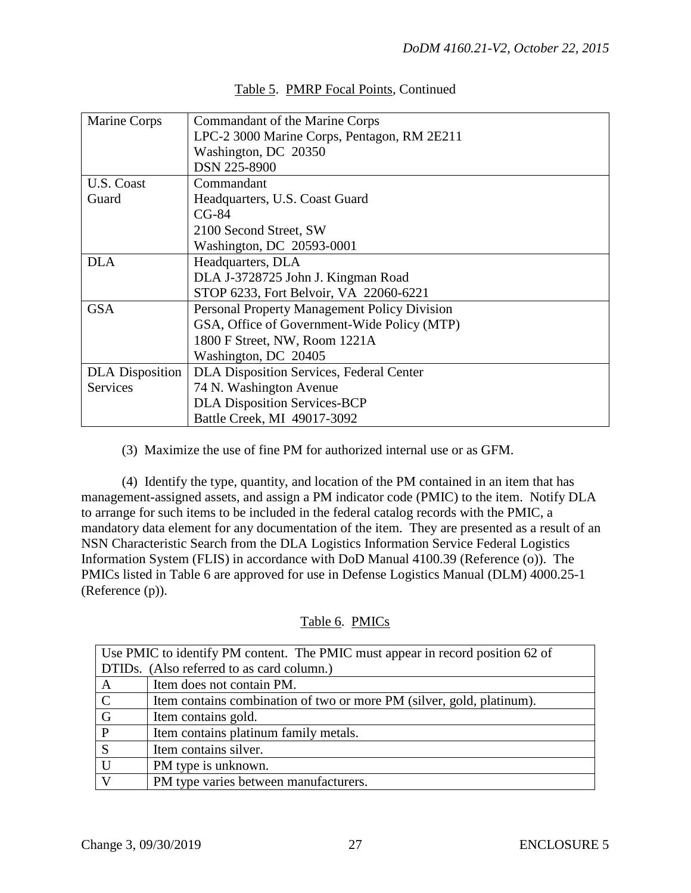| Marine Corps           | Commandant of the Marine Corps                  |
|------------------------|-------------------------------------------------|
|                        | LPC-2 3000 Marine Corps, Pentagon, RM 2E211     |
|                        | Washington, DC 20350                            |
|                        | <b>DSN 225-8900</b>                             |
| U.S. Coast             | Commandant                                      |
| Guard                  | Headquarters, U.S. Coast Guard                  |
|                        | $CG-84$                                         |
|                        | 2100 Second Street, SW                          |
|                        | Washington, DC 20593-0001                       |
| <b>DLA</b>             | Headquarters, DLA                               |
|                        | DLA J-3728725 John J. Kingman Road              |
|                        | STOP 6233, Fort Belvoir, VA 22060-6221          |
| <b>GSA</b>             | Personal Property Management Policy Division    |
|                        | GSA, Office of Government-Wide Policy (MTP)     |
|                        | 1800 F Street, NW, Room 1221A                   |
|                        | Washington, DC 20405                            |
| <b>DLA</b> Disposition | <b>DLA Disposition Services, Federal Center</b> |
| <b>Services</b>        | 74 N. Washington Avenue                         |
|                        | <b>DLA Disposition Services-BCP</b>             |
|                        | Battle Creek, MI 49017-3092                     |

# Table 5. PMRP Focal Points, Continued

(3) Maximize the use of fine PM for authorized internal use or as GFM.

 (4) Identify the type, quantity, and location of the PM contained in an item that has management-assigned assets, and assign a PM indicator code (PMIC) to the item. Notify DLA to arrange for such items to be included in the federal catalog records with the PMIC, a mandatory data element for any documentation of the item. They are presented as a result of an NSN Characteristic Search from the DLA Logistics Information Service Federal Logistics Information System (FLIS) in accordance with DoD Manual 4100.39 (Reference (o)). The PMICs listed in Table 6 are approved for use in Defense Logistics Manual (DLM) 4000.25-1 (Reference (p)).

# Table 6. PMICs

| Use PMIC to identify PM content. The PMIC must appear in record position 62 of |                                                                       |  |
|--------------------------------------------------------------------------------|-----------------------------------------------------------------------|--|
| DTIDs. (Also referred to as card column.)                                      |                                                                       |  |
| $\mathbf{A}$                                                                   | Item does not contain PM.                                             |  |
| $\mathbf C$                                                                    | Item contains combination of two or more PM (silver, gold, platinum). |  |
| G                                                                              | Item contains gold.                                                   |  |
| P                                                                              | Item contains platinum family metals.                                 |  |
| S                                                                              | Item contains silver.                                                 |  |
|                                                                                | PM type is unknown.                                                   |  |
|                                                                                | PM type varies between manufacturers.                                 |  |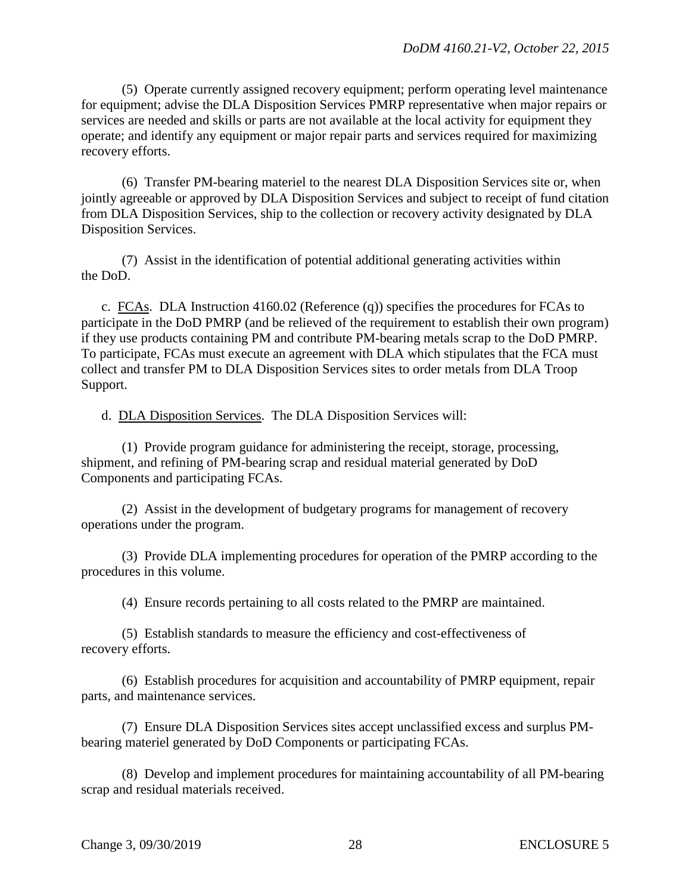(5) Operate currently assigned recovery equipment; perform operating level maintenance for equipment; advise the DLA Disposition Services PMRP representative when major repairs or services are needed and skills or parts are not available at the local activity for equipment they operate; and identify any equipment or major repair parts and services required for maximizing recovery efforts.

 (6) Transfer PM-bearing materiel to the nearest DLA Disposition Services site or, when jointly agreeable or approved by DLA Disposition Services and subject to receipt of fund citation from DLA Disposition Services, ship to the collection or recovery activity designated by DLA Disposition Services.

 (7) Assist in the identification of potential additional generating activities within the DoD.

c. FCAs. DLA Instruction 4160.02 (Reference (q)) specifies the procedures for FCAs to participate in the DoD PMRP (and be relieved of the requirement to establish their own program) if they use products containing PM and contribute PM-bearing metals scrap to the DoD PMRP. To participate, FCAs must execute an agreement with DLA which stipulates that the FCA must collect and transfer PM to DLA Disposition Services sites to order metals from DLA Troop Support.

d. DLA Disposition Services. The DLA Disposition Services will:

 (1) Provide program guidance for administering the receipt, storage, processing, shipment, and refining of PM-bearing scrap and residual material generated by DoD Components and participating FCAs.

 (2) Assist in the development of budgetary programs for management of recovery operations under the program.

 (3) Provide DLA implementing procedures for operation of the PMRP according to the procedures in this volume.

(4) Ensure records pertaining to all costs related to the PMRP are maintained.

 (5) Establish standards to measure the efficiency and cost-effectiveness of recovery efforts.

 (6) Establish procedures for acquisition and accountability of PMRP equipment, repair parts, and maintenance services.

 (7) Ensure DLA Disposition Services sites accept unclassified excess and surplus PMbearing materiel generated by DoD Components or participating FCAs.

 (8) Develop and implement procedures for maintaining accountability of all PM-bearing scrap and residual materials received.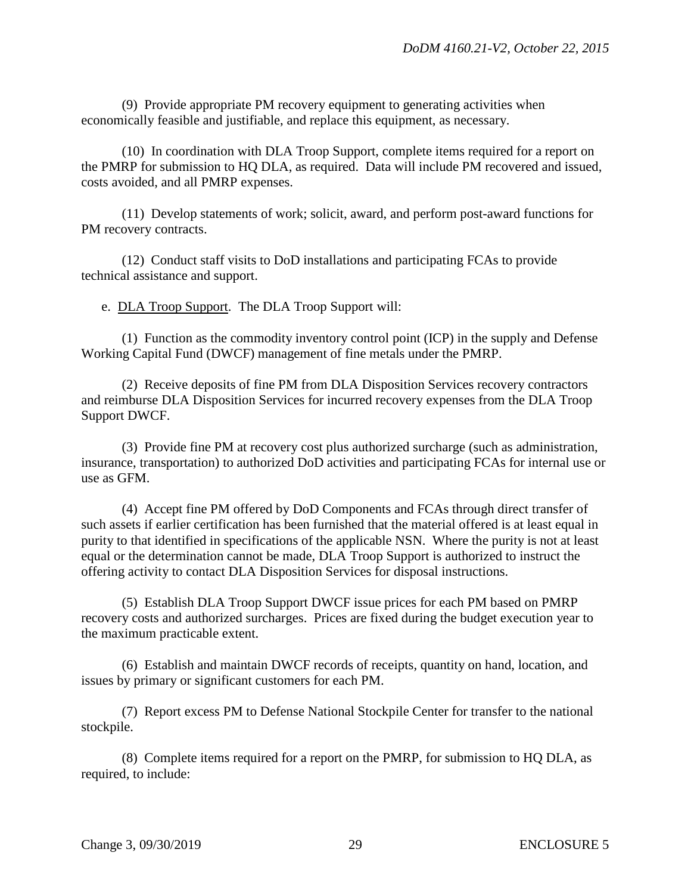(9) Provide appropriate PM recovery equipment to generating activities when economically feasible and justifiable, and replace this equipment, as necessary.

 (10) In coordination with DLA Troop Support, complete items required for a report on the PMRP for submission to HQ DLA, as required. Data will include PM recovered and issued, costs avoided, and all PMRP expenses.

 (11) Develop statements of work; solicit, award, and perform post-award functions for PM recovery contracts.

 (12) Conduct staff visits to DoD installations and participating FCAs to provide technical assistance and support.

e. DLA Troop Support. The DLA Troop Support will:

 (1) Function as the commodity inventory control point (ICP) in the supply and Defense Working Capital Fund (DWCF) management of fine metals under the PMRP.

 (2) Receive deposits of fine PM from DLA Disposition Services recovery contractors and reimburse DLA Disposition Services for incurred recovery expenses from the DLA Troop Support DWCF.

 (3) Provide fine PM at recovery cost plus authorized surcharge (such as administration, insurance, transportation) to authorized DoD activities and participating FCAs for internal use or use as GFM.

 (4) Accept fine PM offered by DoD Components and FCAs through direct transfer of such assets if earlier certification has been furnished that the material offered is at least equal in purity to that identified in specifications of the applicable NSN. Where the purity is not at least equal or the determination cannot be made, DLA Troop Support is authorized to instruct the offering activity to contact DLA Disposition Services for disposal instructions.

 (5) Establish DLA Troop Support DWCF issue prices for each PM based on PMRP recovery costs and authorized surcharges. Prices are fixed during the budget execution year to the maximum practicable extent.

 (6) Establish and maintain DWCF records of receipts, quantity on hand, location, and issues by primary or significant customers for each PM.

 (7) Report excess PM to Defense National Stockpile Center for transfer to the national stockpile.

 (8) Complete items required for a report on the PMRP, for submission to HQ DLA, as required, to include: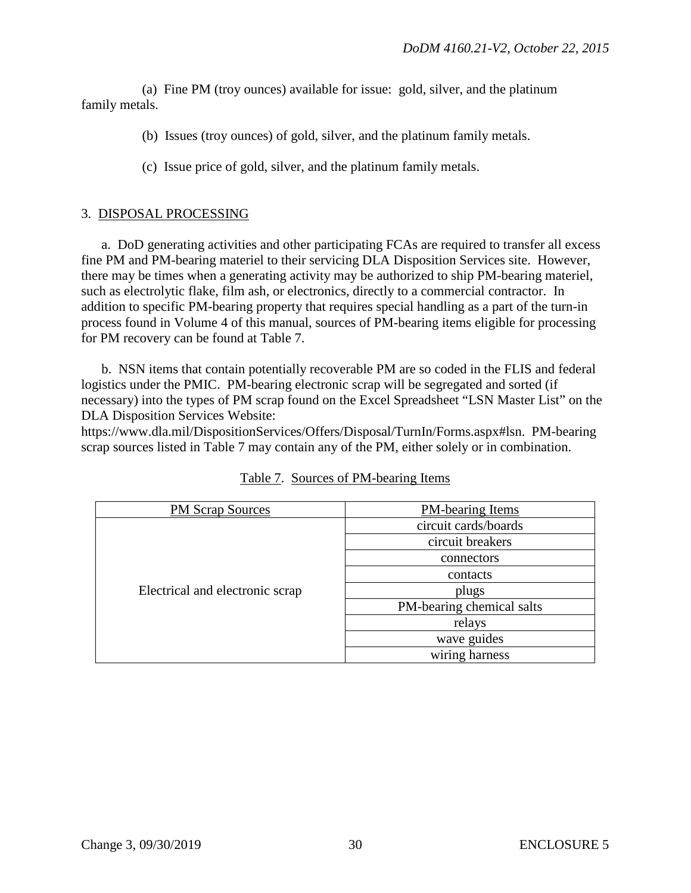(a) Fine PM (troy ounces) available for issue: gold, silver, and the platinum family metals.

- (b) Issues (troy ounces) of gold, silver, and the platinum family metals.
- (c) Issue price of gold, silver, and the platinum family metals.

## 3. DISPOSAL PROCESSING

a. DoD generating activities and other participating FCAs are required to transfer all excess fine PM and PM-bearing materiel to their servicing DLA Disposition Services site. However, there may be times when a generating activity may be authorized to ship PM-bearing materiel, such as electrolytic flake, film ash, or electronics, directly to a commercial contractor. In addition to specific PM-bearing property that requires special handling as a part of the turn-in process found in Volume 4 of this manual, sources of PM-bearing items eligible for processing for PM recovery can be found at Table 7.

b. NSN items that contain potentially recoverable PM are so coded in the FLIS and federal logistics under the PMIC. PM-bearing electronic scrap will be segregated and sorted (if necessary) into the types of PM scrap found on the Excel Spreadsheet "LSN Master List" on the DLA Disposition Services Website:

https://www.dla.mil/DispositionServices/Offers/Disposal/TurnIn/Forms.aspx#lsn. PM-bearing scrap sources listed in Table 7 may contain any of the PM, either solely or in combination.

| <b>PM Scrap Sources</b>         | <b>PM-bearing Items</b>   |
|---------------------------------|---------------------------|
|                                 | circuit cards/boards      |
|                                 | circuit breakers          |
| Electrical and electronic scrap | connectors                |
|                                 | contacts                  |
|                                 | plugs                     |
|                                 | PM-bearing chemical salts |
|                                 | relays                    |
|                                 | wave guides               |
|                                 | wiring harness            |

| Table 7. Sources of PM-bearing Items |  |  |
|--------------------------------------|--|--|
|                                      |  |  |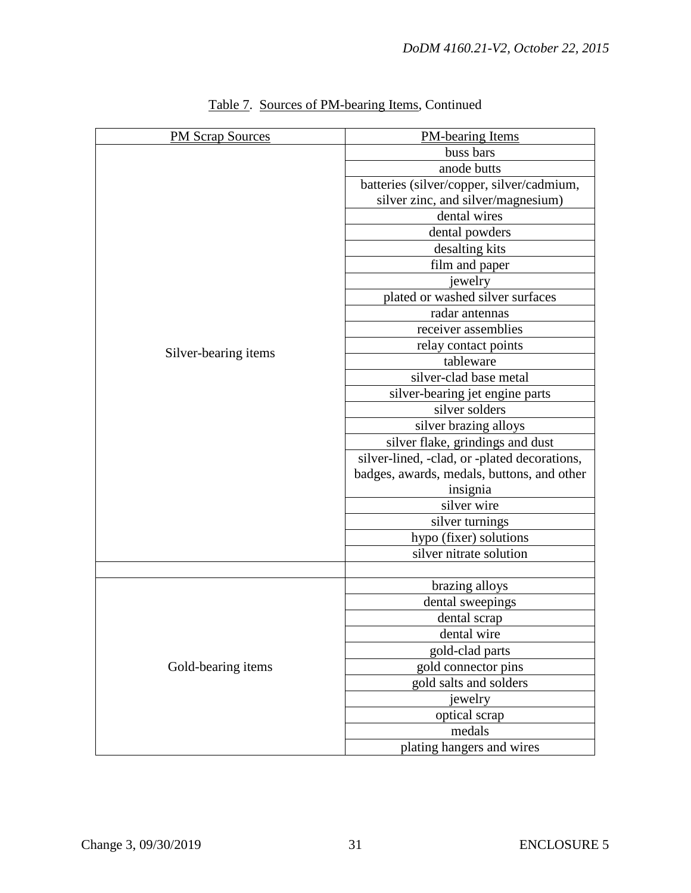| <b>PM Scrap Sources</b> | <b>PM-bearing Items</b>                      |
|-------------------------|----------------------------------------------|
|                         | buss bars                                    |
|                         | anode butts                                  |
|                         | batteries (silver/copper, silver/cadmium,    |
|                         | silver zinc, and silver/magnesium)           |
|                         | dental wires                                 |
|                         | dental powders                               |
|                         | desalting kits                               |
|                         | film and paper                               |
|                         | jewelry                                      |
|                         | plated or washed silver surfaces             |
|                         | radar antennas                               |
|                         | receiver assemblies                          |
|                         | relay contact points                         |
| Silver-bearing items    | tableware                                    |
|                         | silver-clad base metal                       |
|                         | silver-bearing jet engine parts              |
|                         | silver solders                               |
|                         | silver brazing alloys                        |
|                         | silver flake, grindings and dust             |
|                         | silver-lined, -clad, or -plated decorations, |
|                         | badges, awards, medals, buttons, and other   |
|                         | insignia                                     |
|                         | silver wire                                  |
|                         | silver turnings                              |
|                         | hypo (fixer) solutions                       |
|                         | silver nitrate solution                      |
|                         |                                              |
|                         | brazing alloys                               |
|                         | dental sweepings                             |
|                         | dental scrap                                 |
|                         | dental wire                                  |
|                         | gold-clad parts                              |
| Gold-bearing items      | gold connector pins                          |
|                         | gold salts and solders                       |
|                         | jewelry                                      |
|                         | optical scrap                                |
|                         | medals                                       |
|                         | plating hangers and wires                    |

# Table 7. Sources of PM-bearing Items, Continued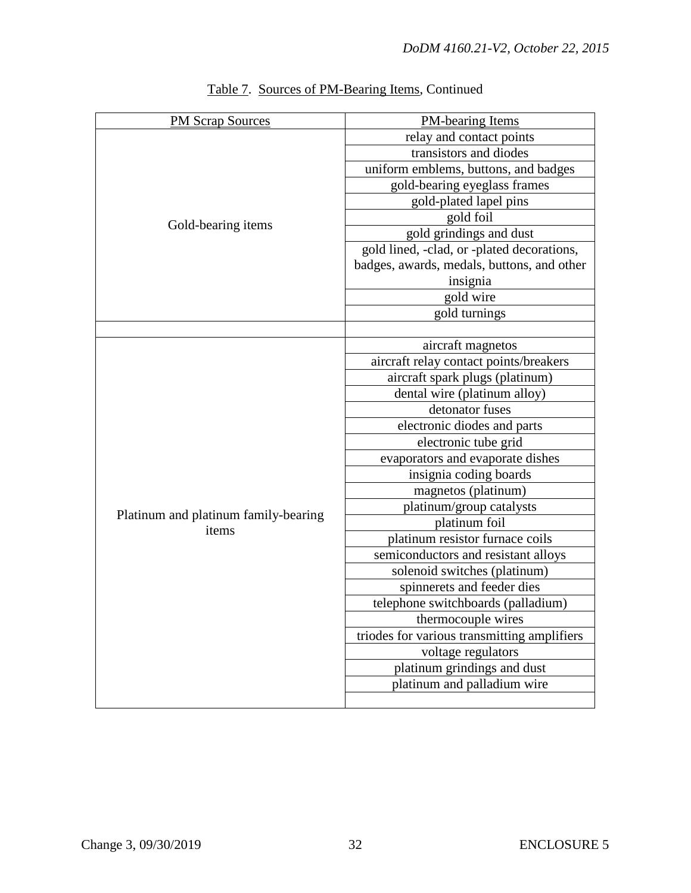| <b>PM Scrap Sources</b>                                             | <b>PM-bearing Items</b>                     |  |
|---------------------------------------------------------------------|---------------------------------------------|--|
| Gold-bearing items<br>Platinum and platinum family-bearing<br>items | relay and contact points                    |  |
|                                                                     | transistors and diodes                      |  |
|                                                                     | uniform emblems, buttons, and badges        |  |
|                                                                     | gold-bearing eyeglass frames                |  |
|                                                                     | gold-plated lapel pins                      |  |
|                                                                     | gold foil                                   |  |
|                                                                     | gold grindings and dust                     |  |
|                                                                     | gold lined, -clad, or -plated decorations,  |  |
|                                                                     | badges, awards, medals, buttons, and other  |  |
|                                                                     | insignia                                    |  |
|                                                                     | gold wire                                   |  |
|                                                                     | gold turnings                               |  |
|                                                                     |                                             |  |
|                                                                     | aircraft magnetos                           |  |
|                                                                     | aircraft relay contact points/breakers      |  |
|                                                                     | aircraft spark plugs (platinum)             |  |
|                                                                     | dental wire (platinum alloy)                |  |
|                                                                     | detonator fuses                             |  |
|                                                                     | electronic diodes and parts                 |  |
|                                                                     | electronic tube grid                        |  |
|                                                                     | evaporators and evaporate dishes            |  |
|                                                                     | insignia coding boards                      |  |
|                                                                     | magnetos (platinum)                         |  |
|                                                                     | platinum/group catalysts                    |  |
|                                                                     | platinum foil                               |  |
|                                                                     | platinum resistor furnace coils             |  |
|                                                                     | semiconductors and resistant alloys         |  |
|                                                                     | solenoid switches (platinum)                |  |
|                                                                     | spinnerets and feeder dies                  |  |
|                                                                     | telephone switchboards (palladium)          |  |
|                                                                     | thermocouple wires                          |  |
|                                                                     | triodes for various transmitting amplifiers |  |
|                                                                     | voltage regulators                          |  |
|                                                                     | platinum grindings and dust                 |  |
|                                                                     | platinum and palladium wire                 |  |
|                                                                     |                                             |  |

# Table 7. Sources of PM-Bearing Items, Continued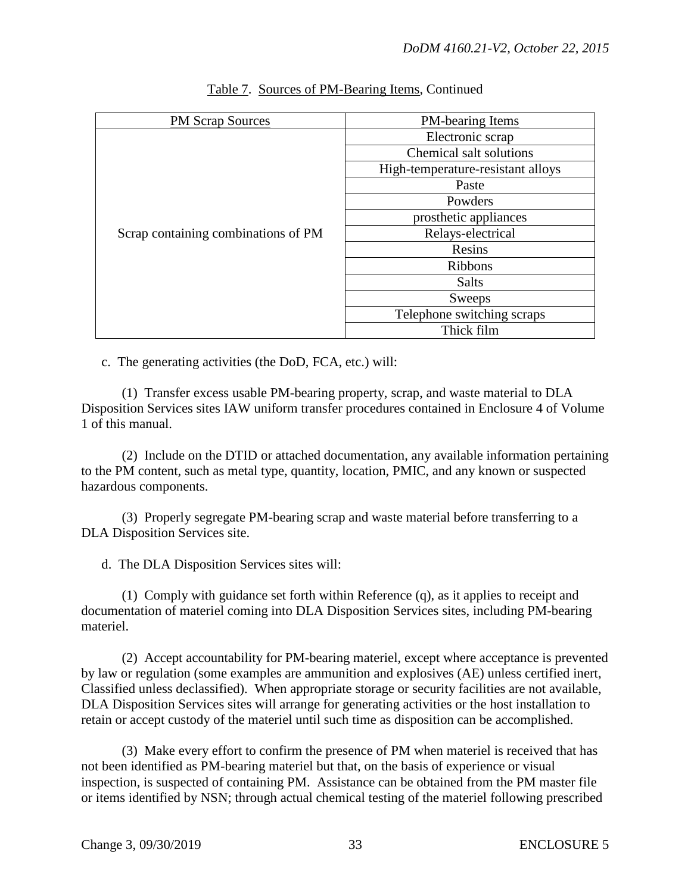| PM Scrap Sources                    | <b>PM-bearing Items</b>           |
|-------------------------------------|-----------------------------------|
|                                     | Electronic scrap                  |
|                                     | Chemical salt solutions           |
|                                     | High-temperature-resistant alloys |
|                                     | Paste                             |
|                                     | Powders                           |
|                                     | prosthetic appliances             |
| Scrap containing combinations of PM | Relays-electrical                 |
|                                     | Resins                            |
|                                     | <b>Ribbons</b>                    |
|                                     | <b>Salts</b>                      |
|                                     | Sweeps                            |
|                                     | Telephone switching scraps        |
|                                     | Thick film                        |

# Table 7. Sources of PM-Bearing Items, Continued

c. The generating activities (the DoD, FCA, etc.) will:

 (1) Transfer excess usable PM-bearing property, scrap, and waste material to DLA Disposition Services sites IAW uniform transfer procedures contained in Enclosure 4 of Volume 1 of this manual.

 (2) Include on the DTID or attached documentation, any available information pertaining to the PM content, such as metal type, quantity, location, PMIC, and any known or suspected hazardous components.

 (3) Properly segregate PM-bearing scrap and waste material before transferring to a DLA Disposition Services site.

d. The DLA Disposition Services sites will:

 (1) Comply with guidance set forth within Reference (q), as it applies to receipt and documentation of materiel coming into DLA Disposition Services sites, including PM-bearing materiel.

 (2) Accept accountability for PM-bearing materiel, except where acceptance is prevented by law or regulation (some examples are ammunition and explosives (AE) unless certified inert, Classified unless declassified). When appropriate storage or security facilities are not available, DLA Disposition Services sites will arrange for generating activities or the host installation to retain or accept custody of the materiel until such time as disposition can be accomplished.

 (3) Make every effort to confirm the presence of PM when materiel is received that has not been identified as PM-bearing materiel but that, on the basis of experience or visual inspection, is suspected of containing PM. Assistance can be obtained from the PM master file or items identified by NSN; through actual chemical testing of the materiel following prescribed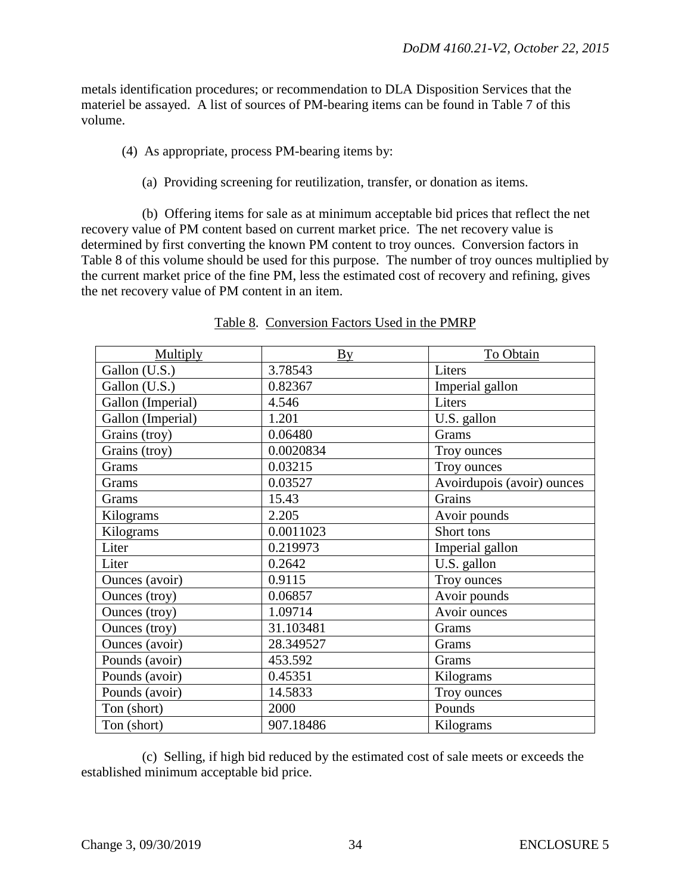metals identification procedures; or recommendation to DLA Disposition Services that the materiel be assayed. A list of sources of PM-bearing items can be found in Table 7 of this volume.

- (4) As appropriate, process PM-bearing items by:
	- (a) Providing screening for reutilization, transfer, or donation as items.

 (b) Offering items for sale as at minimum acceptable bid prices that reflect the net recovery value of PM content based on current market price. The net recovery value is determined by first converting the known PM content to troy ounces. Conversion factors in Table 8 of this volume should be used for this purpose. The number of troy ounces multiplied by the current market price of the fine PM, less the estimated cost of recovery and refining, gives the net recovery value of PM content in an item.

| Multiply              | $\underline{B} \underline{v}$ | To Obtain                  |
|-----------------------|-------------------------------|----------------------------|
| Gallon (U.S.)         | 3.78543                       | Liters                     |
| Gallon (U.S.)         | 0.82367                       | Imperial gallon            |
| Gallon (Imperial)     | 4.546                         | Liters                     |
| Gallon (Imperial)     | 1.201                         | U.S. gallon                |
| Grains (troy)         | 0.06480                       | Grams                      |
| Grains (troy)         | 0.0020834                     | Troy ounces                |
| Grams                 | 0.03215                       | Troy ounces                |
| Grams                 | 0.03527                       | Avoirdupois (avoir) ounces |
| Grams                 | 15.43                         | Grains                     |
| Kilograms             | 2.205                         | Avoir pounds               |
| Kilograms             | 0.0011023                     | Short tons                 |
| Liter                 | 0.219973                      | Imperial gallon            |
| Liter                 | 0.2642                        | U.S. gallon                |
| Ounces (avoir)        | 0.9115                        | Troy ounces                |
| Ounces (troy)         | 0.06857                       | Avoir pounds               |
| <b>Ounces</b> (troy)  | 1.09714                       | Avoir ounces               |
| <b>Ounces</b> (troy)  | 31.103481                     | Grams                      |
| <b>Ounces</b> (avoir) | 28.349527                     | Grams                      |
| Pounds (avoir)        | 453.592                       | Grams                      |
| Pounds (avoir)        | 0.45351                       | Kilograms                  |
| Pounds (avoir)        | 14.5833                       | Troy ounces                |
| Ton (short)           | 2000                          | Pounds                     |
| Ton (short)           | 907.18486                     | Kilograms                  |

#### Table 8. Conversion Factors Used in the PMRP

 (c) Selling, if high bid reduced by the estimated cost of sale meets or exceeds the established minimum acceptable bid price.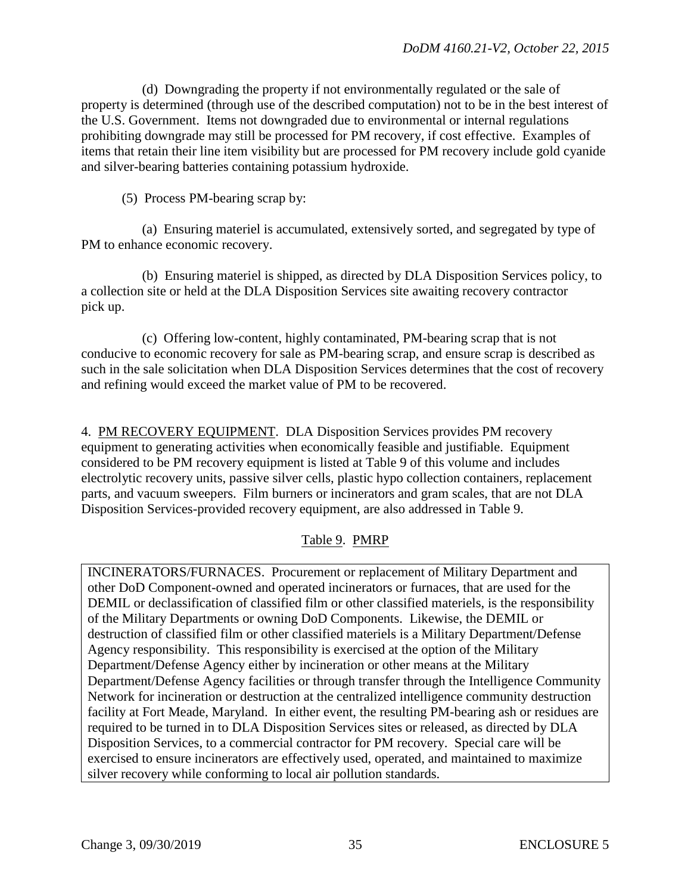(d) Downgrading the property if not environmentally regulated or the sale of property is determined (through use of the described computation) not to be in the best interest of the U.S. Government. Items not downgraded due to environmental or internal regulations prohibiting downgrade may still be processed for PM recovery, if cost effective. Examples of items that retain their line item visibility but are processed for PM recovery include gold cyanide and silver-bearing batteries containing potassium hydroxide.

(5) Process PM-bearing scrap by:

 (a) Ensuring materiel is accumulated, extensively sorted, and segregated by type of PM to enhance economic recovery.

 (b) Ensuring materiel is shipped, as directed by DLA Disposition Services policy, to a collection site or held at the DLA Disposition Services site awaiting recovery contractor pick up.

 (c) Offering low-content, highly contaminated, PM-bearing scrap that is not conducive to economic recovery for sale as PM-bearing scrap, and ensure scrap is described as such in the sale solicitation when DLA Disposition Services determines that the cost of recovery and refining would exceed the market value of PM to be recovered.

4. PM RECOVERY EQUIPMENT. DLA Disposition Services provides PM recovery equipment to generating activities when economically feasible and justifiable. Equipment considered to be PM recovery equipment is listed at Table 9 of this volume and includes electrolytic recovery units, passive silver cells, plastic hypo collection containers, replacement parts, and vacuum sweepers. Film burners or incinerators and gram scales, that are not DLA Disposition Services-provided recovery equipment, are also addressed in Table 9.

# Table 9. PMRP

INCINERATORS/FURNACES. Procurement or replacement of Military Department and other DoD Component-owned and operated incinerators or furnaces, that are used for the DEMIL or declassification of classified film or other classified materiels, is the responsibility of the Military Departments or owning DoD Components. Likewise, the DEMIL or destruction of classified film or other classified materiels is a Military Department/Defense Agency responsibility. This responsibility is exercised at the option of the Military Department/Defense Agency either by incineration or other means at the Military Department/Defense Agency facilities or through transfer through the Intelligence Community Network for incineration or destruction at the centralized intelligence community destruction facility at Fort Meade, Maryland. In either event, the resulting PM-bearing ash or residues are required to be turned in to DLA Disposition Services sites or released, as directed by DLA Disposition Services, to a commercial contractor for PM recovery. Special care will be exercised to ensure incinerators are effectively used, operated, and maintained to maximize silver recovery while conforming to local air pollution standards.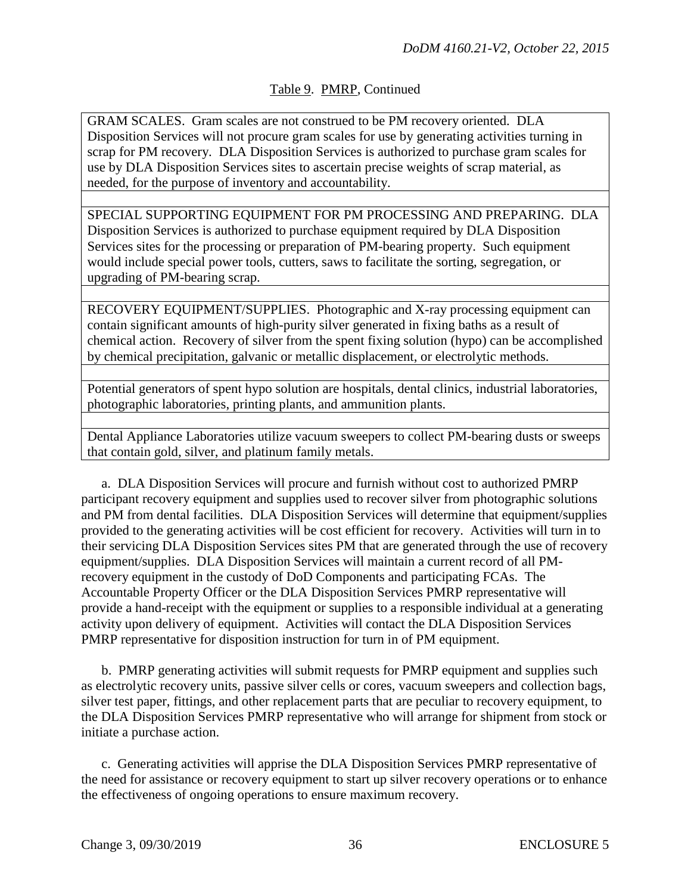# Table 9. PMRP, Continued

GRAM SCALES. Gram scales are not construed to be PM recovery oriented. DLA Disposition Services will not procure gram scales for use by generating activities turning in scrap for PM recovery. DLA Disposition Services is authorized to purchase gram scales for use by DLA Disposition Services sites to ascertain precise weights of scrap material, as needed, for the purpose of inventory and accountability.

SPECIAL SUPPORTING EQUIPMENT FOR PM PROCESSING AND PREPARING. DLA Disposition Services is authorized to purchase equipment required by DLA Disposition Services sites for the processing or preparation of PM-bearing property. Such equipment would include special power tools, cutters, saws to facilitate the sorting, segregation, or upgrading of PM-bearing scrap.

RECOVERY EQUIPMENT/SUPPLIES. Photographic and X-ray processing equipment can contain significant amounts of high-purity silver generated in fixing baths as a result of chemical action. Recovery of silver from the spent fixing solution (hypo) can be accomplished by chemical precipitation, galvanic or metallic displacement, or electrolytic methods.

Potential generators of spent hypo solution are hospitals, dental clinics, industrial laboratories, photographic laboratories, printing plants, and ammunition plants.

Dental Appliance Laboratories utilize vacuum sweepers to collect PM-bearing dusts or sweeps that contain gold, silver, and platinum family metals.

a. DLA Disposition Services will procure and furnish without cost to authorized PMRP participant recovery equipment and supplies used to recover silver from photographic solutions and PM from dental facilities. DLA Disposition Services will determine that equipment/supplies provided to the generating activities will be cost efficient for recovery. Activities will turn in to their servicing DLA Disposition Services sites PM that are generated through the use of recovery equipment/supplies. DLA Disposition Services will maintain a current record of all PMrecovery equipment in the custody of DoD Components and participating FCAs. The Accountable Property Officer or the DLA Disposition Services PMRP representative will provide a hand-receipt with the equipment or supplies to a responsible individual at a generating activity upon delivery of equipment. Activities will contact the DLA Disposition Services PMRP representative for disposition instruction for turn in of PM equipment.

 b. PMRP generating activities will submit requests for PMRP equipment and supplies such as electrolytic recovery units, passive silver cells or cores, vacuum sweepers and collection bags, silver test paper, fittings, and other replacement parts that are peculiar to recovery equipment, to the DLA Disposition Services PMRP representative who will arrange for shipment from stock or initiate a purchase action.

c. Generating activities will apprise the DLA Disposition Services PMRP representative of the need for assistance or recovery equipment to start up silver recovery operations or to enhance the effectiveness of ongoing operations to ensure maximum recovery.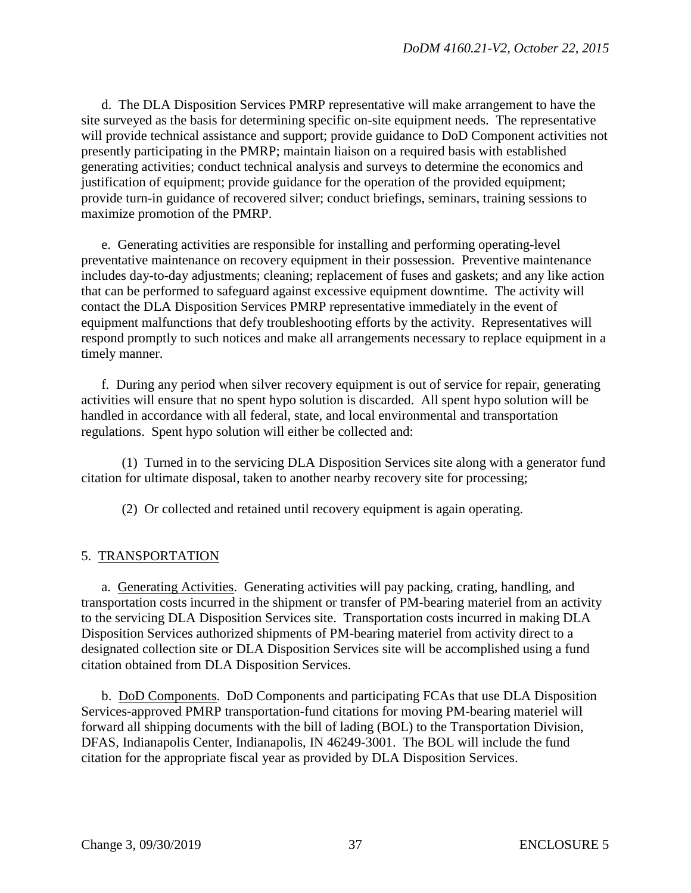d. The DLA Disposition Services PMRP representative will make arrangement to have the site surveyed as the basis for determining specific on-site equipment needs. The representative will provide technical assistance and support; provide guidance to DoD Component activities not presently participating in the PMRP; maintain liaison on a required basis with established generating activities; conduct technical analysis and surveys to determine the economics and justification of equipment; provide guidance for the operation of the provided equipment; provide turn-in guidance of recovered silver; conduct briefings, seminars, training sessions to maximize promotion of the PMRP.

e. Generating activities are responsible for installing and performing operating-level preventative maintenance on recovery equipment in their possession. Preventive maintenance includes day-to-day adjustments; cleaning; replacement of fuses and gaskets; and any like action that can be performed to safeguard against excessive equipment downtime. The activity will contact the DLA Disposition Services PMRP representative immediately in the event of equipment malfunctions that defy troubleshooting efforts by the activity. Representatives will respond promptly to such notices and make all arrangements necessary to replace equipment in a timely manner.

f. During any period when silver recovery equipment is out of service for repair, generating activities will ensure that no spent hypo solution is discarded. All spent hypo solution will be handled in accordance with all federal, state, and local environmental and transportation regulations. Spent hypo solution will either be collected and:

 (1) Turned in to the servicing DLA Disposition Services site along with a generator fund citation for ultimate disposal, taken to another nearby recovery site for processing;

(2) Or collected and retained until recovery equipment is again operating.

## 5. TRANSPORTATION

a. Generating Activities. Generating activities will pay packing, crating, handling, and transportation costs incurred in the shipment or transfer of PM-bearing materiel from an activity to the servicing DLA Disposition Services site. Transportation costs incurred in making DLA Disposition Services authorized shipments of PM-bearing materiel from activity direct to a designated collection site or DLA Disposition Services site will be accomplished using a fund citation obtained from DLA Disposition Services.

 b. DoD Components. DoD Components and participating FCAs that use DLA Disposition Services-approved PMRP transportation-fund citations for moving PM-bearing materiel will forward all shipping documents with the bill of lading (BOL) to the Transportation Division, DFAS, Indianapolis Center, Indianapolis, IN 46249-3001. The BOL will include the fund citation for the appropriate fiscal year as provided by DLA Disposition Services.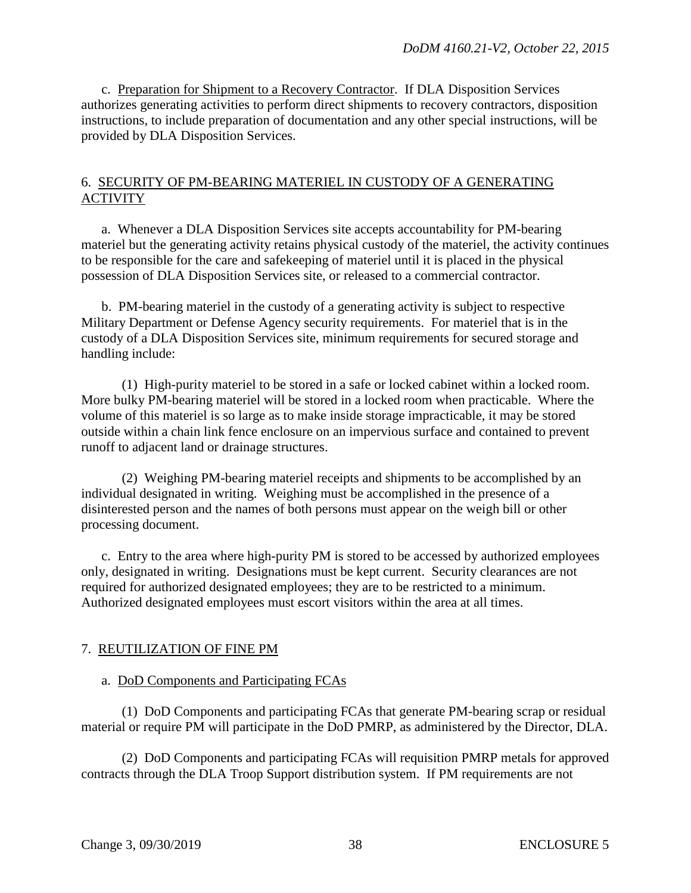c. Preparation for Shipment to a Recovery Contractor. If DLA Disposition Services authorizes generating activities to perform direct shipments to recovery contractors, disposition instructions, to include preparation of documentation and any other special instructions, will be provided by DLA Disposition Services.

### 6. SECURITY OF PM-BEARING MATERIEL IN CUSTODY OF A GENERATING ACTIVITY

a. Whenever a DLA Disposition Services site accepts accountability for PM-bearing materiel but the generating activity retains physical custody of the materiel, the activity continues to be responsible for the care and safekeeping of materiel until it is placed in the physical possession of DLA Disposition Services site, or released to a commercial contractor.

 b. PM-bearing materiel in the custody of a generating activity is subject to respective Military Department or Defense Agency security requirements. For materiel that is in the custody of a DLA Disposition Services site, minimum requirements for secured storage and handling include:

 (1) High-purity materiel to be stored in a safe or locked cabinet within a locked room. More bulky PM-bearing materiel will be stored in a locked room when practicable. Where the volume of this materiel is so large as to make inside storage impracticable, it may be stored outside within a chain link fence enclosure on an impervious surface and contained to prevent runoff to adjacent land or drainage structures.

 (2) Weighing PM-bearing materiel receipts and shipments to be accomplished by an individual designated in writing. Weighing must be accomplished in the presence of a disinterested person and the names of both persons must appear on the weigh bill or other processing document.

c. Entry to the area where high-purity PM is stored to be accessed by authorized employees only, designated in writing. Designations must be kept current. Security clearances are not required for authorized designated employees; they are to be restricted to a minimum. Authorized designated employees must escort visitors within the area at all times.

## 7. REUTILIZATION OF FINE PM

## a. DoD Components and Participating FCAs

(1) DoD Components and participating FCAs that generate PM-bearing scrap or residual material or require PM will participate in the DoD PMRP, as administered by the Director, DLA.

 (2) DoD Components and participating FCAs will requisition PMRP metals for approved contracts through the DLA Troop Support distribution system. If PM requirements are not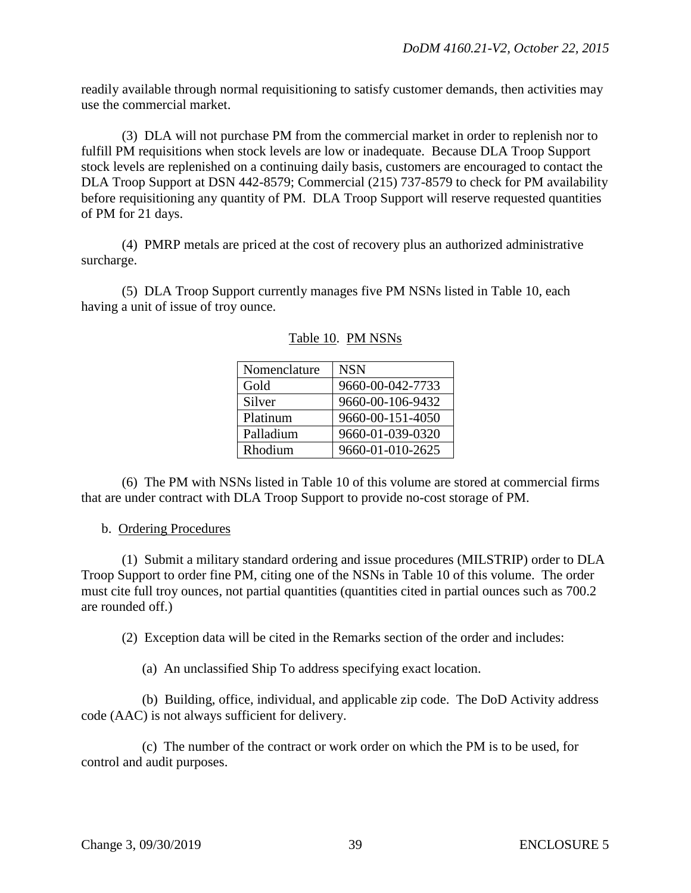readily available through normal requisitioning to satisfy customer demands, then activities may use the commercial market.

 (3) DLA will not purchase PM from the commercial market in order to replenish nor to fulfill PM requisitions when stock levels are low or inadequate. Because DLA Troop Support stock levels are replenished on a continuing daily basis, customers are encouraged to contact the DLA Troop Support at DSN 442-8579; Commercial (215) 737-8579 to check for PM availability before requisitioning any quantity of PM. DLA Troop Support will reserve requested quantities of PM for 21 days.

 (4) PMRP metals are priced at the cost of recovery plus an authorized administrative surcharge.

(5) DLA Troop Support currently manages five PM NSNs listed in Table 10, each having a unit of issue of troy ounce.

| Nomenclature | <b>NSN</b>       |
|--------------|------------------|
| Gold         | 9660-00-042-7733 |
| Silver       | 9660-00-106-9432 |
| Platinum     | 9660-00-151-4050 |
| Palladium    | 9660-01-039-0320 |
| Rhodium      | 9660-01-010-2625 |

| Table 10. PM NSNs |
|-------------------|
|                   |

 (6) The PM with NSNs listed in Table 10 of this volume are stored at commercial firms that are under contract with DLA Troop Support to provide no-cost storage of PM.

### b. Ordering Procedures

 (1) Submit a military standard ordering and issue procedures (MILSTRIP) order to DLA Troop Support to order fine PM, citing one of the NSNs in Table 10 of this volume. The order must cite full troy ounces, not partial quantities (quantities cited in partial ounces such as 700.2 are rounded off.)

(2) Exception data will be cited in the Remarks section of the order and includes:

(a) An unclassified Ship To address specifying exact location.

 (b) Building, office, individual, and applicable zip code. The DoD Activity address code (AAC) is not always sufficient for delivery.

 (c) The number of the contract or work order on which the PM is to be used, for control and audit purposes.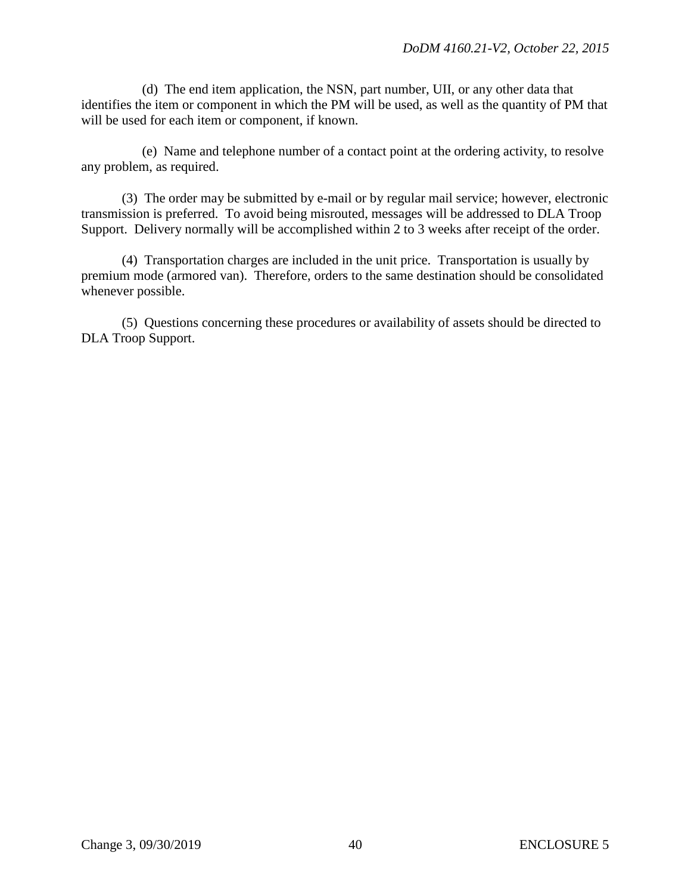(d) The end item application, the NSN, part number, UII, or any other data that identifies the item or component in which the PM will be used, as well as the quantity of PM that will be used for each item or component, if known.

 (e) Name and telephone number of a contact point at the ordering activity, to resolve any problem, as required.

 (3) The order may be submitted by e-mail or by regular mail service; however, electronic transmission is preferred. To avoid being misrouted, messages will be addressed to DLA Troop Support. Delivery normally will be accomplished within 2 to 3 weeks after receipt of the order.

 (4) Transportation charges are included in the unit price. Transportation is usually by premium mode (armored van). Therefore, orders to the same destination should be consolidated whenever possible.

 (5) Questions concerning these procedures or availability of assets should be directed to DLA Troop Support.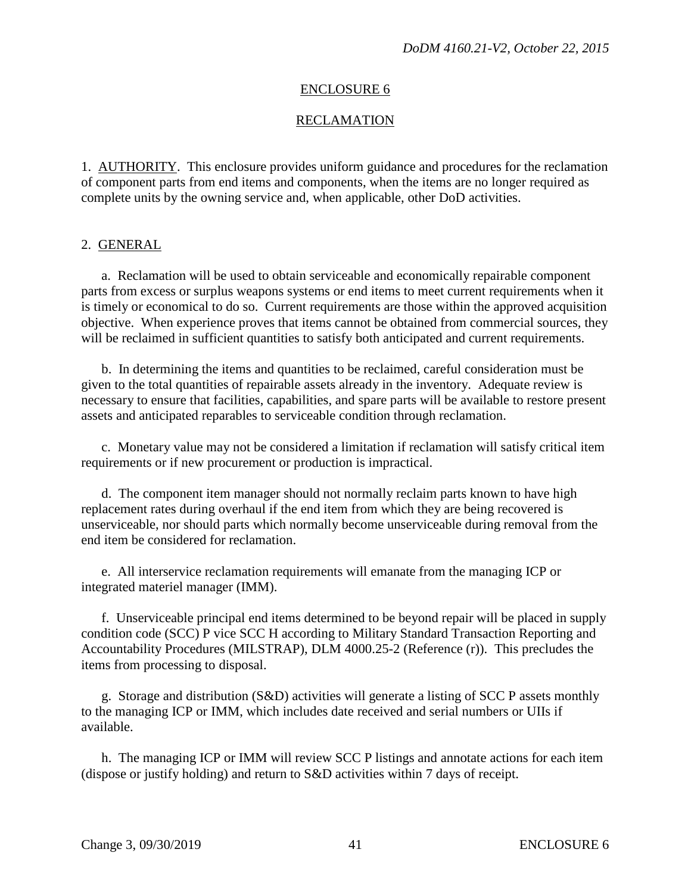### ENCLOSURE 6

## RECLAMATION

1. AUTHORITY. This enclosure provides uniform guidance and procedures for the reclamation of component parts from end items and components, when the items are no longer required as complete units by the owning service and, when applicable, other DoD activities.

#### 2. GENERAL

a. Reclamation will be used to obtain serviceable and economically repairable component parts from excess or surplus weapons systems or end items to meet current requirements when it is timely or economical to do so. Current requirements are those within the approved acquisition objective. When experience proves that items cannot be obtained from commercial sources, they will be reclaimed in sufficient quantities to satisfy both anticipated and current requirements.

 b. In determining the items and quantities to be reclaimed, careful consideration must be given to the total quantities of repairable assets already in the inventory. Adequate review is necessary to ensure that facilities, capabilities, and spare parts will be available to restore present assets and anticipated reparables to serviceable condition through reclamation.

 c. Monetary value may not be considered a limitation if reclamation will satisfy critical item requirements or if new procurement or production is impractical.

 d. The component item manager should not normally reclaim parts known to have high replacement rates during overhaul if the end item from which they are being recovered is unserviceable, nor should parts which normally become unserviceable during removal from the end item be considered for reclamation.

e. All interservice reclamation requirements will emanate from the managing ICP or integrated materiel manager (IMM).

f. Unserviceable principal end items determined to be beyond repair will be placed in supply condition code (SCC) P vice SCC H according to Military Standard Transaction Reporting and Accountability Procedures (MILSTRAP), DLM 4000.25-2 (Reference (r)). This precludes the items from processing to disposal.

g. Storage and distribution (S&D) activities will generate a listing of SCC P assets monthly to the managing ICP or IMM, which includes date received and serial numbers or UIIs if available.

 h. The managing ICP or IMM will review SCC P listings and annotate actions for each item (dispose or justify holding) and return to S&D activities within 7 days of receipt.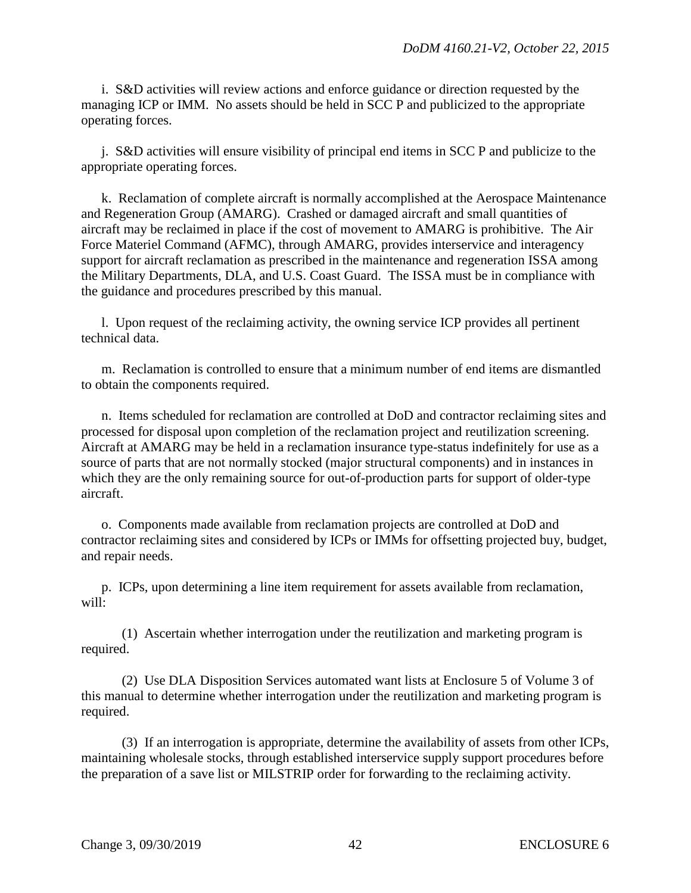i. S&D activities will review actions and enforce guidance or direction requested by the managing ICP or IMM. No assets should be held in SCC P and publicized to the appropriate operating forces.

 j. S&D activities will ensure visibility of principal end items in SCC P and publicize to the appropriate operating forces.

 k. Reclamation of complete aircraft is normally accomplished at the Aerospace Maintenance and Regeneration Group (AMARG). Crashed or damaged aircraft and small quantities of aircraft may be reclaimed in place if the cost of movement to AMARG is prohibitive. The Air Force Materiel Command (AFMC), through AMARG, provides interservice and interagency support for aircraft reclamation as prescribed in the maintenance and regeneration ISSA among the Military Departments, DLA, and U.S. Coast Guard. The ISSA must be in compliance with the guidance and procedures prescribed by this manual.

 l. Upon request of the reclaiming activity, the owning service ICP provides all pertinent technical data.

 m. Reclamation is controlled to ensure that a minimum number of end items are dismantled to obtain the components required.

 n. Items scheduled for reclamation are controlled at DoD and contractor reclaiming sites and processed for disposal upon completion of the reclamation project and reutilization screening. Aircraft at AMARG may be held in a reclamation insurance type-status indefinitely for use as a source of parts that are not normally stocked (major structural components) and in instances in which they are the only remaining source for out-of-production parts for support of older-type aircraft.

 o. Components made available from reclamation projects are controlled at DoD and contractor reclaiming sites and considered by ICPs or IMMs for offsetting projected buy, budget, and repair needs.

 p. ICPs, upon determining a line item requirement for assets available from reclamation, will:

 (1) Ascertain whether interrogation under the reutilization and marketing program is required.

 (2) Use DLA Disposition Services automated want lists at Enclosure 5 of Volume 3 of this manual to determine whether interrogation under the reutilization and marketing program is required.

 (3) If an interrogation is appropriate, determine the availability of assets from other ICPs, maintaining wholesale stocks, through established interservice supply support procedures before the preparation of a save list or MILSTRIP order for forwarding to the reclaiming activity.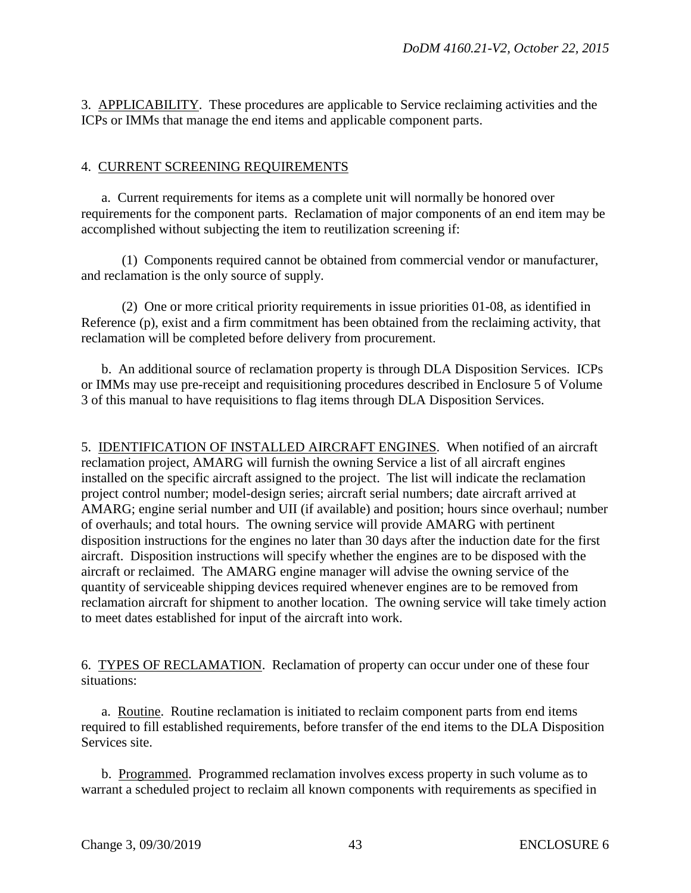3. APPLICABILITY. These procedures are applicable to Service reclaiming activities and the ICPs or IMMs that manage the end items and applicable component parts.

### 4. CURRENT SCREENING REQUIREMENTS

 a. Current requirements for items as a complete unit will normally be honored over requirements for the component parts. Reclamation of major components of an end item may be accomplished without subjecting the item to reutilization screening if:

 (1) Components required cannot be obtained from commercial vendor or manufacturer, and reclamation is the only source of supply.

 (2) One or more critical priority requirements in issue priorities 01-08, as identified in Reference (p), exist and a firm commitment has been obtained from the reclaiming activity, that reclamation will be completed before delivery from procurement.

 b. An additional source of reclamation property is through DLA Disposition Services. ICPs or IMMs may use pre-receipt and requisitioning procedures described in Enclosure 5 of Volume 3 of this manual to have requisitions to flag items through DLA Disposition Services.

5. IDENTIFICATION OF INSTALLED AIRCRAFT ENGINES. When notified of an aircraft reclamation project, AMARG will furnish the owning Service a list of all aircraft engines installed on the specific aircraft assigned to the project. The list will indicate the reclamation project control number; model-design series; aircraft serial numbers; date aircraft arrived at AMARG; engine serial number and UII (if available) and position; hours since overhaul; number of overhauls; and total hours. The owning service will provide AMARG with pertinent disposition instructions for the engines no later than 30 days after the induction date for the first aircraft. Disposition instructions will specify whether the engines are to be disposed with the aircraft or reclaimed. The AMARG engine manager will advise the owning service of the quantity of serviceable shipping devices required whenever engines are to be removed from reclamation aircraft for shipment to another location. The owning service will take timely action to meet dates established for input of the aircraft into work.

6. TYPES OF RECLAMATION. Reclamation of property can occur under one of these four situations:

a. Routine. Routine reclamation is initiated to reclaim component parts from end items required to fill established requirements, before transfer of the end items to the DLA Disposition Services site.

 b. Programmed. Programmed reclamation involves excess property in such volume as to warrant a scheduled project to reclaim all known components with requirements as specified in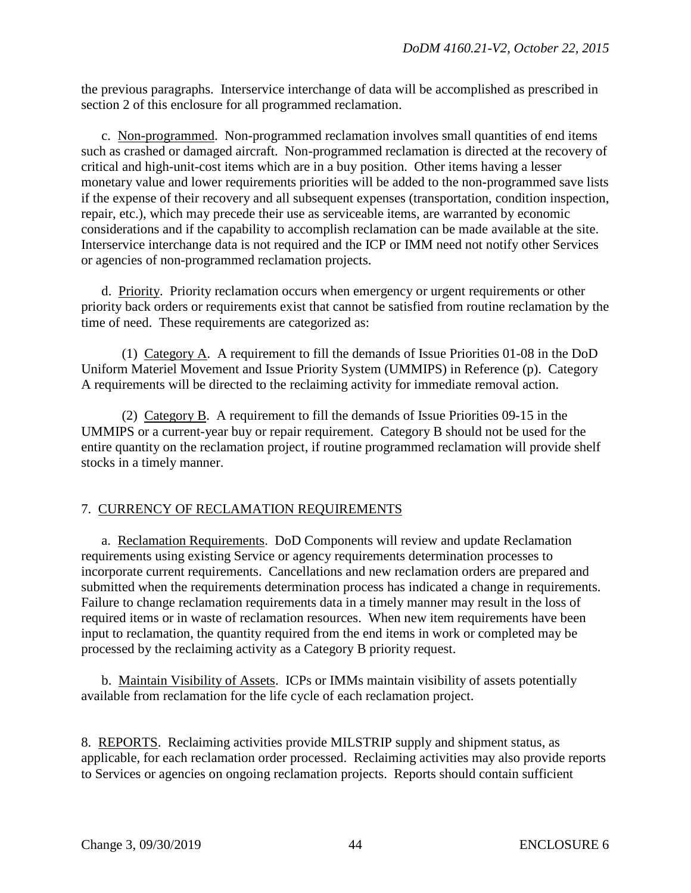the previous paragraphs. Interservice interchange of data will be accomplished as prescribed in section 2 of this enclosure for all programmed reclamation.

c. Non-programmed. Non-programmed reclamation involves small quantities of end items such as crashed or damaged aircraft. Non-programmed reclamation is directed at the recovery of critical and high-unit-cost items which are in a buy position. Other items having a lesser monetary value and lower requirements priorities will be added to the non-programmed save lists if the expense of their recovery and all subsequent expenses (transportation, condition inspection, repair, etc.), which may precede their use as serviceable items, are warranted by economic considerations and if the capability to accomplish reclamation can be made available at the site. Interservice interchange data is not required and the ICP or IMM need not notify other Services or agencies of non-programmed reclamation projects.

 d. Priority. Priority reclamation occurs when emergency or urgent requirements or other priority back orders or requirements exist that cannot be satisfied from routine reclamation by the time of need. These requirements are categorized as:

 (1) Category A. A requirement to fill the demands of Issue Priorities 01-08 in the DoD Uniform Materiel Movement and Issue Priority System (UMMIPS) in Reference (p). Category A requirements will be directed to the reclaiming activity for immediate removal action.

 (2) Category B. A requirement to fill the demands of Issue Priorities 09-15 in the UMMIPS or a current-year buy or repair requirement. Category B should not be used for the entire quantity on the reclamation project, if routine programmed reclamation will provide shelf stocks in a timely manner.

## 7. CURRENCY OF RECLAMATION REQUIREMENTS

a. Reclamation Requirements. DoD Components will review and update Reclamation requirements using existing Service or agency requirements determination processes to incorporate current requirements. Cancellations and new reclamation orders are prepared and submitted when the requirements determination process has indicated a change in requirements. Failure to change reclamation requirements data in a timely manner may result in the loss of required items or in waste of reclamation resources. When new item requirements have been input to reclamation, the quantity required from the end items in work or completed may be processed by the reclaiming activity as a Category B priority request.

 b. Maintain Visibility of Assets. ICPs or IMMs maintain visibility of assets potentially available from reclamation for the life cycle of each reclamation project.

8. REPORTS. Reclaiming activities provide MILSTRIP supply and shipment status, as applicable, for each reclamation order processed. Reclaiming activities may also provide reports to Services or agencies on ongoing reclamation projects. Reports should contain sufficient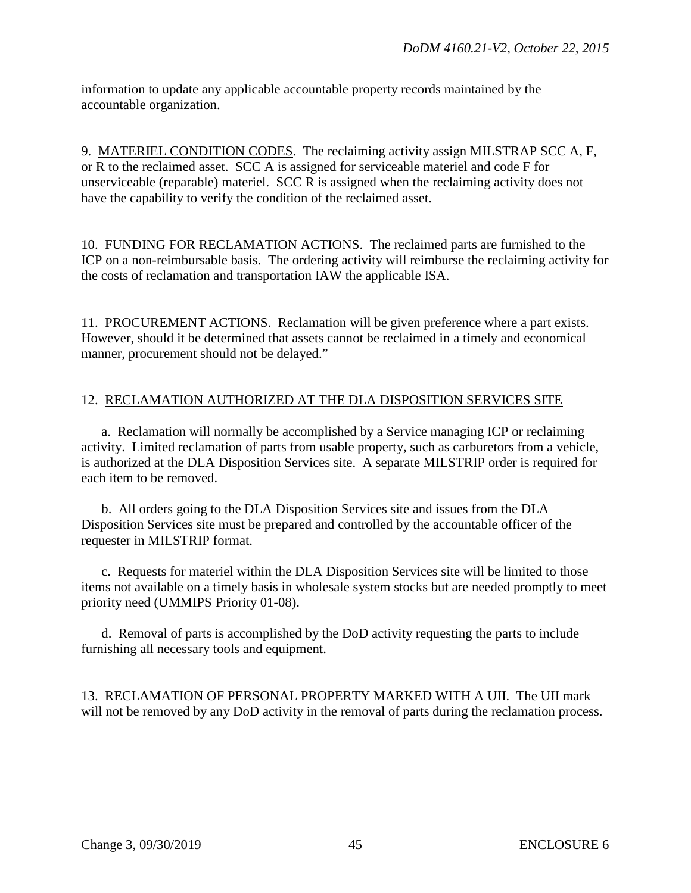information to update any applicable accountable property records maintained by the accountable organization.

9. MATERIEL CONDITION CODES. The reclaiming activity assign MILSTRAP SCC A, F, or R to the reclaimed asset. SCC A is assigned for serviceable materiel and code F for unserviceable (reparable) materiel. SCC R is assigned when the reclaiming activity does not have the capability to verify the condition of the reclaimed asset.

10. FUNDING FOR RECLAMATION ACTIONS. The reclaimed parts are furnished to the ICP on a non-reimbursable basis. The ordering activity will reimburse the reclaiming activity for the costs of reclamation and transportation IAW the applicable ISA.

11. PROCUREMENT ACTIONS. Reclamation will be given preference where a part exists. However, should it be determined that assets cannot be reclaimed in a timely and economical manner, procurement should not be delayed."

## 12. RECLAMATION AUTHORIZED AT THE DLA DISPOSITION SERVICES SITE

a. Reclamation will normally be accomplished by a Service managing ICP or reclaiming activity. Limited reclamation of parts from usable property, such as carburetors from a vehicle, is authorized at the DLA Disposition Services site. A separate MILSTRIP order is required for each item to be removed.

 b. All orders going to the DLA Disposition Services site and issues from the DLA Disposition Services site must be prepared and controlled by the accountable officer of the requester in MILSTRIP format.

c. Requests for materiel within the DLA Disposition Services site will be limited to those items not available on a timely basis in wholesale system stocks but are needed promptly to meet priority need (UMMIPS Priority 01-08).

 d. Removal of parts is accomplished by the DoD activity requesting the parts to include furnishing all necessary tools and equipment.

13. RECLAMATION OF PERSONAL PROPERTY MARKED WITH A UII. The UII mark will not be removed by any DoD activity in the removal of parts during the reclamation process.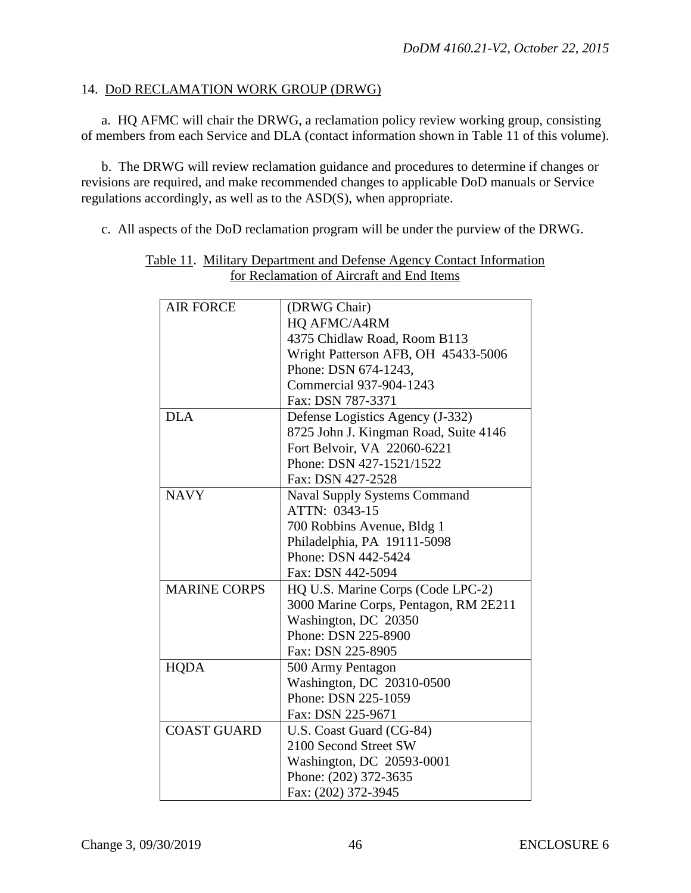### 14. DoD RECLAMATION WORK GROUP (DRWG)

a. HQ AFMC will chair the DRWG, a reclamation policy review working group, consisting of members from each Service and DLA (contact information shown in Table 11 of this volume).

 b. The DRWG will review reclamation guidance and procedures to determine if changes or revisions are required, and make recommended changes to applicable DoD manuals or Service regulations accordingly, as well as to the ASD(S), when appropriate.

c. All aspects of the DoD reclamation program will be under the purview of the DRWG.

| <b>AIR FORCE</b>    | (DRWG Chair)                          |
|---------------------|---------------------------------------|
|                     | HQ AFMC/A4RM                          |
|                     | 4375 Chidlaw Road, Room B113          |
|                     | Wright Patterson AFB, OH 45433-5006   |
|                     | Phone: DSN 674-1243,                  |
|                     | Commercial 937-904-1243               |
|                     | Fax: DSN 787-3371                     |
| <b>DLA</b>          | Defense Logistics Agency (J-332)      |
|                     | 8725 John J. Kingman Road, Suite 4146 |
|                     | Fort Belvoir, VA 22060-6221           |
|                     | Phone: DSN 427-1521/1522              |
|                     | Fax: DSN 427-2528                     |
| <b>NAVY</b>         | <b>Naval Supply Systems Command</b>   |
|                     | ATTN: 0343-15                         |
|                     | 700 Robbins Avenue, Bldg 1            |
|                     | Philadelphia, PA 19111-5098           |
|                     | Phone: DSN 442-5424                   |
|                     | Fax: DSN 442-5094                     |
| <b>MARINE CORPS</b> | HQ U.S. Marine Corps (Code LPC-2)     |
|                     | 3000 Marine Corps, Pentagon, RM 2E211 |
|                     | Washington, DC 20350                  |
|                     | Phone: DSN 225-8900                   |
|                     | Fax: DSN 225-8905                     |
| <b>HQDA</b>         | 500 Army Pentagon                     |
|                     | Washington, DC 20310-0500             |
|                     | Phone: DSN 225-1059                   |
|                     | Fax: DSN 225-9671                     |
| <b>COAST GUARD</b>  | U.S. Coast Guard (CG-84)              |
|                     | 2100 Second Street SW                 |
|                     | Washington, DC 20593-0001             |
|                     | Phone: (202) 372-3635                 |
|                     | Fax: (202) 372-3945                   |
|                     |                                       |

#### Table 11. Military Department and Defense Agency Contact Information for Reclamation of Aircraft and End Items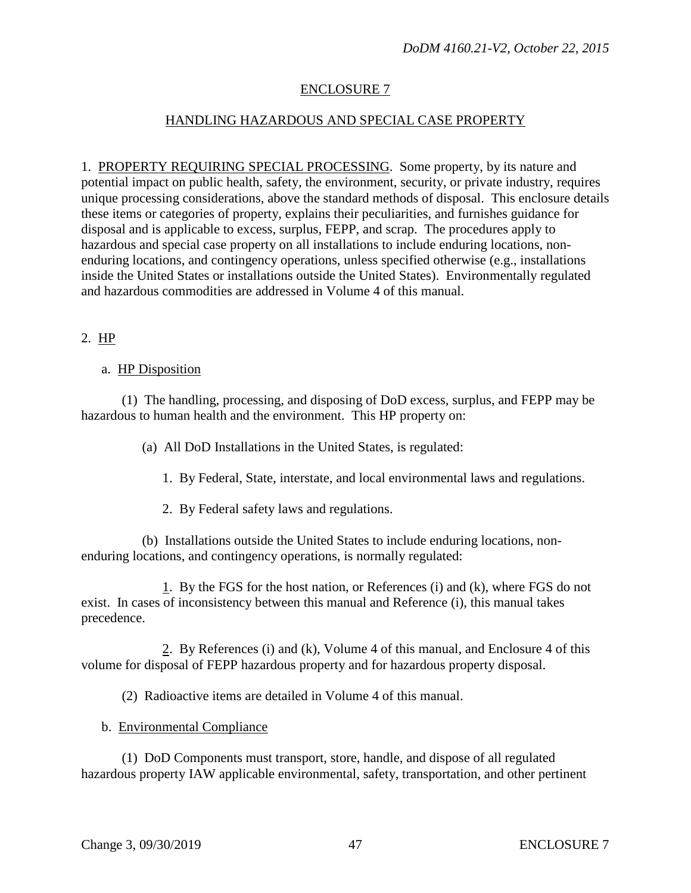# ENCLOSURE 7

# HANDLING HAZARDOUS AND SPECIAL CASE PROPERTY

1. PROPERTY REQUIRING SPECIAL PROCESSING. Some property, by its nature and potential impact on public health, safety, the environment, security, or private industry, requires unique processing considerations, above the standard methods of disposal. This enclosure details these items or categories of property, explains their peculiarities, and furnishes guidance for disposal and is applicable to excess, surplus, FEPP, and scrap. The procedures apply to hazardous and special case property on all installations to include enduring locations, nonenduring locations, and contingency operations, unless specified otherwise (e.g., installations inside the United States or installations outside the United States). Environmentally regulated and hazardous commodities are addressed in Volume 4 of this manual.

## 2. HP

### a. HP Disposition

 (1) The handling, processing, and disposing of DoD excess, surplus, and FEPP may be hazardous to human health and the environment. This HP property on:

(a) All DoD Installations in the United States, is regulated:

1. By Federal, State, interstate, and local environmental laws and regulations.

2. By Federal safety laws and regulations.

 (b) Installations outside the United States to include enduring locations, nonenduring locations, and contingency operations, is normally regulated:

 1. By the FGS for the host nation, or References (i) and (k), where FGS do not exist. In cases of inconsistency between this manual and Reference (i), this manual takes precedence.

 2. By References (i) and (k), Volume 4 of this manual, and Enclosure 4 of this volume for disposal of FEPP hazardous property and for hazardous property disposal.

(2) Radioactive items are detailed in Volume 4 of this manual.

b. Environmental Compliance

 (1) DoD Components must transport, store, handle, and dispose of all regulated hazardous property IAW applicable environmental, safety, transportation, and other pertinent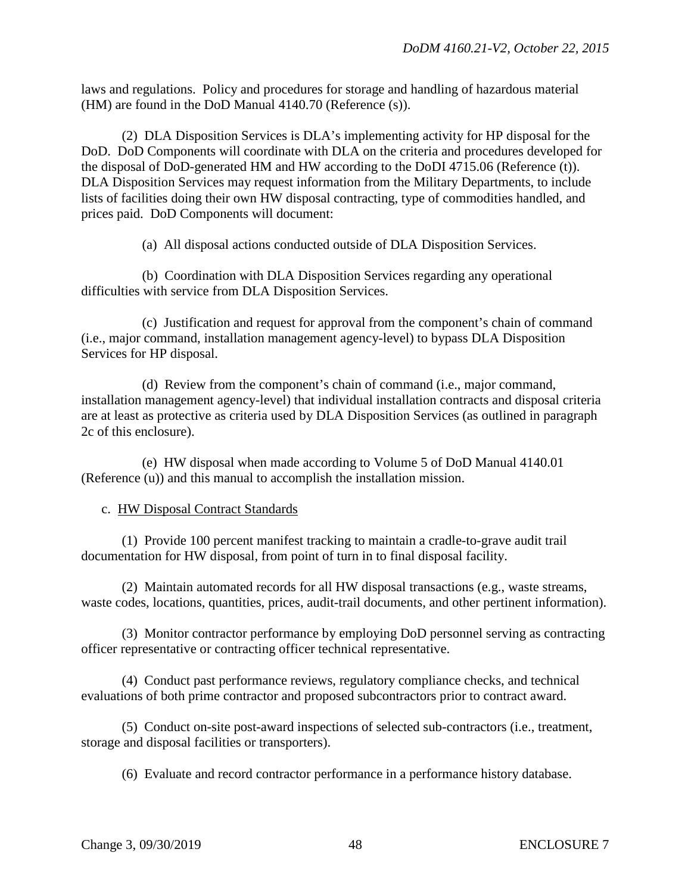laws and regulations. Policy and procedures for storage and handling of hazardous material (HM) are found in the DoD Manual 4140.70 (Reference (s)).

 (2) DLA Disposition Services is DLA's implementing activity for HP disposal for the DoD. DoD Components will coordinate with DLA on the criteria and procedures developed for the disposal of DoD-generated HM and HW according to the DoDI 4715.06 (Reference (t)). DLA Disposition Services may request information from the Military Departments, to include lists of facilities doing their own HW disposal contracting, type of commodities handled, and prices paid. DoD Components will document:

(a) All disposal actions conducted outside of DLA Disposition Services.

 (b) Coordination with DLA Disposition Services regarding any operational difficulties with service from DLA Disposition Services.

 (c) Justification and request for approval from the component's chain of command (i.e., major command, installation management agency-level) to bypass DLA Disposition Services for HP disposal.

 (d) Review from the component's chain of command (i.e., major command, installation management agency-level) that individual installation contracts and disposal criteria are at least as protective as criteria used by DLA Disposition Services (as outlined in paragraph 2c of this enclosure).

 (e) HW disposal when made according to Volume 5 of DoD Manual 4140.01 (Reference (u)) and this manual to accomplish the installation mission.

### c. HW Disposal Contract Standards

 (1) Provide 100 percent manifest tracking to maintain a cradle-to-grave audit trail documentation for HW disposal, from point of turn in to final disposal facility.

 (2) Maintain automated records for all HW disposal transactions (e.g., waste streams, waste codes, locations, quantities, prices, audit-trail documents, and other pertinent information).

 (3) Monitor contractor performance by employing DoD personnel serving as contracting officer representative or contracting officer technical representative.

 (4) Conduct past performance reviews, regulatory compliance checks, and technical evaluations of both prime contractor and proposed subcontractors prior to contract award.

 (5) Conduct on-site post-award inspections of selected sub-contractors (i.e., treatment, storage and disposal facilities or transporters).

(6) Evaluate and record contractor performance in a performance history database.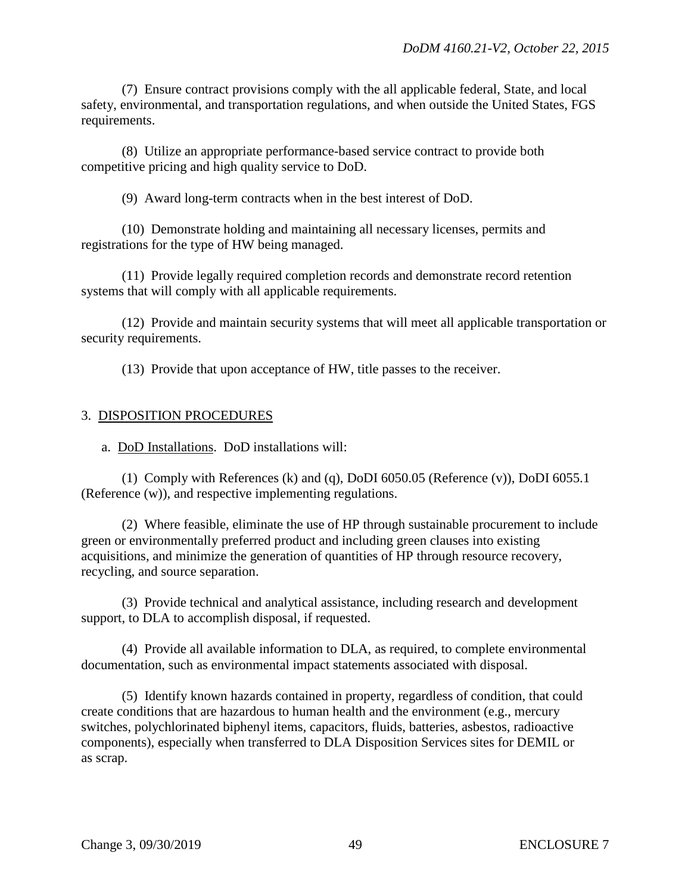(7) Ensure contract provisions comply with the all applicable federal, State, and local safety, environmental, and transportation regulations, and when outside the United States, FGS requirements.

 (8) Utilize an appropriate performance-based service contract to provide both competitive pricing and high quality service to DoD.

(9) Award long-term contracts when in the best interest of DoD.

 (10) Demonstrate holding and maintaining all necessary licenses, permits and registrations for the type of HW being managed.

 (11) Provide legally required completion records and demonstrate record retention systems that will comply with all applicable requirements.

 (12) Provide and maintain security systems that will meet all applicable transportation or security requirements.

(13) Provide that upon acceptance of HW, title passes to the receiver.

## 3. DISPOSITION PROCEDURES

a. DoD Installations. DoD installations will:

 (1) Comply with References (k) and (q), DoDI 6050.05 (Reference (v)), DoDI 6055.1 (Reference (w)), and respective implementing regulations.

 (2) Where feasible, eliminate the use of HP through sustainable procurement to include green or environmentally preferred product and including green clauses into existing acquisitions, and minimize the generation of quantities of HP through resource recovery, recycling, and source separation.

 (3) Provide technical and analytical assistance, including research and development support, to DLA to accomplish disposal, if requested.

 (4) Provide all available information to DLA, as required, to complete environmental documentation, such as environmental impact statements associated with disposal.

 (5) Identify known hazards contained in property, regardless of condition, that could create conditions that are hazardous to human health and the environment (e.g., mercury switches, polychlorinated biphenyl items, capacitors, fluids, batteries, asbestos, radioactive components), especially when transferred to DLA Disposition Services sites for DEMIL or as scrap.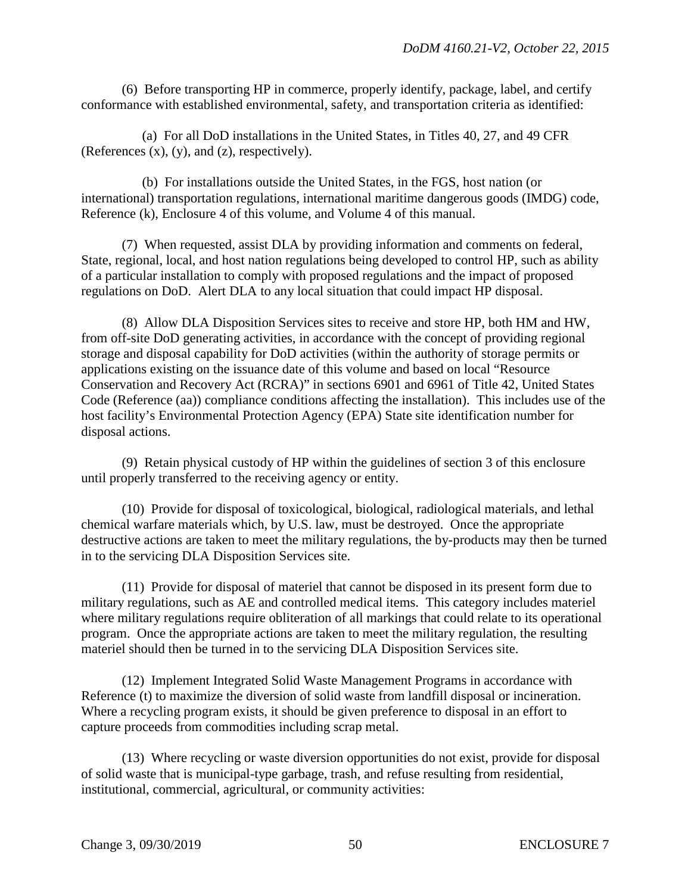(6) Before transporting HP in commerce, properly identify, package, label, and certify conformance with established environmental, safety, and transportation criteria as identified:

 (a) For all DoD installations in the United States, in Titles 40, 27, and 49 CFR (References  $(x)$ ,  $(y)$ , and  $(z)$ , respectively).

 (b) For installations outside the United States, in the FGS, host nation (or international) transportation regulations, international maritime dangerous goods (IMDG) code, Reference (k), Enclosure 4 of this volume, and Volume 4 of this manual.

 (7) When requested, assist DLA by providing information and comments on federal, State, regional, local, and host nation regulations being developed to control HP, such as ability of a particular installation to comply with proposed regulations and the impact of proposed regulations on DoD. Alert DLA to any local situation that could impact HP disposal.

 (8) Allow DLA Disposition Services sites to receive and store HP, both HM and HW, from off-site DoD generating activities, in accordance with the concept of providing regional storage and disposal capability for DoD activities (within the authority of storage permits or applications existing on the issuance date of this volume and based on local "Resource Conservation and Recovery Act (RCRA)" in sections 6901 and 6961 of Title 42, United States Code (Reference (aa)) compliance conditions affecting the installation). This includes use of the host facility's Environmental Protection Agency (EPA) State site identification number for disposal actions.

 (9) Retain physical custody of HP within the guidelines of section 3 of this enclosure until properly transferred to the receiving agency or entity.

 (10) Provide for disposal of toxicological, biological, radiological materials, and lethal chemical warfare materials which, by U.S. law, must be destroyed. Once the appropriate destructive actions are taken to meet the military regulations, the by-products may then be turned in to the servicing DLA Disposition Services site.

 (11) Provide for disposal of materiel that cannot be disposed in its present form due to military regulations, such as AE and controlled medical items. This category includes materiel where military regulations require obliteration of all markings that could relate to its operational program. Once the appropriate actions are taken to meet the military regulation, the resulting materiel should then be turned in to the servicing DLA Disposition Services site.

 (12) Implement Integrated Solid Waste Management Programs in accordance with Reference (t) to maximize the diversion of solid waste from landfill disposal or incineration. Where a recycling program exists, it should be given preference to disposal in an effort to capture proceeds from commodities including scrap metal.

 (13) Where recycling or waste diversion opportunities do not exist, provide for disposal of solid waste that is municipal-type garbage, trash, and refuse resulting from residential, institutional, commercial, agricultural, or community activities: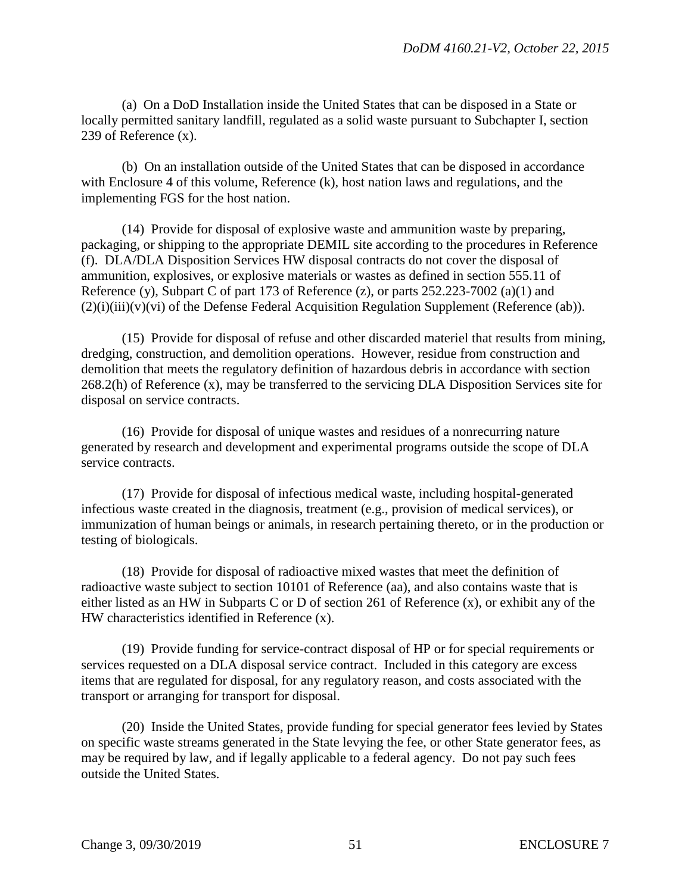(a) On a DoD Installation inside the United States that can be disposed in a State or locally permitted sanitary landfill, regulated as a solid waste pursuant to Subchapter I, section 239 of Reference (x).

 (b) On an installation outside of the United States that can be disposed in accordance with Enclosure 4 of this volume, Reference (k), host nation laws and regulations, and the implementing FGS for the host nation.

 (14) Provide for disposal of explosive waste and ammunition waste by preparing, packaging, or shipping to the appropriate DEMIL site according to the procedures in Reference (f). DLA/DLA Disposition Services HW disposal contracts do not cover the disposal of ammunition, explosives, or explosive materials or wastes as defined in section 555.11 of Reference (y), Subpart C of part 173 of Reference (z), or parts  $252.223-7002$  (a)(1) and  $(2)(i)(iii)(v)(vi)$  of the Defense Federal Acquisition Regulation Supplement (Reference (ab)).

 (15) Provide for disposal of refuse and other discarded materiel that results from mining, dredging, construction, and demolition operations. However, residue from construction and demolition that meets the regulatory definition of hazardous debris in accordance with section 268.2(h) of Reference (x), may be transferred to the servicing DLA Disposition Services site for disposal on service contracts.

 (16) Provide for disposal of unique wastes and residues of a nonrecurring nature generated by research and development and experimental programs outside the scope of DLA service contracts.

 (17) Provide for disposal of infectious medical waste, including hospital-generated infectious waste created in the diagnosis, treatment (e.g., provision of medical services), or immunization of human beings or animals, in research pertaining thereto, or in the production or testing of biologicals.

 (18) Provide for disposal of radioactive mixed wastes that meet the definition of radioactive waste subject to section 10101 of Reference (aa), and also contains waste that is either listed as an HW in Subparts C or D of section 261 of Reference (x), or exhibit any of the HW characteristics identified in Reference (x).

 (19) Provide funding for service-contract disposal of HP or for special requirements or services requested on a DLA disposal service contract. Included in this category are excess items that are regulated for disposal, for any regulatory reason, and costs associated with the transport or arranging for transport for disposal.

 (20) Inside the United States, provide funding for special generator fees levied by States on specific waste streams generated in the State levying the fee, or other State generator fees, as may be required by law, and if legally applicable to a federal agency. Do not pay such fees outside the United States.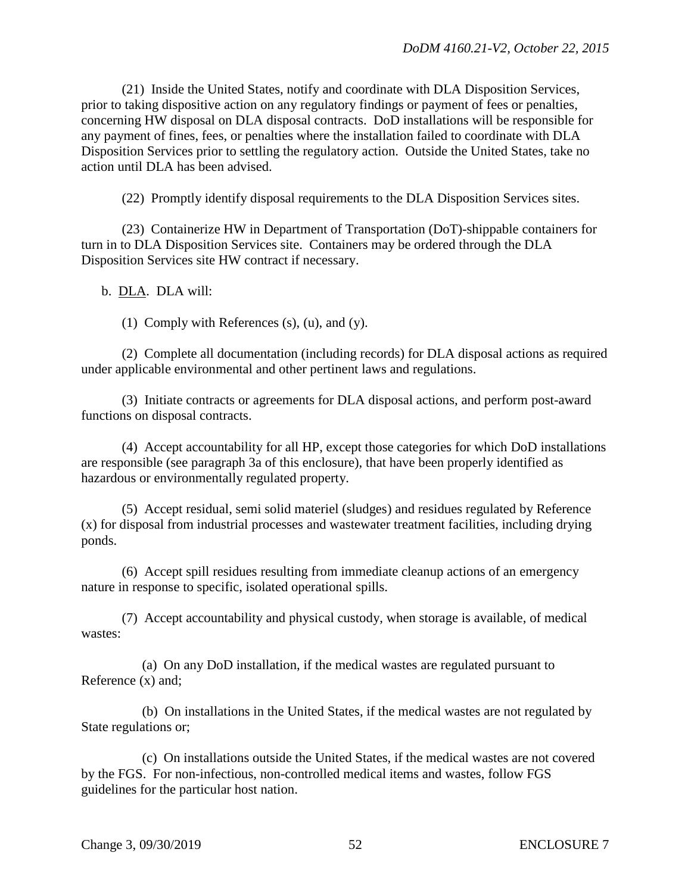(21) Inside the United States, notify and coordinate with DLA Disposition Services, prior to taking dispositive action on any regulatory findings or payment of fees or penalties, concerning HW disposal on DLA disposal contracts. DoD installations will be responsible for any payment of fines, fees, or penalties where the installation failed to coordinate with DLA Disposition Services prior to settling the regulatory action. Outside the United States, take no action until DLA has been advised.

(22) Promptly identify disposal requirements to the DLA Disposition Services sites.

 (23) Containerize HW in Department of Transportation (DoT)-shippable containers for turn in to DLA Disposition Services site. Containers may be ordered through the DLA Disposition Services site HW contract if necessary.

b. DLA. DLA will:

(1) Comply with References (s), (u), and (y).

 (2) Complete all documentation (including records) for DLA disposal actions as required under applicable environmental and other pertinent laws and regulations.

 (3) Initiate contracts or agreements for DLA disposal actions, and perform post-award functions on disposal contracts.

 (4) Accept accountability for all HP, except those categories for which DoD installations are responsible (see paragraph 3a of this enclosure), that have been properly identified as hazardous or environmentally regulated property.

 (5) Accept residual, semi solid materiel (sludges) and residues regulated by Reference (x) for disposal from industrial processes and wastewater treatment facilities, including drying ponds.

 (6) Accept spill residues resulting from immediate cleanup actions of an emergency nature in response to specific, isolated operational spills.

 (7) Accept accountability and physical custody, when storage is available, of medical wastes:

 (a) On any DoD installation, if the medical wastes are regulated pursuant to Reference (x) and;

 (b) On installations in the United States, if the medical wastes are not regulated by State regulations or;

 (c) On installations outside the United States, if the medical wastes are not covered by the FGS. For non-infectious, non-controlled medical items and wastes, follow FGS guidelines for the particular host nation.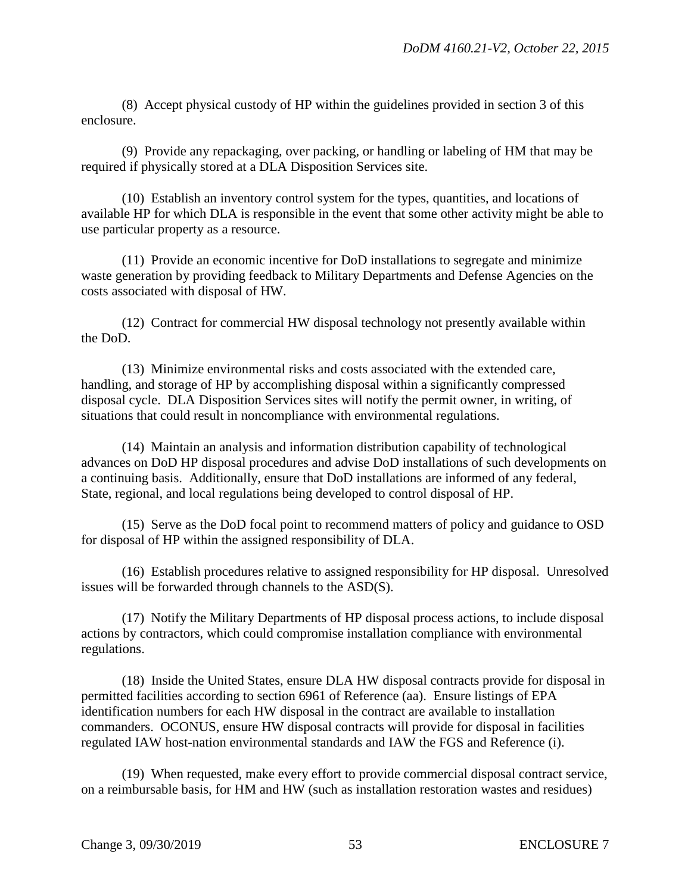(8) Accept physical custody of HP within the guidelines provided in section 3 of this enclosure.

 (9) Provide any repackaging, over packing, or handling or labeling of HM that may be required if physically stored at a DLA Disposition Services site.

 (10) Establish an inventory control system for the types, quantities, and locations of available HP for which DLA is responsible in the event that some other activity might be able to use particular property as a resource.

 (11) Provide an economic incentive for DoD installations to segregate and minimize waste generation by providing feedback to Military Departments and Defense Agencies on the costs associated with disposal of HW.

 (12) Contract for commercial HW disposal technology not presently available within the DoD.

 (13) Minimize environmental risks and costs associated with the extended care, handling, and storage of HP by accomplishing disposal within a significantly compressed disposal cycle. DLA Disposition Services sites will notify the permit owner, in writing, of situations that could result in noncompliance with environmental regulations.

 (14) Maintain an analysis and information distribution capability of technological advances on DoD HP disposal procedures and advise DoD installations of such developments on a continuing basis. Additionally, ensure that DoD installations are informed of any federal, State, regional, and local regulations being developed to control disposal of HP.

 (15) Serve as the DoD focal point to recommend matters of policy and guidance to OSD for disposal of HP within the assigned responsibility of DLA.

 (16) Establish procedures relative to assigned responsibility for HP disposal. Unresolved issues will be forwarded through channels to the ASD(S).

 (17) Notify the Military Departments of HP disposal process actions, to include disposal actions by contractors, which could compromise installation compliance with environmental regulations.

 (18) Inside the United States, ensure DLA HW disposal contracts provide for disposal in permitted facilities according to section 6961 of Reference (aa). Ensure listings of EPA identification numbers for each HW disposal in the contract are available to installation commanders. OCONUS, ensure HW disposal contracts will provide for disposal in facilities regulated IAW host-nation environmental standards and IAW the FGS and Reference (i).

 (19) When requested, make every effort to provide commercial disposal contract service, on a reimbursable basis, for HM and HW (such as installation restoration wastes and residues)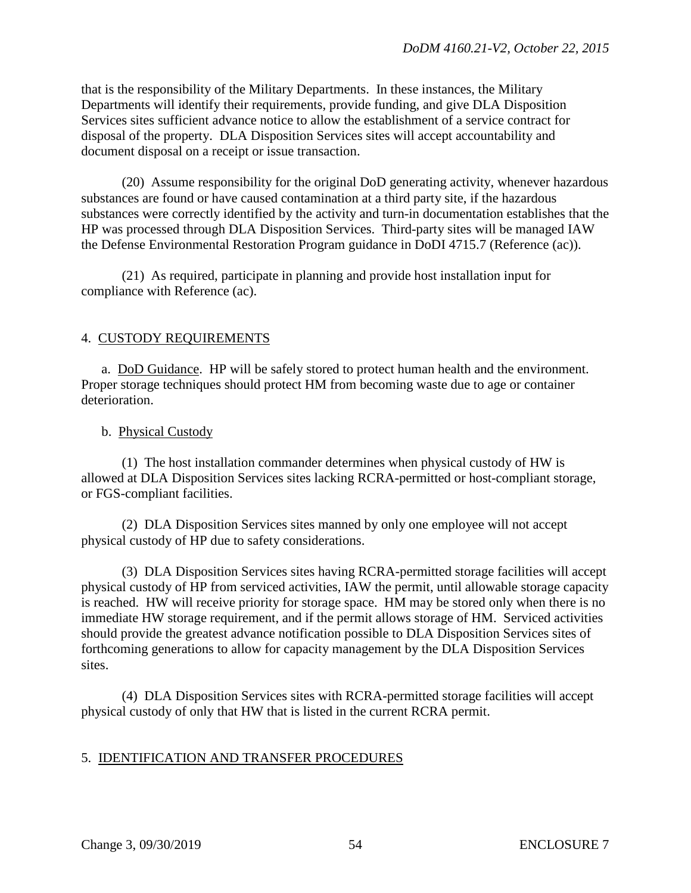that is the responsibility of the Military Departments. In these instances, the Military Departments will identify their requirements, provide funding, and give DLA Disposition Services sites sufficient advance notice to allow the establishment of a service contract for disposal of the property. DLA Disposition Services sites will accept accountability and document disposal on a receipt or issue transaction.

 (20) Assume responsibility for the original DoD generating activity, whenever hazardous substances are found or have caused contamination at a third party site, if the hazardous substances were correctly identified by the activity and turn-in documentation establishes that the HP was processed through DLA Disposition Services. Third-party sites will be managed IAW the Defense Environmental Restoration Program guidance in DoDI 4715.7 (Reference (ac)).

 (21) As required, participate in planning and provide host installation input for compliance with Reference (ac).

## 4. CUSTODY REQUIREMENTS

a. DoD Guidance. HP will be safely stored to protect human health and the environment. Proper storage techniques should protect HM from becoming waste due to age or container deterioration.

### b. Physical Custody

 (1) The host installation commander determines when physical custody of HW is allowed at DLA Disposition Services sites lacking RCRA-permitted or host-compliant storage, or FGS-compliant facilities.

 (2) DLA Disposition Services sites manned by only one employee will not accept physical custody of HP due to safety considerations.

 (3) DLA Disposition Services sites having RCRA-permitted storage facilities will accept physical custody of HP from serviced activities, IAW the permit, until allowable storage capacity is reached. HW will receive priority for storage space. HM may be stored only when there is no immediate HW storage requirement, and if the permit allows storage of HM. Serviced activities should provide the greatest advance notification possible to DLA Disposition Services sites of forthcoming generations to allow for capacity management by the DLA Disposition Services sites.

 (4) DLA Disposition Services sites with RCRA-permitted storage facilities will accept physical custody of only that HW that is listed in the current RCRA permit.

### 5. IDENTIFICATION AND TRANSFER PROCEDURES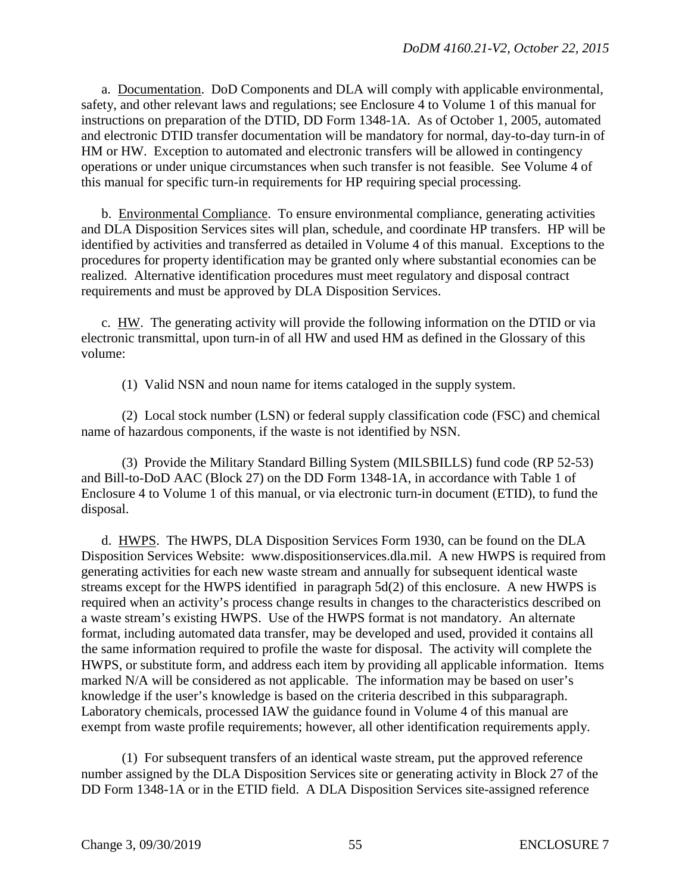a. Documentation. DoD Components and DLA will comply with applicable environmental, safety, and other relevant laws and regulations; see Enclosure 4 to Volume 1 of this manual for instructions on preparation of the DTID, DD Form 1348-1A. As of October 1, 2005, automated and electronic DTID transfer documentation will be mandatory for normal, day-to-day turn-in of HM or HW. Exception to automated and electronic transfers will be allowed in contingency operations or under unique circumstances when such transfer is not feasible. See Volume 4 of this manual for specific turn-in requirements for HP requiring special processing.

 b. Environmental Compliance. To ensure environmental compliance, generating activities and DLA Disposition Services sites will plan, schedule, and coordinate HP transfers. HP will be identified by activities and transferred as detailed in Volume 4 of this manual. Exceptions to the procedures for property identification may be granted only where substantial economies can be realized. Alternative identification procedures must meet regulatory and disposal contract requirements and must be approved by DLA Disposition Services.

c. HW. The generating activity will provide the following information on the DTID or via electronic transmittal, upon turn-in of all HW and used HM as defined in the Glossary of this volume:

(1) Valid NSN and noun name for items cataloged in the supply system.

 (2) Local stock number (LSN) or federal supply classification code (FSC) and chemical name of hazardous components, if the waste is not identified by NSN.

 (3) Provide the Military Standard Billing System (MILSBILLS) fund code (RP 52-53) and Bill-to-DoD AAC (Block 27) on the DD Form 1348-1A, in accordance with Table 1 of Enclosure 4 to Volume 1 of this manual, or via electronic turn-in document (ETID), to fund the disposal.

 d. HWPS. The HWPS, DLA Disposition Services Form 1930, can be found on the DLA Disposition Services Website: www.dispositionservices.dla.mil. A new HWPS is required from generating activities for each new waste stream and annually for subsequent identical waste streams except for the HWPS identified in paragraph 5d(2) of this enclosure. A new HWPS is required when an activity's process change results in changes to the characteristics described on a waste stream's existing HWPS. Use of the HWPS format is not mandatory. An alternate format, including automated data transfer, may be developed and used, provided it contains all the same information required to profile the waste for disposal. The activity will complete the HWPS, or substitute form, and address each item by providing all applicable information. Items marked N/A will be considered as not applicable. The information may be based on user's knowledge if the user's knowledge is based on the criteria described in this subparagraph. Laboratory chemicals, processed IAW the guidance found in Volume 4 of this manual are exempt from waste profile requirements; however, all other identification requirements apply.

 (1) For subsequent transfers of an identical waste stream, put the approved reference number assigned by the DLA Disposition Services site or generating activity in Block 27 of the DD Form 1348-1A or in the ETID field. A DLA Disposition Services site-assigned reference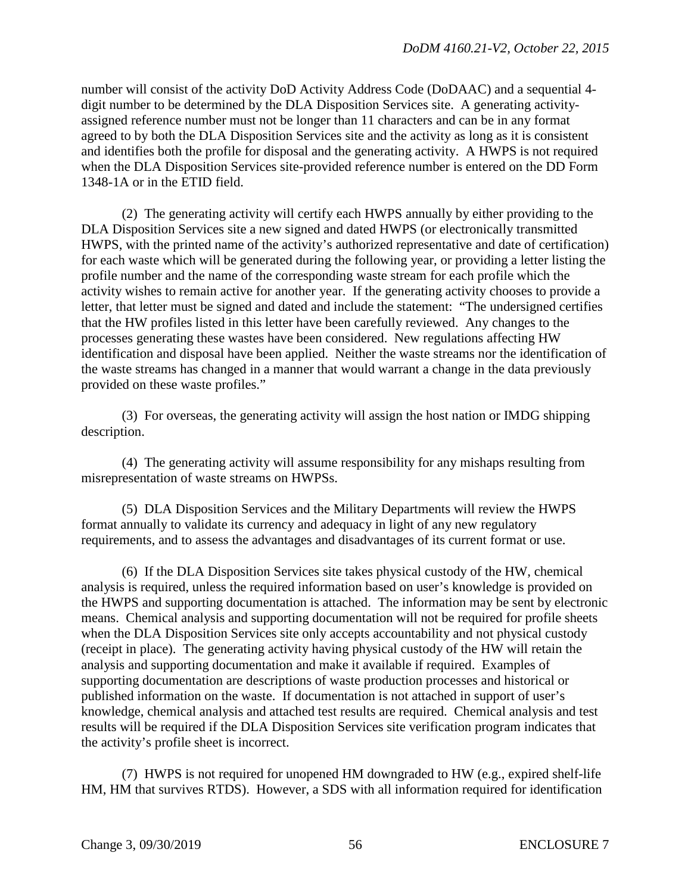number will consist of the activity DoD Activity Address Code (DoDAAC) and a sequential 4 digit number to be determined by the DLA Disposition Services site. A generating activityassigned reference number must not be longer than 11 characters and can be in any format agreed to by both the DLA Disposition Services site and the activity as long as it is consistent and identifies both the profile for disposal and the generating activity. A HWPS is not required when the DLA Disposition Services site-provided reference number is entered on the DD Form 1348-1A or in the ETID field.

 (2) The generating activity will certify each HWPS annually by either providing to the DLA Disposition Services site a new signed and dated HWPS (or electronically transmitted HWPS, with the printed name of the activity's authorized representative and date of certification) for each waste which will be generated during the following year, or providing a letter listing the profile number and the name of the corresponding waste stream for each profile which the activity wishes to remain active for another year. If the generating activity chooses to provide a letter, that letter must be signed and dated and include the statement: "The undersigned certifies that the HW profiles listed in this letter have been carefully reviewed. Any changes to the processes generating these wastes have been considered. New regulations affecting HW identification and disposal have been applied. Neither the waste streams nor the identification of the waste streams has changed in a manner that would warrant a change in the data previously provided on these waste profiles."

(3) For overseas, the generating activity will assign the host nation or IMDG shipping description.

(4) The generating activity will assume responsibility for any mishaps resulting from misrepresentation of waste streams on HWPSs.

 (5) DLA Disposition Services and the Military Departments will review the HWPS format annually to validate its currency and adequacy in light of any new regulatory requirements, and to assess the advantages and disadvantages of its current format or use.

 (6) If the DLA Disposition Services site takes physical custody of the HW, chemical analysis is required, unless the required information based on user's knowledge is provided on the HWPS and supporting documentation is attached. The information may be sent by electronic means. Chemical analysis and supporting documentation will not be required for profile sheets when the DLA Disposition Services site only accepts accountability and not physical custody (receipt in place). The generating activity having physical custody of the HW will retain the analysis and supporting documentation and make it available if required. Examples of supporting documentation are descriptions of waste production processes and historical or published information on the waste. If documentation is not attached in support of user's knowledge, chemical analysis and attached test results are required. Chemical analysis and test results will be required if the DLA Disposition Services site verification program indicates that the activity's profile sheet is incorrect.

 (7) HWPS is not required for unopened HM downgraded to HW (e.g., expired shelf-life HM, HM that survives RTDS). However, a SDS with all information required for identification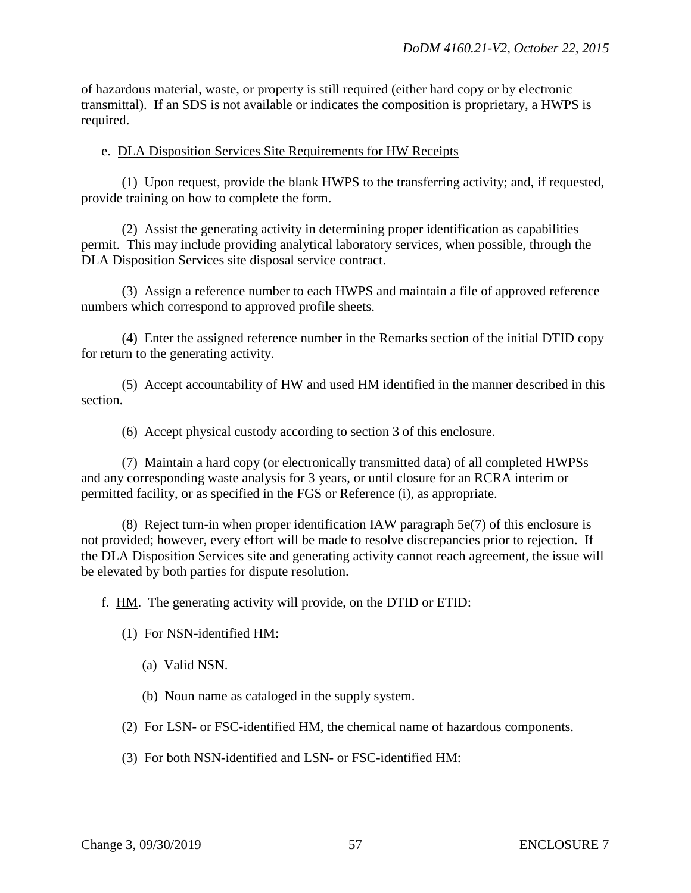of hazardous material, waste, or property is still required (either hard copy or by electronic transmittal). If an SDS is not available or indicates the composition is proprietary, a HWPS is required.

#### e. DLA Disposition Services Site Requirements for HW Receipts

 (1) Upon request, provide the blank HWPS to the transferring activity; and, if requested, provide training on how to complete the form.

 (2) Assist the generating activity in determining proper identification as capabilities permit. This may include providing analytical laboratory services, when possible, through the DLA Disposition Services site disposal service contract.

 (3) Assign a reference number to each HWPS and maintain a file of approved reference numbers which correspond to approved profile sheets.

 (4) Enter the assigned reference number in the Remarks section of the initial DTID copy for return to the generating activity.

 (5) Accept accountability of HW and used HM identified in the manner described in this section.

(6) Accept physical custody according to section 3 of this enclosure.

 (7) Maintain a hard copy (or electronically transmitted data) of all completed HWPSs and any corresponding waste analysis for 3 years, or until closure for an RCRA interim or permitted facility, or as specified in the FGS or Reference (i), as appropriate.

 (8) Reject turn-in when proper identification IAW paragraph 5e(7) of this enclosure is not provided; however, every effort will be made to resolve discrepancies prior to rejection. If the DLA Disposition Services site and generating activity cannot reach agreement, the issue will be elevated by both parties for dispute resolution.

f. HM. The generating activity will provide, on the DTID or ETID:

(1) For NSN-identified HM:

(a) Valid NSN.

(b) Noun name as cataloged in the supply system.

(2) For LSN- or FSC-identified HM, the chemical name of hazardous components.

(3) For both NSN-identified and LSN- or FSC-identified HM: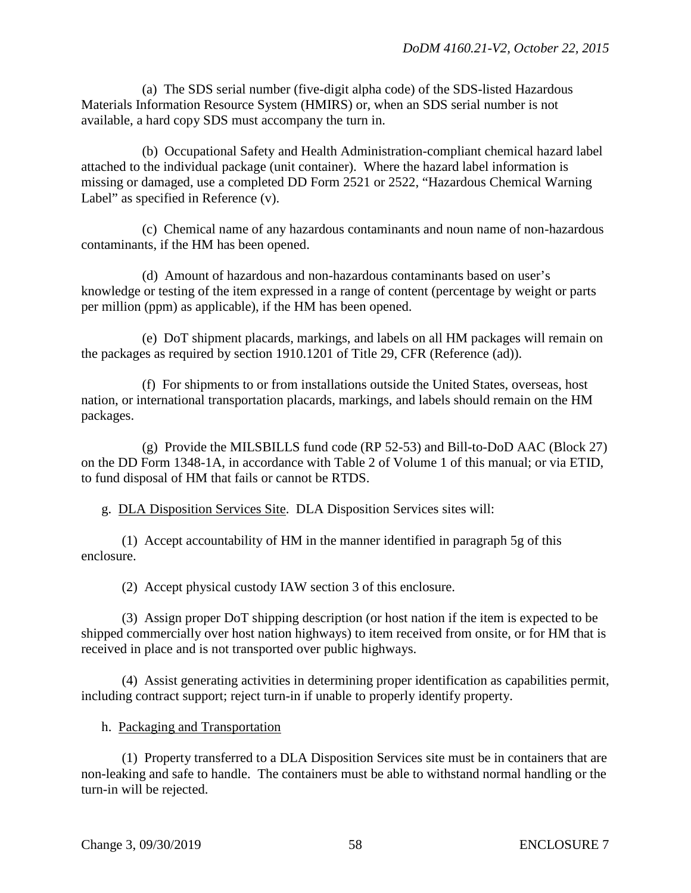(a) The SDS serial number (five-digit alpha code) of the SDS-listed Hazardous Materials Information Resource System (HMIRS) or, when an SDS serial number is not available, a hard copy SDS must accompany the turn in.

 (b) Occupational Safety and Health Administration-compliant chemical hazard label attached to the individual package (unit container). Where the hazard label information is missing or damaged, use a completed DD Form 2521 or 2522, "Hazardous Chemical Warning Label" as specified in Reference (v).

 (c) Chemical name of any hazardous contaminants and noun name of non-hazardous contaminants, if the HM has been opened.

 (d) Amount of hazardous and non-hazardous contaminants based on user's knowledge or testing of the item expressed in a range of content (percentage by weight or parts per million (ppm) as applicable), if the HM has been opened.

 (e) DoT shipment placards, markings, and labels on all HM packages will remain on the packages as required by section 1910.1201 of Title 29, CFR (Reference (ad)).

 (f) For shipments to or from installations outside the United States, overseas, host nation, or international transportation placards, markings, and labels should remain on the HM packages.

 (g) Provide the MILSBILLS fund code (RP 52-53) and Bill-to-DoD AAC (Block 27) on the DD Form 1348-1A, in accordance with Table 2 of Volume 1 of this manual; or via ETID, to fund disposal of HM that fails or cannot be RTDS.

g. DLA Disposition Services Site. DLA Disposition Services sites will:

 (1) Accept accountability of HM in the manner identified in paragraph 5g of this enclosure.

(2) Accept physical custody IAW section 3 of this enclosure.

 (3) Assign proper DoT shipping description (or host nation if the item is expected to be shipped commercially over host nation highways) to item received from onsite, or for HM that is received in place and is not transported over public highways.

 (4) Assist generating activities in determining proper identification as capabilities permit, including contract support; reject turn-in if unable to properly identify property.

h. Packaging and Transportation

 (1) Property transferred to a DLA Disposition Services site must be in containers that are non-leaking and safe to handle. The containers must be able to withstand normal handling or the turn-in will be rejected.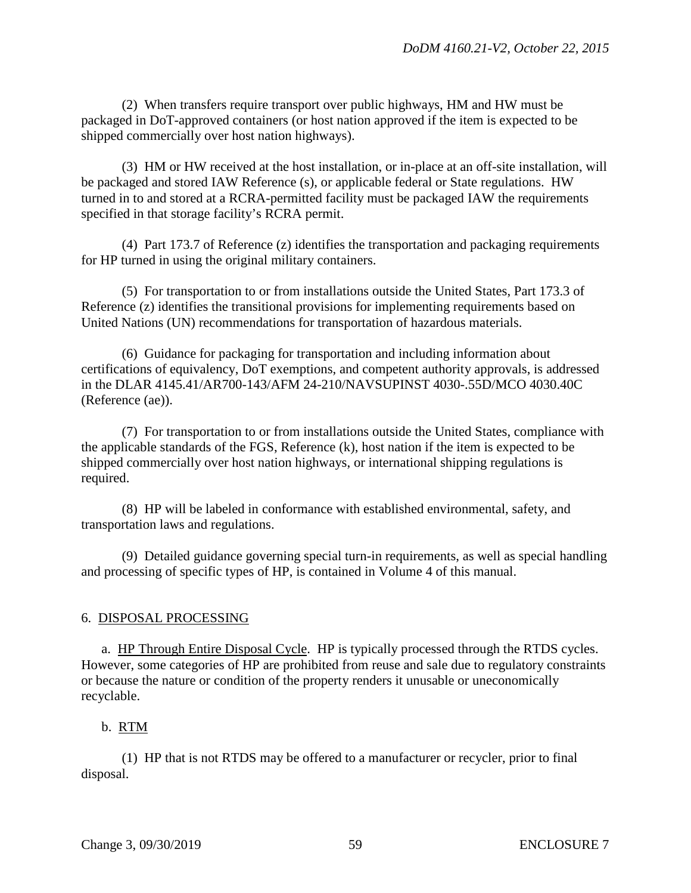(2) When transfers require transport over public highways, HM and HW must be packaged in DoT-approved containers (or host nation approved if the item is expected to be shipped commercially over host nation highways).

 (3) HM or HW received at the host installation, or in-place at an off-site installation, will be packaged and stored IAW Reference (s), or applicable federal or State regulations. HW turned in to and stored at a RCRA-permitted facility must be packaged IAW the requirements specified in that storage facility's RCRA permit.

 (4) Part 173.7 of Reference (z) identifies the transportation and packaging requirements for HP turned in using the original military containers.

 (5) For transportation to or from installations outside the United States, Part 173.3 of Reference (z) identifies the transitional provisions for implementing requirements based on United Nations (UN) recommendations for transportation of hazardous materials.

 (6) Guidance for packaging for transportation and including information about certifications of equivalency, DoT exemptions, and competent authority approvals, is addressed in the DLAR 4145.41/AR700-143/AFM 24-210/NAVSUPINST 4030-.55D/MCO 4030.40C (Reference (ae)).

 (7) For transportation to or from installations outside the United States, compliance with the applicable standards of the FGS, Reference (k), host nation if the item is expected to be shipped commercially over host nation highways, or international shipping regulations is required.

 (8) HP will be labeled in conformance with established environmental, safety, and transportation laws and regulations.

 (9) Detailed guidance governing special turn-in requirements, as well as special handling and processing of specific types of HP, is contained in Volume 4 of this manual.

## 6. DISPOSAL PROCESSING

a. HP Through Entire Disposal Cycle. HP is typically processed through the RTDS cycles. However, some categories of HP are prohibited from reuse and sale due to regulatory constraints or because the nature or condition of the property renders it unusable or uneconomically recyclable.

### b. RTM

 (1) HP that is not RTDS may be offered to a manufacturer or recycler, prior to final disposal.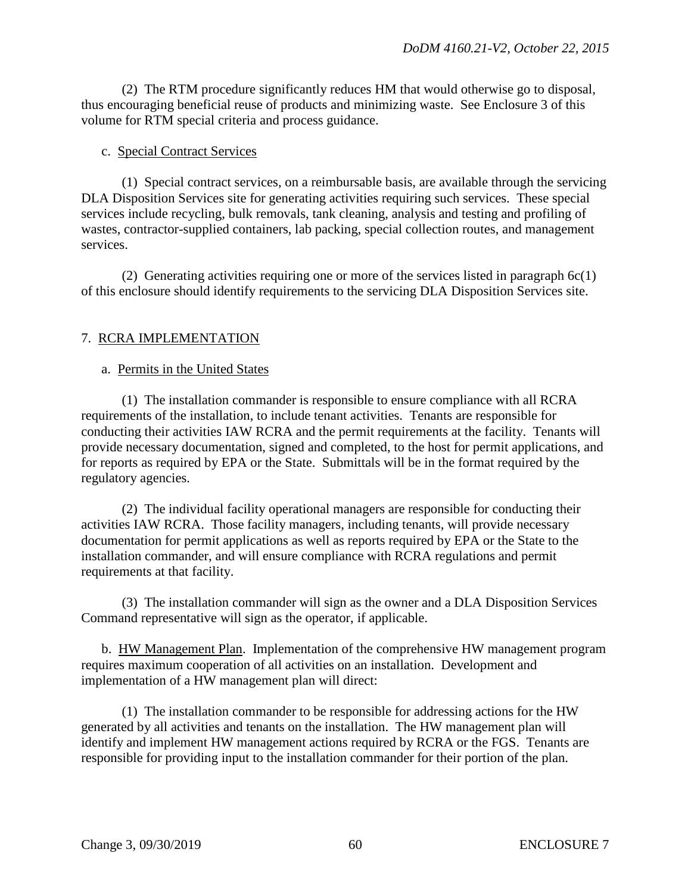(2) The RTM procedure significantly reduces HM that would otherwise go to disposal, thus encouraging beneficial reuse of products and minimizing waste. See Enclosure 3 of this volume for RTM special criteria and process guidance.

#### c. Special Contract Services

 (1) Special contract services, on a reimbursable basis, are available through the servicing DLA Disposition Services site for generating activities requiring such services. These special services include recycling, bulk removals, tank cleaning, analysis and testing and profiling of wastes, contractor-supplied containers, lab packing, special collection routes, and management services.

 (2) Generating activities requiring one or more of the services listed in paragraph 6c(1) of this enclosure should identify requirements to the servicing DLA Disposition Services site.

## 7. RCRA IMPLEMENTATION

#### a. Permits in the United States

 (1) The installation commander is responsible to ensure compliance with all RCRA requirements of the installation, to include tenant activities. Tenants are responsible for conducting their activities IAW RCRA and the permit requirements at the facility. Tenants will provide necessary documentation, signed and completed, to the host for permit applications, and for reports as required by EPA or the State. Submittals will be in the format required by the regulatory agencies.

 (2) The individual facility operational managers are responsible for conducting their activities IAW RCRA. Those facility managers, including tenants, will provide necessary documentation for permit applications as well as reports required by EPA or the State to the installation commander, and will ensure compliance with RCRA regulations and permit requirements at that facility.

 (3) The installation commander will sign as the owner and a DLA Disposition Services Command representative will sign as the operator, if applicable.

 b. HW Management Plan. Implementation of the comprehensive HW management program requires maximum cooperation of all activities on an installation. Development and implementation of a HW management plan will direct:

 (1) The installation commander to be responsible for addressing actions for the HW generated by all activities and tenants on the installation. The HW management plan will identify and implement HW management actions required by RCRA or the FGS. Tenants are responsible for providing input to the installation commander for their portion of the plan.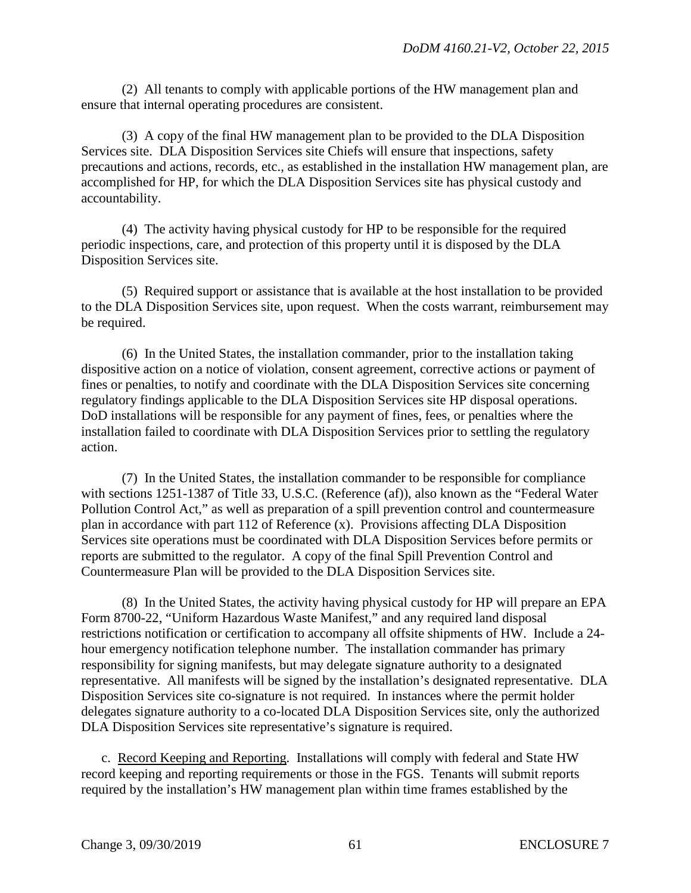(2) All tenants to comply with applicable portions of the HW management plan and ensure that internal operating procedures are consistent.

 (3) A copy of the final HW management plan to be provided to the DLA Disposition Services site. DLA Disposition Services site Chiefs will ensure that inspections, safety precautions and actions, records, etc., as established in the installation HW management plan, are accomplished for HP, for which the DLA Disposition Services site has physical custody and accountability.

 (4) The activity having physical custody for HP to be responsible for the required periodic inspections, care, and protection of this property until it is disposed by the DLA Disposition Services site.

 (5) Required support or assistance that is available at the host installation to be provided to the DLA Disposition Services site, upon request. When the costs warrant, reimbursement may be required.

 (6) In the United States, the installation commander, prior to the installation taking dispositive action on a notice of violation, consent agreement, corrective actions or payment of fines or penalties, to notify and coordinate with the DLA Disposition Services site concerning regulatory findings applicable to the DLA Disposition Services site HP disposal operations. DoD installations will be responsible for any payment of fines, fees, or penalties where the installation failed to coordinate with DLA Disposition Services prior to settling the regulatory action.

 (7) In the United States, the installation commander to be responsible for compliance with sections 1251-1387 of Title 33, U.S.C. (Reference (af)), also known as the "Federal Water Pollution Control Act," as well as preparation of a spill prevention control and countermeasure plan in accordance with part 112 of Reference (x). Provisions affecting DLA Disposition Services site operations must be coordinated with DLA Disposition Services before permits or reports are submitted to the regulator. A copy of the final Spill Prevention Control and Countermeasure Plan will be provided to the DLA Disposition Services site.

 (8) In the United States, the activity having physical custody for HP will prepare an EPA Form 8700-22, "Uniform Hazardous Waste Manifest," and any required land disposal restrictions notification or certification to accompany all offsite shipments of HW. Include a 24 hour emergency notification telephone number. The installation commander has primary responsibility for signing manifests, but may delegate signature authority to a designated representative. All manifests will be signed by the installation's designated representative. DLA Disposition Services site co-signature is not required. In instances where the permit holder delegates signature authority to a co-located DLA Disposition Services site, only the authorized DLA Disposition Services site representative's signature is required.

c. Record Keeping and Reporting. Installations will comply with federal and State HW record keeping and reporting requirements or those in the FGS. Tenants will submit reports required by the installation's HW management plan within time frames established by the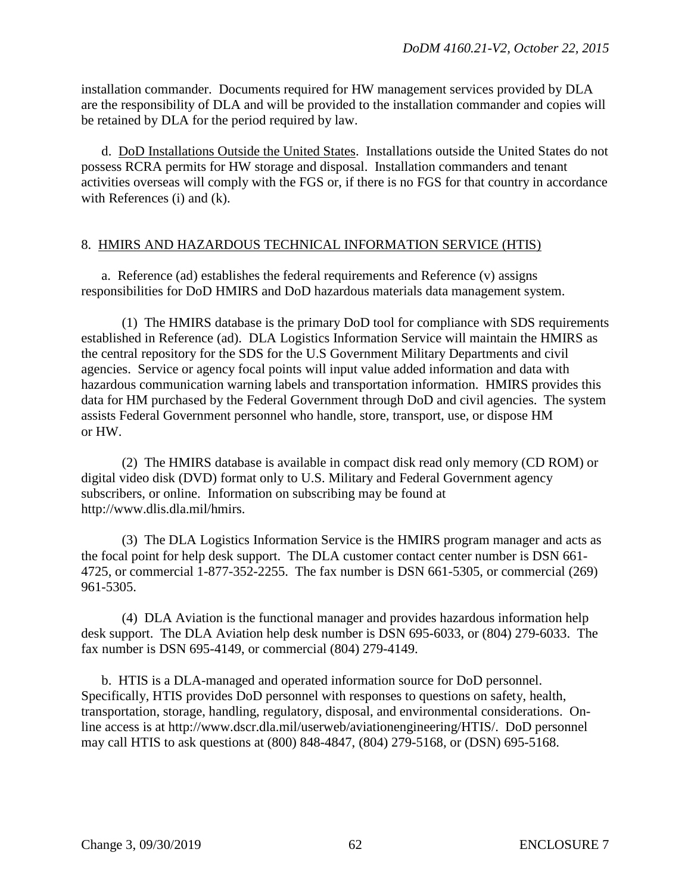installation commander. Documents required for HW management services provided by DLA are the responsibility of DLA and will be provided to the installation commander and copies will be retained by DLA for the period required by law.

 d. DoD Installations Outside the United States. Installations outside the United States do not possess RCRA permits for HW storage and disposal. Installation commanders and tenant activities overseas will comply with the FGS or, if there is no FGS for that country in accordance with References (i) and (k).

#### 8. HMIRS AND HAZARDOUS TECHNICAL INFORMATION SERVICE (HTIS)

a. Reference (ad) establishes the federal requirements and Reference (v) assigns responsibilities for DoD HMIRS and DoD hazardous materials data management system.

 (1) The HMIRS database is the primary DoD tool for compliance with SDS requirements established in Reference (ad). DLA Logistics Information Service will maintain the HMIRS as the central repository for the SDS for the U.S Government Military Departments and civil agencies. Service or agency focal points will input value added information and data with hazardous communication warning labels and transportation information. HMIRS provides this data for HM purchased by the Federal Government through DoD and civil agencies. The system assists Federal Government personnel who handle, store, transport, use, or dispose HM or HW.

 (2) The HMIRS database is available in compact disk read only memory (CD ROM) or digital video disk (DVD) format only to U.S. Military and Federal Government agency subscribers, or online. Information on subscribing may be found at http://www.dlis.dla.mil/hmirs.

 (3) The DLA Logistics Information Service is the HMIRS program manager and acts as the focal point for help desk support. The DLA customer contact center number is DSN 661- 4725, or commercial 1-877-352-2255. The fax number is DSN 661-5305, or commercial (269) 961-5305.

 (4) DLA Aviation is the functional manager and provides hazardous information help desk support. The DLA Aviation help desk number is DSN 695-6033, or (804) 279-6033. The fax number is DSN 695-4149, or commercial (804) 279-4149.

 b. HTIS is a DLA-managed and operated information source for DoD personnel. Specifically, HTIS provides DoD personnel with responses to questions on safety, health, transportation, storage, handling, regulatory, disposal, and environmental considerations. Online access is at http://www.dscr.dla.mil/userweb/aviationengineering/HTIS/. DoD personnel may call HTIS to ask questions at (800) 848-4847, (804) 279-5168, or (DSN) 695-5168.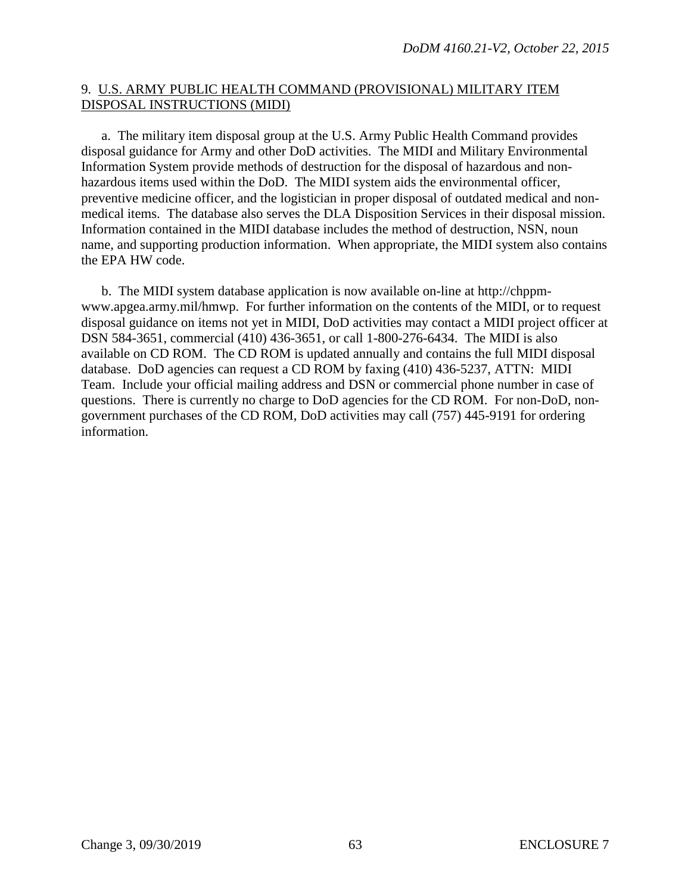### 9. U.S. ARMY PUBLIC HEALTH COMMAND (PROVISIONAL) MILITARY ITEM DISPOSAL INSTRUCTIONS (MIDI)

a. The military item disposal group at the U.S. Army Public Health Command provides disposal guidance for Army and other DoD activities. The MIDI and Military Environmental Information System provide methods of destruction for the disposal of hazardous and nonhazardous items used within the DoD. The MIDI system aids the environmental officer, preventive medicine officer, and the logistician in proper disposal of outdated medical and nonmedical items. The database also serves the DLA Disposition Services in their disposal mission. Information contained in the MIDI database includes the method of destruction, NSN, noun name, and supporting production information. When appropriate, the MIDI system also contains the EPA HW code.

 b. The MIDI system database application is now available on-line at http://chppmwww.apgea.army.mil/hmwp. For further information on the contents of the MIDI, or to request disposal guidance on items not yet in MIDI, DoD activities may contact a MIDI project officer at DSN 584-3651, commercial (410) 436-3651, or call 1-800-276-6434. The MIDI is also available on CD ROM. The CD ROM is updated annually and contains the full MIDI disposal database. DoD agencies can request a CD ROM by faxing (410) 436-5237, ATTN: MIDI Team. Include your official mailing address and DSN or commercial phone number in case of questions. There is currently no charge to DoD agencies for the CD ROM. For non-DoD, nongovernment purchases of the CD ROM, DoD activities may call (757) 445-9191 for ordering information.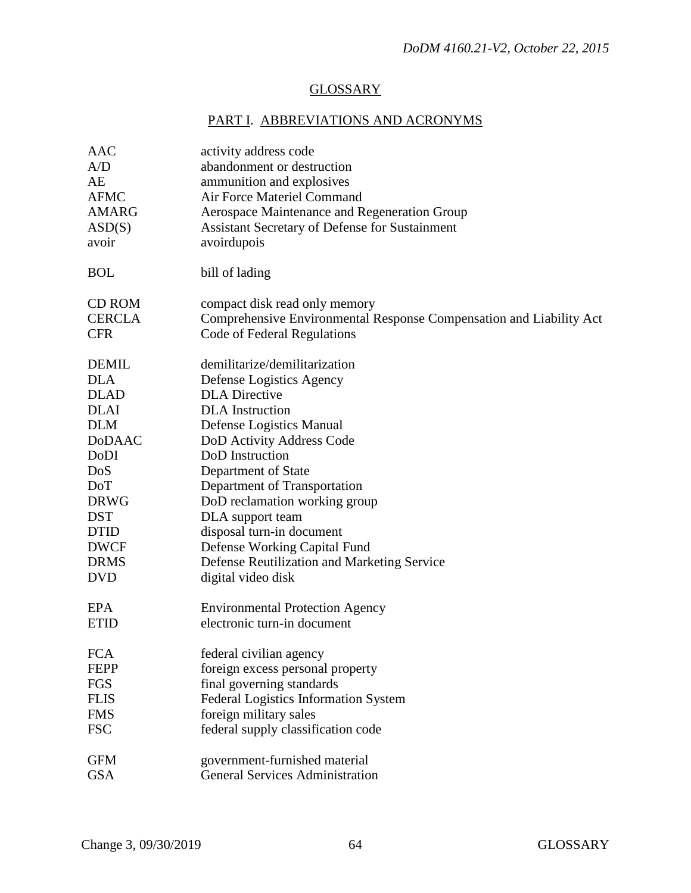## **GLOSSARY**

# PART I. ABBREVIATIONS AND ACRONYMS

| AAC           | activity address code                                               |
|---------------|---------------------------------------------------------------------|
| A/D           | abandonment or destruction                                          |
| AE            | ammunition and explosives                                           |
| <b>AFMC</b>   | Air Force Materiel Command                                          |
| <b>AMARG</b>  | Aerospace Maintenance and Regeneration Group                        |
| ASD(S)        | Assistant Secretary of Defense for Sustainment                      |
| avoir         | avoirdupois                                                         |
| <b>BOL</b>    | bill of lading                                                      |
| CD ROM        | compact disk read only memory                                       |
| <b>CERCLA</b> | Comprehensive Environmental Response Compensation and Liability Act |
| <b>CFR</b>    | Code of Federal Regulations                                         |
| <b>DEMIL</b>  | demilitarize/demilitarization                                       |
| <b>DLA</b>    | Defense Logistics Agency                                            |
| <b>DLAD</b>   | <b>DLA</b> Directive                                                |
| <b>DLAI</b>   | <b>DLA</b> Instruction                                              |
| <b>DLM</b>    | Defense Logistics Manual                                            |
| <b>DoDAAC</b> | DoD Activity Address Code                                           |
| DoDI          | DoD Instruction                                                     |
| DoS           | Department of State                                                 |
| DoT           | Department of Transportation                                        |
| <b>DRWG</b>   | DoD reclamation working group                                       |
| <b>DST</b>    | DLA support team                                                    |
| <b>DTID</b>   | disposal turn-in document                                           |
| <b>DWCF</b>   | Defense Working Capital Fund                                        |
| <b>DRMS</b>   | Defense Reutilization and Marketing Service                         |
| <b>DVD</b>    | digital video disk                                                  |
| <b>EPA</b>    | <b>Environmental Protection Agency</b>                              |
| <b>ETID</b>   | electronic turn-in document                                         |
| <b>FCA</b>    | federal civilian agency                                             |
| <b>FEPP</b>   | foreign excess personal property                                    |
| <b>FGS</b>    | final governing standards                                           |
| <b>FLIS</b>   | Federal Logistics Information System                                |
| <b>FMS</b>    | foreign military sales                                              |
| <b>FSC</b>    | federal supply classification code                                  |
| <b>GFM</b>    | government-furnished material                                       |
| <b>GSA</b>    | <b>General Services Administration</b>                              |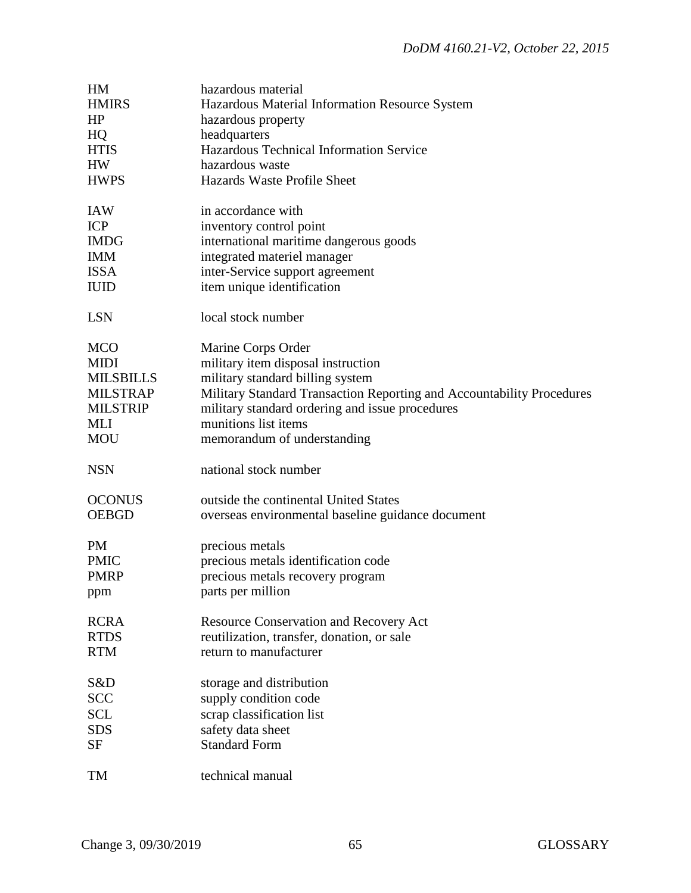| HM               | hazardous material                                                    |
|------------------|-----------------------------------------------------------------------|
| <b>HMIRS</b>     | Hazardous Material Information Resource System                        |
| HP               | hazardous property                                                    |
| HQ               | headquarters                                                          |
| <b>HTIS</b>      | Hazardous Technical Information Service                               |
| <b>HW</b>        | hazardous waste                                                       |
| <b>HWPS</b>      | Hazards Waste Profile Sheet                                           |
|                  |                                                                       |
| <b>IAW</b>       | in accordance with                                                    |
| <b>ICP</b>       | inventory control point                                               |
| <b>IMDG</b>      | international maritime dangerous goods                                |
| <b>IMM</b>       | integrated materiel manager                                           |
| <b>ISSA</b>      | inter-Service support agreement                                       |
| <b>IUID</b>      | item unique identification                                            |
|                  |                                                                       |
| <b>LSN</b>       | local stock number                                                    |
| <b>MCO</b>       | Marine Corps Order                                                    |
| <b>MIDI</b>      | military item disposal instruction                                    |
| <b>MILSBILLS</b> | military standard billing system                                      |
| <b>MILSTRAP</b>  | Military Standard Transaction Reporting and Accountability Procedures |
| <b>MILSTRIP</b>  | military standard ordering and issue procedures                       |
| MLI              | munitions list items                                                  |
| <b>MOU</b>       |                                                                       |
|                  | memorandum of understanding                                           |
| <b>NSN</b>       | national stock number                                                 |
| <b>OCONUS</b>    | outside the continental United States                                 |
| <b>OEBGD</b>     | overseas environmental baseline guidance document                     |
|                  |                                                                       |
| <b>PM</b>        | precious metals                                                       |
| <b>PMIC</b>      | precious metals identification code                                   |
| <b>PMRP</b>      | precious metals recovery program                                      |
|                  | parts per million                                                     |
| ppm              |                                                                       |
| <b>RCRA</b>      | <b>Resource Conservation and Recovery Act</b>                         |
| <b>RTDS</b>      | reutilization, transfer, donation, or sale                            |
| <b>RTM</b>       | return to manufacturer                                                |
|                  |                                                                       |
| S&D              | storage and distribution                                              |
| <b>SCC</b>       | supply condition code                                                 |
| <b>SCL</b>       | scrap classification list                                             |
| <b>SDS</b>       | safety data sheet                                                     |
| SF               | <b>Standard Form</b>                                                  |
|                  |                                                                       |
| TM               | technical manual                                                      |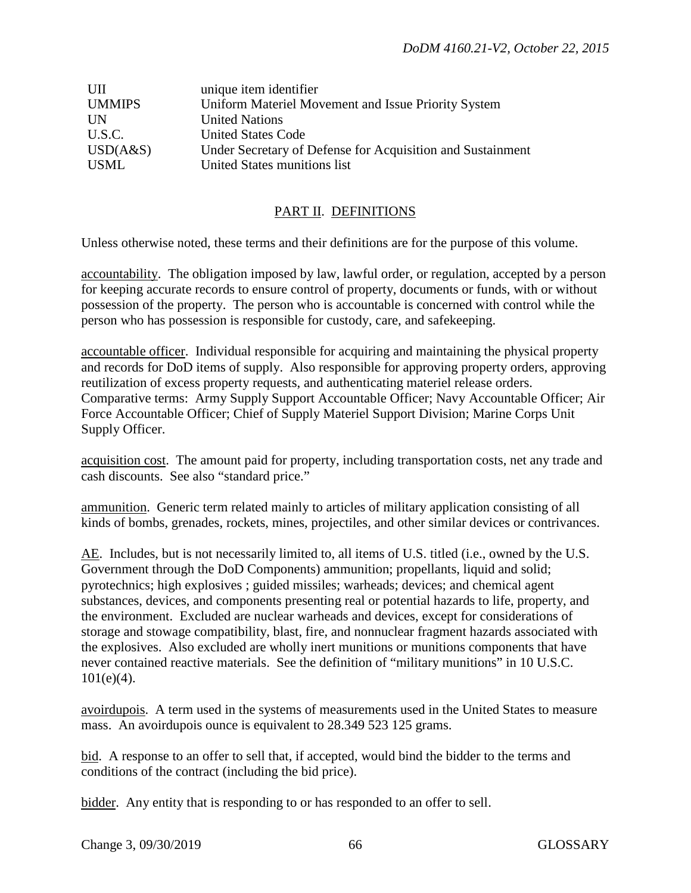| UII           | unique item identifier                                     |
|---------------|------------------------------------------------------------|
| <b>UMMIPS</b> | Uniform Materiel Movement and Issue Priority System        |
| UN            | <b>United Nations</b>                                      |
| U.S.C.        | <b>United States Code</b>                                  |
| USD(A&S)      | Under Secretary of Defense for Acquisition and Sustainment |
| <b>USML</b>   | United States munitions list                               |

## PART II. DEFINITIONS

Unless otherwise noted, these terms and their definitions are for the purpose of this volume.

accountability. The obligation imposed by law, lawful order, or regulation, accepted by a person for keeping accurate records to ensure control of property, documents or funds, with or without possession of the property. The person who is accountable is concerned with control while the person who has possession is responsible for custody, care, and safekeeping.

accountable officer. Individual responsible for acquiring and maintaining the physical property and records for DoD items of supply. Also responsible for approving property orders, approving reutilization of excess property requests, and authenticating materiel release orders. Comparative terms: Army Supply Support Accountable Officer; Navy Accountable Officer; Air Force Accountable Officer; Chief of Supply Materiel Support Division; Marine Corps Unit Supply Officer.

acquisition cost. The amount paid for property, including transportation costs, net any trade and cash discounts. See also "standard price."

ammunition. Generic term related mainly to articles of military application consisting of all kinds of bombs, grenades, rockets, mines, projectiles, and other similar devices or contrivances.

AE. Includes, but is not necessarily limited to, all items of U.S. titled (i.e., owned by the U.S. Government through the DoD Components) ammunition; propellants, liquid and solid; pyrotechnics; high explosives ; guided missiles; warheads; devices; and chemical agent substances, devices, and components presenting real or potential hazards to life, property, and the environment. Excluded are nuclear warheads and devices, except for considerations of storage and stowage compatibility, blast, fire, and nonnuclear fragment hazards associated with the explosives. Also excluded are wholly inert munitions or munitions components that have never contained reactive materials. See the definition of "military munitions" in 10 U.S.C.  $101(e)(4)$ .

avoirdupois. A term used in the systems of measurements used in the United States to measure mass. An avoirdupois ounce is equivalent to 28.349 523 125 grams.

bid. A response to an offer to sell that, if accepted, would bind the bidder to the terms and conditions of the contract (including the bid price).

bidder. Any entity that is responding to or has responded to an offer to sell.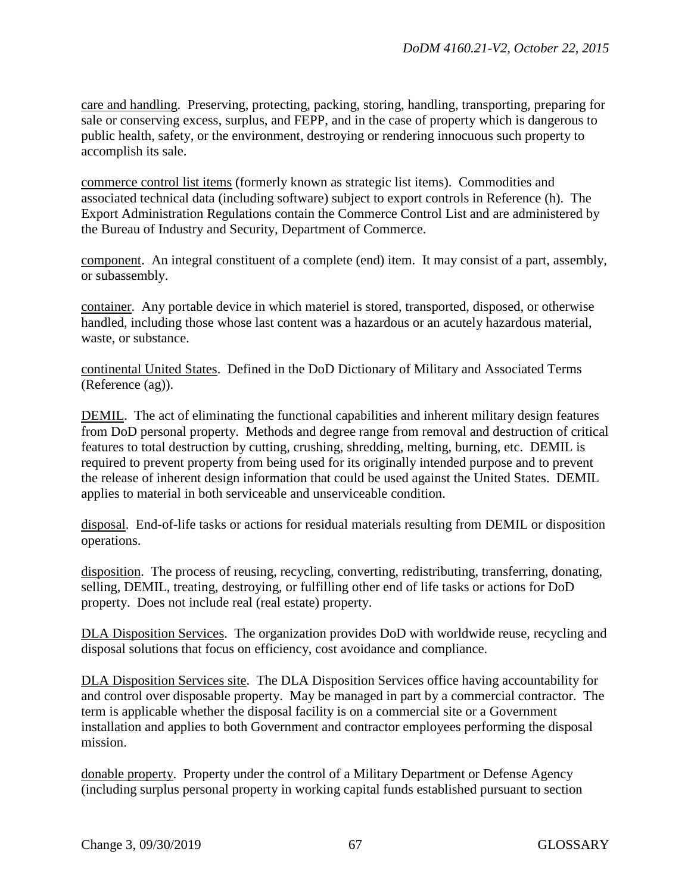care and handling. Preserving, protecting, packing, storing, handling, transporting, preparing for sale or conserving excess, surplus, and FEPP, and in the case of property which is dangerous to public health, safety, or the environment, destroying or rendering innocuous such property to accomplish its sale.

commerce control list items (formerly known as strategic list items). Commodities and associated technical data (including software) subject to export controls in Reference (h). The Export Administration Regulations contain the Commerce Control List and are administered by the Bureau of Industry and Security, Department of Commerce.

component. An integral constituent of a complete (end) item. It may consist of a part, assembly, or subassembly.

container. Any portable device in which materiel is stored, transported, disposed, or otherwise handled, including those whose last content was a hazardous or an acutely hazardous material, waste, or substance.

continental United States. Defined in the DoD Dictionary of Military and Associated Terms (Reference (ag)).

DEMIL. The act of eliminating the functional capabilities and inherent military design features from DoD personal property. Methods and degree range from removal and destruction of critical features to total destruction by cutting, crushing, shredding, melting, burning, etc. DEMIL is required to prevent property from being used for its originally intended purpose and to prevent the release of inherent design information that could be used against the United States. DEMIL applies to material in both serviceable and unserviceable condition.

disposal. End-of-life tasks or actions for residual materials resulting from DEMIL or disposition operations.

disposition. The process of reusing, recycling, converting, redistributing, transferring, donating, selling, DEMIL, treating, destroying, or fulfilling other end of life tasks or actions for DoD property. Does not include real (real estate) property.

DLA Disposition Services. The organization provides DoD with worldwide reuse, recycling and disposal solutions that focus on efficiency, cost avoidance and compliance.

DLA Disposition Services site. The DLA Disposition Services office having accountability for and control over disposable property. May be managed in part by a commercial contractor. The term is applicable whether the disposal facility is on a commercial site or a Government installation and applies to both Government and contractor employees performing the disposal mission.

donable property. Property under the control of a Military Department or Defense Agency (including surplus personal property in working capital funds established pursuant to section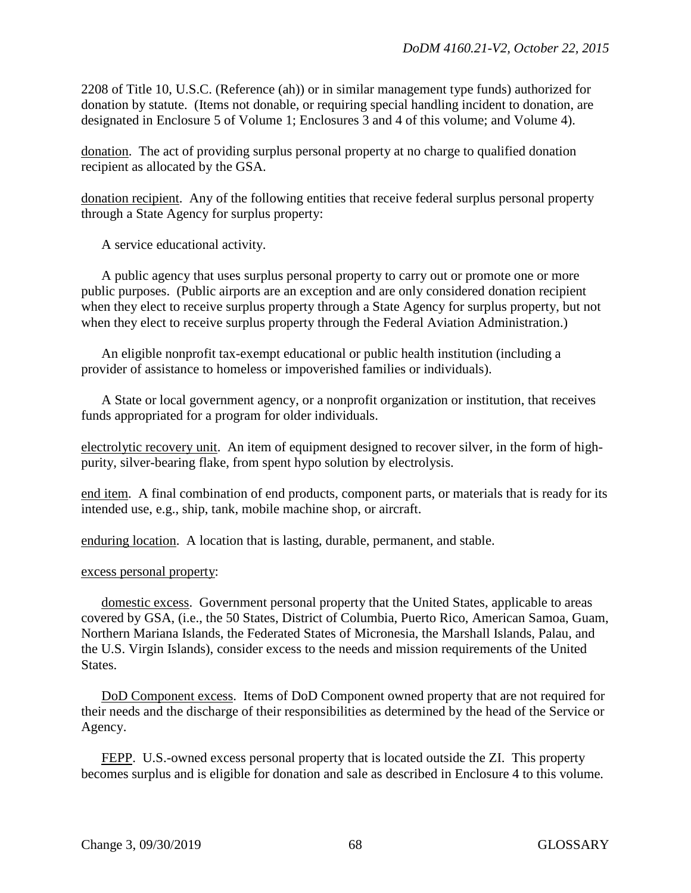2208 of Title 10, U.S.C. (Reference (ah)) or in similar management type funds) authorized for donation by statute. (Items not donable, or requiring special handling incident to donation, are designated in Enclosure 5 of Volume 1; Enclosures 3 and 4 of this volume; and Volume 4).

donation. The act of providing surplus personal property at no charge to qualified donation recipient as allocated by the GSA.

donation recipient. Any of the following entities that receive federal surplus personal property through a State Agency for surplus property:

A service educational activity.

A public agency that uses surplus personal property to carry out or promote one or more public purposes. (Public airports are an exception and are only considered donation recipient when they elect to receive surplus property through a State Agency for surplus property, but not when they elect to receive surplus property through the Federal Aviation Administration.)

An eligible nonprofit tax-exempt educational or public health institution (including a provider of assistance to homeless or impoverished families or individuals).

A State or local government agency, or a nonprofit organization or institution, that receives funds appropriated for a program for older individuals.

electrolytic recovery unit. An item of equipment designed to recover silver, in the form of highpurity, silver-bearing flake, from spent hypo solution by electrolysis.

end item. A final combination of end products, component parts, or materials that is ready for its intended use, e.g., ship, tank, mobile machine shop, or aircraft.

enduring location. A location that is lasting, durable, permanent, and stable.

### excess personal property:

domestic excess. Government personal property that the United States, applicable to areas covered by GSA, (i.e., the 50 States, District of Columbia, Puerto Rico, American Samoa, Guam, Northern Mariana Islands, the Federated States of Micronesia, the Marshall Islands, Palau, and the U.S. Virgin Islands), consider excess to the needs and mission requirements of the United States.

DoD Component excess. Items of DoD Component owned property that are not required for their needs and the discharge of their responsibilities as determined by the head of the Service or Agency.

FEPP. U.S.-owned excess personal property that is located outside the ZI. This property becomes surplus and is eligible for donation and sale as described in Enclosure 4 to this volume.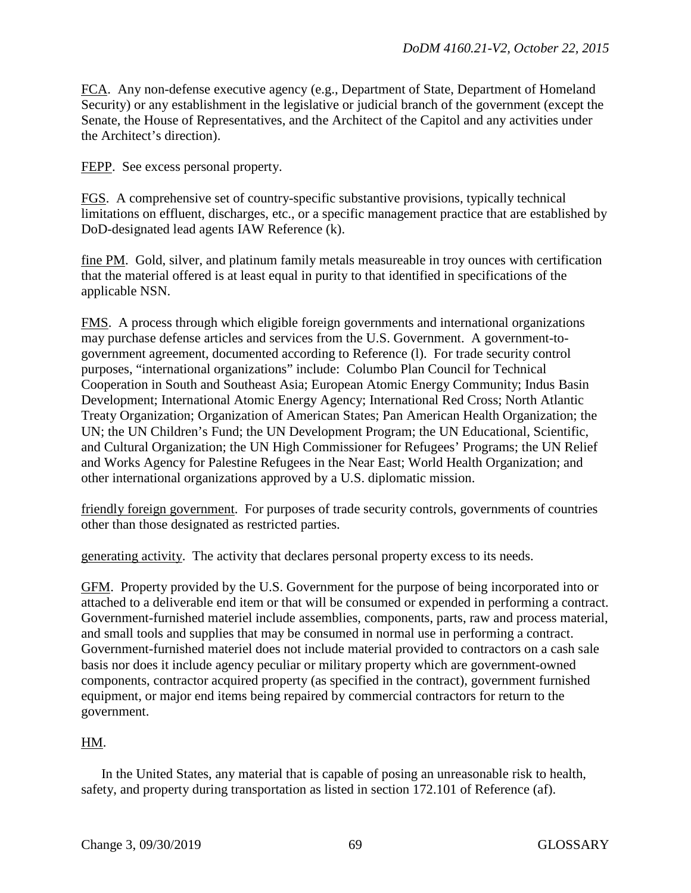FCA. Any non-defense executive agency (e.g., Department of State, Department of Homeland Security) or any establishment in the legislative or judicial branch of the government (except the Senate, the House of Representatives, and the Architect of the Capitol and any activities under the Architect's direction).

FEPP. See excess personal property.

FGS. A comprehensive set of country-specific substantive provisions, typically technical limitations on effluent, discharges, etc., or a specific management practice that are established by DoD-designated lead agents IAW Reference (k).

fine PM. Gold, silver, and platinum family metals measureable in troy ounces with certification that the material offered is at least equal in purity to that identified in specifications of the applicable NSN.

FMS. A process through which eligible foreign governments and international organizations may purchase defense articles and services from the U.S. Government. A government-togovernment agreement, documented according to Reference (l). For trade security control purposes, "international organizations" include: Columbo Plan Council for Technical Cooperation in South and Southeast Asia; European Atomic Energy Community; Indus Basin Development; International Atomic Energy Agency; International Red Cross; North Atlantic Treaty Organization; Organization of American States; Pan American Health Organization; the UN; the UN Children's Fund; the UN Development Program; the UN Educational, Scientific, and Cultural Organization; the UN High Commissioner for Refugees' Programs; the UN Relief and Works Agency for Palestine Refugees in the Near East; World Health Organization; and other international organizations approved by a U.S. diplomatic mission.

friendly foreign government. For purposes of trade security controls, governments of countries other than those designated as restricted parties.

generating activity. The activity that declares personal property excess to its needs.

GFM. Property provided by the U.S. Government for the purpose of being incorporated into or attached to a deliverable end item or that will be consumed or expended in performing a contract. Government-furnished materiel include assemblies, components, parts, raw and process material, and small tools and supplies that may be consumed in normal use in performing a contract. Government-furnished materiel does not include material provided to contractors on a cash sale basis nor does it include agency peculiar or military property which are government-owned components, contractor acquired property (as specified in the contract), government furnished equipment, or major end items being repaired by commercial contractors for return to the government.

### HM.

In the United States, any material that is capable of posing an unreasonable risk to health, safety, and property during transportation as listed in section 172.101 of Reference (af).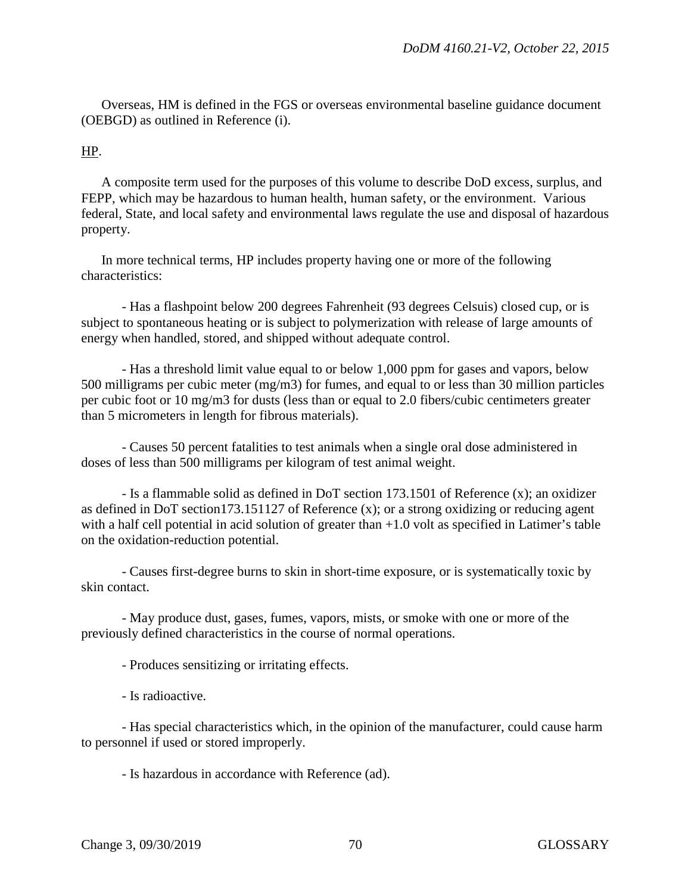Overseas, HM is defined in the FGS or overseas environmental baseline guidance document (OEBGD) as outlined in Reference (i).

### HP.

A composite term used for the purposes of this volume to describe DoD excess, surplus, and FEPP, which may be hazardous to human health, human safety, or the environment. Various federal, State, and local safety and environmental laws regulate the use and disposal of hazardous property.

In more technical terms, HP includes property having one or more of the following characteristics:

- Has a flashpoint below 200 degrees Fahrenheit (93 degrees Celsuis) closed cup, or is subject to spontaneous heating or is subject to polymerization with release of large amounts of energy when handled, stored, and shipped without adequate control.

- Has a threshold limit value equal to or below 1,000 ppm for gases and vapors, below 500 milligrams per cubic meter (mg/m3) for fumes, and equal to or less than 30 million particles per cubic foot or 10 mg/m3 for dusts (less than or equal to 2.0 fibers/cubic centimeters greater than 5 micrometers in length for fibrous materials).

- Causes 50 percent fatalities to test animals when a single oral dose administered in doses of less than 500 milligrams per kilogram of test animal weight.

- Is a flammable solid as defined in DoT section 173.1501 of Reference (x); an oxidizer as defined in DoT section173.151127 of Reference (x); or a strong oxidizing or reducing agent with a half cell potential in acid solution of greater than  $+1.0$  volt as specified in Latimer's table on the oxidation-reduction potential.

- Causes first-degree burns to skin in short-time exposure, or is systematically toxic by skin contact.

- May produce dust, gases, fumes, vapors, mists, or smoke with one or more of the previously defined characteristics in the course of normal operations.

- Produces sensitizing or irritating effects.

- Is radioactive.

- Has special characteristics which, in the opinion of the manufacturer, could cause harm to personnel if used or stored improperly.

- Is hazardous in accordance with Reference (ad).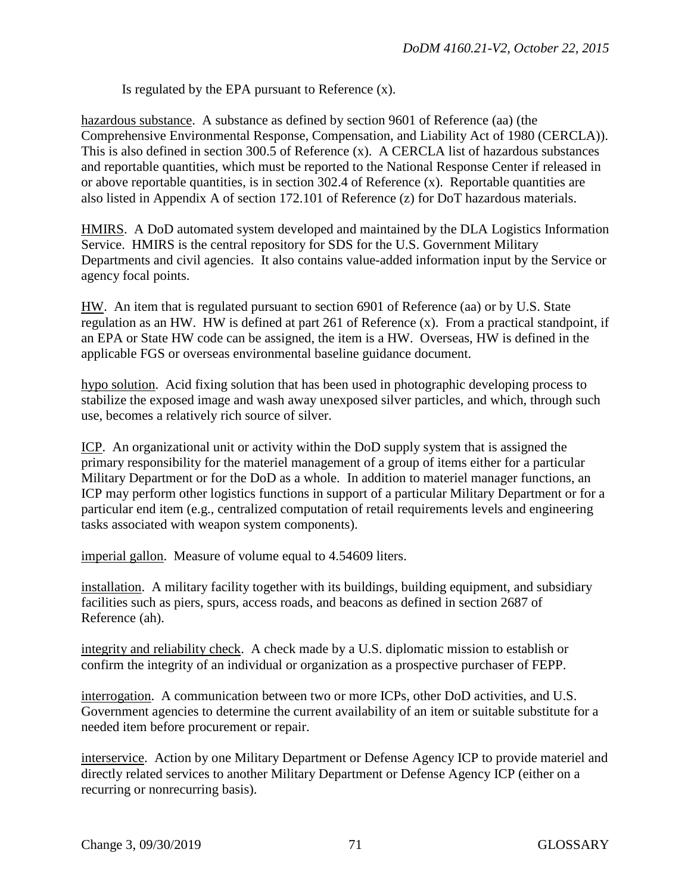Is regulated by the EPA pursuant to Reference (x).

hazardous substance. A substance as defined by section 9601 of Reference (aa) (the Comprehensive Environmental Response, Compensation, and Liability Act of 1980 (CERCLA)). This is also defined in section 300.5 of Reference (x). A CERCLA list of hazardous substances and reportable quantities, which must be reported to the National Response Center if released in or above reportable quantities, is in section 302.4 of Reference (x). Reportable quantities are also listed in Appendix A of section 172.101 of Reference (z) for DoT hazardous materials.

HMIRS. A DoD automated system developed and maintained by the DLA Logistics Information Service. HMIRS is the central repository for SDS for the U.S. Government Military Departments and civil agencies. It also contains value-added information input by the Service or agency focal points.

HW. An item that is regulated pursuant to section 6901 of Reference (aa) or by U.S. State regulation as an HW. HW is defined at part 261 of Reference (x). From a practical standpoint, if an EPA or State HW code can be assigned, the item is a HW. Overseas, HW is defined in the applicable FGS or overseas environmental baseline guidance document.

hypo solution. Acid fixing solution that has been used in photographic developing process to stabilize the exposed image and wash away unexposed silver particles, and which, through such use, becomes a relatively rich source of silver.

ICP. An organizational unit or activity within the DoD supply system that is assigned the primary responsibility for the materiel management of a group of items either for a particular Military Department or for the DoD as a whole. In addition to materiel manager functions, an ICP may perform other logistics functions in support of a particular Military Department or for a particular end item (e.g., centralized computation of retail requirements levels and engineering tasks associated with weapon system components).

imperial gallon. Measure of volume equal to 4.54609 liters.

installation. A military facility together with its buildings, building equipment, and subsidiary facilities such as piers, spurs, access roads, and beacons as defined in section 2687 of Reference (ah).

integrity and reliability check. A check made by a U.S. diplomatic mission to establish or confirm the integrity of an individual or organization as a prospective purchaser of FEPP.

interrogation. A communication between two or more ICPs, other DoD activities, and U.S. Government agencies to determine the current availability of an item or suitable substitute for a needed item before procurement or repair.

interservice. Action by one Military Department or Defense Agency ICP to provide materiel and directly related services to another Military Department or Defense Agency ICP (either on a recurring or nonrecurring basis).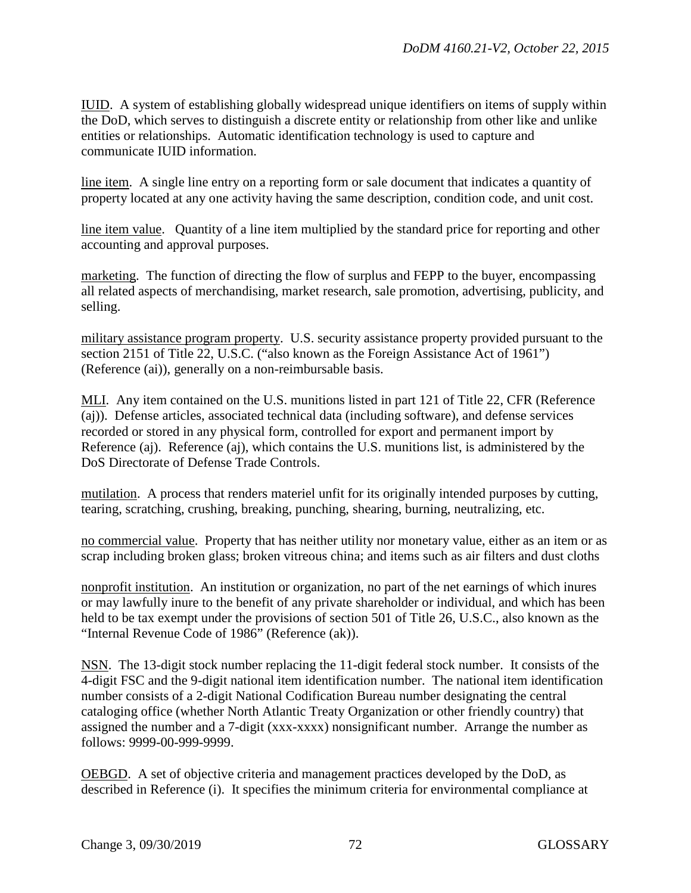IUID. A system of establishing globally widespread unique identifiers on items of supply within the DoD, which serves to distinguish a discrete entity or relationship from other like and unlike entities or relationships. Automatic identification technology is used to capture and communicate IUID information.

line item. A single line entry on a reporting form or sale document that indicates a quantity of property located at any one activity having the same description, condition code, and unit cost.

line item value. Quantity of a line item multiplied by the standard price for reporting and other accounting and approval purposes.

marketing. The function of directing the flow of surplus and FEPP to the buyer, encompassing all related aspects of merchandising, market research, sale promotion, advertising, publicity, and selling.

military assistance program property. U.S. security assistance property provided pursuant to the section 2151 of Title 22, U.S.C. ("also known as the Foreign Assistance Act of 1961") (Reference (ai)), generally on a non-reimbursable basis.

MLI. Any item contained on the U.S. munitions listed in part 121 of Title 22, CFR (Reference (aj)). Defense articles, associated technical data (including software), and defense services recorded or stored in any physical form, controlled for export and permanent import by Reference (aj). Reference (aj), which contains the U.S. munitions list, is administered by the DoS Directorate of Defense Trade Controls.

mutilation. A process that renders materiel unfit for its originally intended purposes by cutting, tearing, scratching, crushing, breaking, punching, shearing, burning, neutralizing, etc.

no commercial value. Property that has neither utility nor monetary value, either as an item or as scrap including broken glass; broken vitreous china; and items such as air filters and dust cloths

nonprofit institution. An institution or organization, no part of the net earnings of which inures or may lawfully inure to the benefit of any private shareholder or individual, and which has been held to be tax exempt under the provisions of section 501 of Title 26, U.S.C., also known as the "Internal Revenue Code of 1986" (Reference (ak)).

NSN. The 13-digit stock number replacing the 11-digit federal stock number. It consists of the 4-digit FSC and the 9-digit national item identification number. The national item identification number consists of a 2-digit National Codification Bureau number designating the central cataloging office (whether North Atlantic Treaty Organization or other friendly country) that assigned the number and a 7-digit (xxx-xxxx) nonsignificant number. Arrange the number as follows: 9999-00-999-9999.

OEBGD. A set of objective criteria and management practices developed by the DoD, as described in Reference (i). It specifies the minimum criteria for environmental compliance at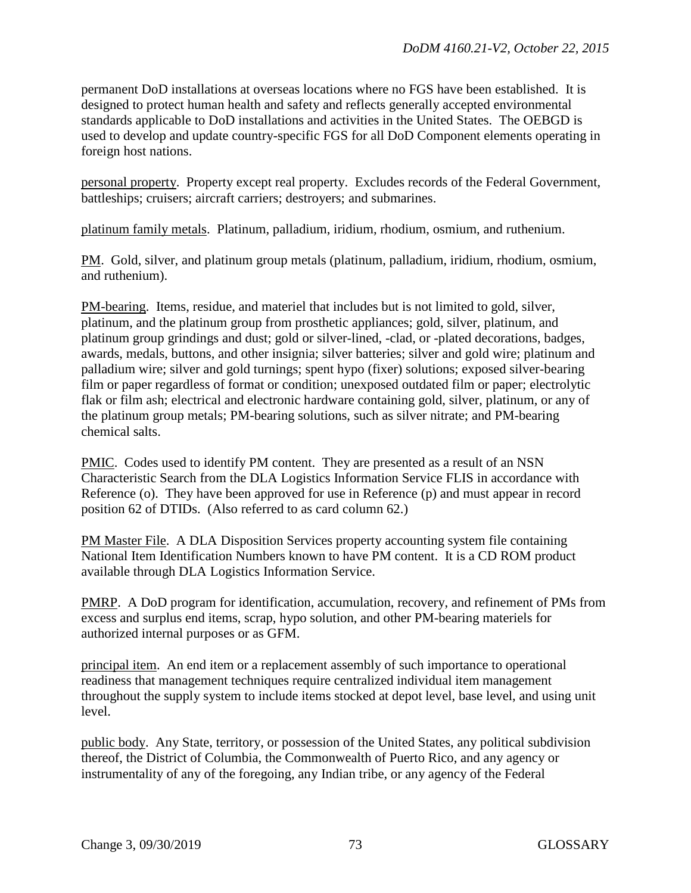permanent DoD installations at overseas locations where no FGS have been established. It is designed to protect human health and safety and reflects generally accepted environmental standards applicable to DoD installations and activities in the United States. The OEBGD is used to develop and update country-specific FGS for all DoD Component elements operating in foreign host nations.

personal property. Property except real property. Excludes records of the Federal Government, battleships; cruisers; aircraft carriers; destroyers; and submarines.

platinum family metals. Platinum, palladium, iridium, rhodium, osmium, and ruthenium.

PM. Gold, silver, and platinum group metals (platinum, palladium, iridium, rhodium, osmium, and ruthenium).

PM-bearing. Items, residue, and materiel that includes but is not limited to gold, silver, platinum, and the platinum group from prosthetic appliances; gold, silver, platinum, and platinum group grindings and dust; gold or silver-lined, -clad, or -plated decorations, badges, awards, medals, buttons, and other insignia; silver batteries; silver and gold wire; platinum and palladium wire; silver and gold turnings; spent hypo (fixer) solutions; exposed silver-bearing film or paper regardless of format or condition; unexposed outdated film or paper; electrolytic flak or film ash; electrical and electronic hardware containing gold, silver, platinum, or any of the platinum group metals; PM-bearing solutions, such as silver nitrate; and PM-bearing chemical salts.

PMIC. Codes used to identify PM content. They are presented as a result of an NSN Characteristic Search from the DLA Logistics Information Service FLIS in accordance with Reference (o). They have been approved for use in Reference (p) and must appear in record position 62 of DTIDs. (Also referred to as card column 62.)

PM Master File. A DLA Disposition Services property accounting system file containing National Item Identification Numbers known to have PM content. It is a CD ROM product available through DLA Logistics Information Service.

PMRP. A DoD program for identification, accumulation, recovery, and refinement of PMs from excess and surplus end items, scrap, hypo solution, and other PM-bearing materiels for authorized internal purposes or as GFM.

principal item. An end item or a replacement assembly of such importance to operational readiness that management techniques require centralized individual item management throughout the supply system to include items stocked at depot level, base level, and using unit level.

public body. Any State, territory, or possession of the United States, any political subdivision thereof, the District of Columbia, the Commonwealth of Puerto Rico, and any agency or instrumentality of any of the foregoing, any Indian tribe, or any agency of the Federal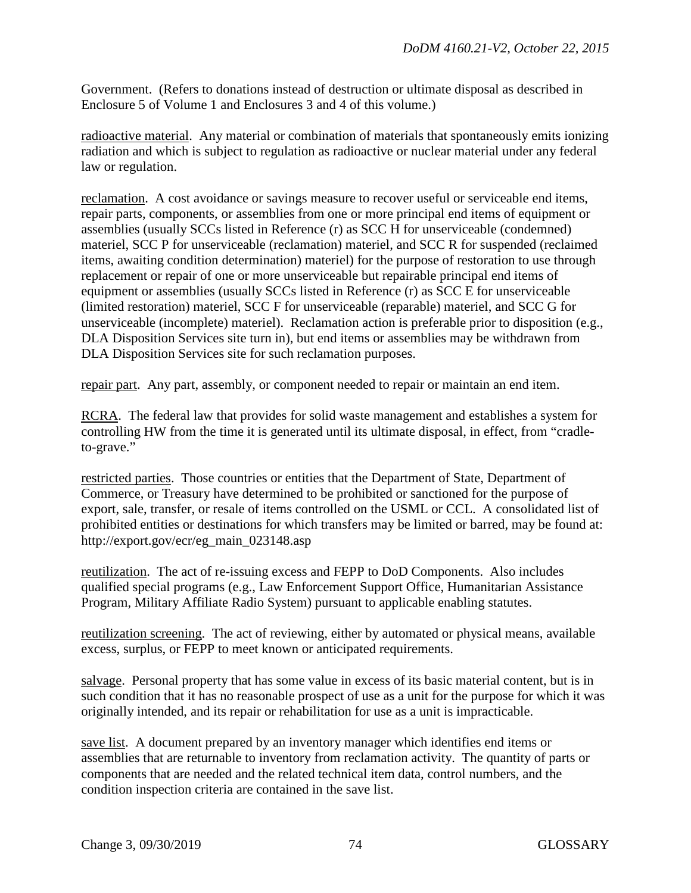Government. (Refers to donations instead of destruction or ultimate disposal as described in Enclosure 5 of Volume 1 and Enclosures 3 and 4 of this volume.)

radioactive material. Any material or combination of materials that spontaneously emits ionizing radiation and which is subject to regulation as radioactive or nuclear material under any federal law or regulation.

reclamation. A cost avoidance or savings measure to recover useful or serviceable end items, repair parts, components, or assemblies from one or more principal end items of equipment or assemblies (usually SCCs listed in Reference (r) as SCC H for unserviceable (condemned) materiel, SCC P for unserviceable (reclamation) materiel, and SCC R for suspended (reclaimed items, awaiting condition determination) materiel) for the purpose of restoration to use through replacement or repair of one or more unserviceable but repairable principal end items of equipment or assemblies (usually SCCs listed in Reference (r) as SCC E for unserviceable (limited restoration) materiel, SCC F for unserviceable (reparable) materiel, and SCC G for unserviceable (incomplete) materiel). Reclamation action is preferable prior to disposition (e.g., DLA Disposition Services site turn in), but end items or assemblies may be withdrawn from DLA Disposition Services site for such reclamation purposes.

repair part. Any part, assembly, or component needed to repair or maintain an end item.

RCRA. The federal law that provides for solid waste management and establishes a system for controlling HW from the time it is generated until its ultimate disposal, in effect, from "cradleto-grave."

restricted parties. Those countries or entities that the Department of State, Department of Commerce, or Treasury have determined to be prohibited or sanctioned for the purpose of export, sale, transfer, or resale of items controlled on the USML or CCL. A consolidated list of prohibited entities or destinations for which transfers may be limited or barred, may be found at: http://export.gov/ecr/eg\_main\_023148.asp

reutilization. The act of re-issuing excess and FEPP to DoD Components. Also includes qualified special programs (e.g., Law Enforcement Support Office, Humanitarian Assistance Program, Military Affiliate Radio System) pursuant to applicable enabling statutes.

reutilization screening. The act of reviewing, either by automated or physical means, available excess, surplus, or FEPP to meet known or anticipated requirements.

salvage. Personal property that has some value in excess of its basic material content, but is in such condition that it has no reasonable prospect of use as a unit for the purpose for which it was originally intended, and its repair or rehabilitation for use as a unit is impracticable.

save list. A document prepared by an inventory manager which identifies end items or assemblies that are returnable to inventory from reclamation activity. The quantity of parts or components that are needed and the related technical item data, control numbers, and the condition inspection criteria are contained in the save list.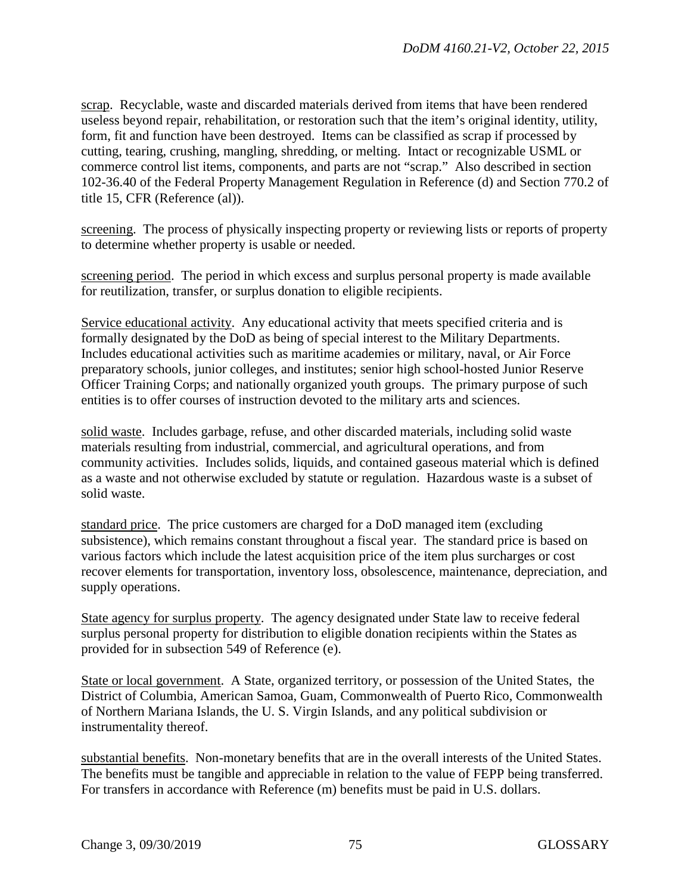scrap. Recyclable, waste and discarded materials derived from items that have been rendered useless beyond repair, rehabilitation, or restoration such that the item's original identity, utility, form, fit and function have been destroyed. Items can be classified as scrap if processed by cutting, tearing, crushing, mangling, shredding, or melting. Intact or recognizable USML or commerce control list items, components, and parts are not "scrap." Also described in section 102-36.40 of the Federal Property Management Regulation in Reference (d) and Section 770.2 of title 15, CFR (Reference (al)).

screening. The process of physically inspecting property or reviewing lists or reports of property to determine whether property is usable or needed.

screening period. The period in which excess and surplus personal property is made available for reutilization, transfer, or surplus donation to eligible recipients.

Service educational activity. Any educational activity that meets specified criteria and is formally designated by the DoD as being of special interest to the Military Departments. Includes educational activities such as maritime academies or military, naval, or Air Force preparatory schools, junior colleges, and institutes; senior high school-hosted Junior Reserve Officer Training Corps; and nationally organized youth groups. The primary purpose of such entities is to offer courses of instruction devoted to the military arts and sciences.

solid waste. Includes garbage, refuse, and other discarded materials, including solid waste materials resulting from industrial, commercial, and agricultural operations, and from community activities. Includes solids, liquids, and contained gaseous material which is defined as a waste and not otherwise excluded by statute or regulation. Hazardous waste is a subset of solid waste.

standard price. The price customers are charged for a DoD managed item (excluding subsistence), which remains constant throughout a fiscal year. The standard price is based on various factors which include the latest acquisition price of the item plus surcharges or cost recover elements for transportation, inventory loss, obsolescence, maintenance, depreciation, and supply operations.

State agency for surplus property. The agency designated under State law to receive federal surplus personal property for distribution to eligible donation recipients within the States as provided for in subsection 549 of Reference (e).

State or local government. A State, organized territory, or possession of the United States, the District of Columbia, American Samoa, Guam, Commonwealth of Puerto Rico, Commonwealth of Northern Mariana Islands, the U. S. Virgin Islands, and any political subdivision or instrumentality thereof.

substantial benefits. Non-monetary benefits that are in the overall interests of the United States. The benefits must be tangible and appreciable in relation to the value of FEPP being transferred. For transfers in accordance with Reference (m) benefits must be paid in U.S. dollars.